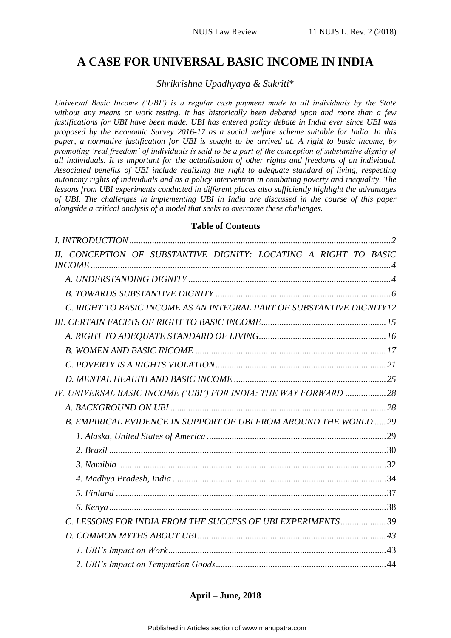# **A CASE FOR UNIVERSAL BASIC INCOME IN INDIA**

*Shrikrishna Upadhyaya & Sukriti*\*

*Universal Basic Income ('UBI') is a regular cash payment made to all individuals by the State without any means or work testing. It has historically been debated upon and more than a few justifications for UBI have been made. UBI has entered policy debate in India ever since UBI was proposed by the Economic Survey 2016-17 as a social welfare scheme suitable for India. In this paper, a normative justification for UBI is sought to be arrived at. A right to basic income, by promoting 'real freedom' of individuals is said to be a part of the conception of substantive dignity of all individuals. It is important for the actualisation of other rights and freedoms of an individual. Associated benefits of UBI include realizing the right to adequate standard of living, respecting autonomy rights of individuals and as a policy intervention in combating poverty and inequality. The lessons from UBI experiments conducted in different places also sufficiently highlight the advantages of UBI. The challenges in implementing UBI in India are discussed in the course of this paper alongside a critical analysis of a model that seeks to overcome these challenges.*

### **Table of Contents**

| CONCEPTION OF SUBSTANTIVE DIGNITY: LOCATING A RIGHT TO BASIC          |  |
|-----------------------------------------------------------------------|--|
|                                                                       |  |
|                                                                       |  |
| C. RIGHT TO BASIC INCOME AS AN INTEGRAL PART OF SUBSTANTIVE DIGNITY12 |  |
|                                                                       |  |
|                                                                       |  |
|                                                                       |  |
|                                                                       |  |
|                                                                       |  |
| IV. UNIVERSAL BASIC INCOME ('UBI') FOR INDIA: THE WAY FORWARD 28      |  |
|                                                                       |  |
| B. EMPIRICAL EVIDENCE IN SUPPORT OF UBI FROM AROUND THE WORLD 29      |  |
|                                                                       |  |
|                                                                       |  |
|                                                                       |  |
|                                                                       |  |
|                                                                       |  |
|                                                                       |  |
| C. LESSONS FOR INDIA FROM THE SUCCESS OF UBI EXPERIMENTS39            |  |
|                                                                       |  |
|                                                                       |  |
|                                                                       |  |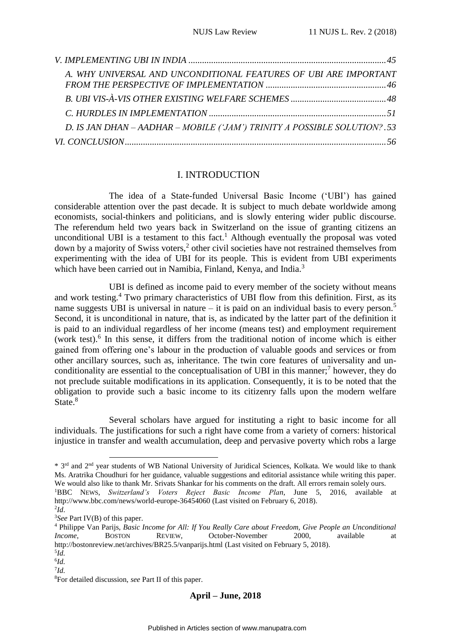| A. WHY UNIVERSAL AND UNCONDITIONAL FEATURES OF UBI ARE IMPORTANT          |  |
|---------------------------------------------------------------------------|--|
|                                                                           |  |
|                                                                           |  |
|                                                                           |  |
| D. IS JAN DHAN - AADHAR - MOBILE ('JAM') TRINITY A POSSIBLE SOLUTION? .53 |  |
|                                                                           |  |

#### I. INTRODUCTION

<span id="page-1-0"></span>The idea of a State-funded Universal Basic Income ('UBI') has gained considerable attention over the past decade. It is subject to much debate worldwide among economists, social-thinkers and politicians, and is slowly entering wider public discourse. The referendum held two years back in Switzerland on the issue of granting citizens an unconditional UBI is a testament to this fact.<sup>1</sup> Although eventually the proposal was voted down by a majority of Swiss voters,<sup>2</sup> other civil societies have not restrained themselves from experimenting with the idea of UBI for its people. This is evident from UBI experiments which have been carried out in Namibia, Finland, Kenya, and India.<sup>3</sup>

UBI is defined as income paid to every member of the society without means and work testing.<sup>4</sup> Two primary characteristics of UBI flow from this definition. First, as its name suggests UBI is universal in nature – it is paid on an individual basis to every person.<sup>5</sup> Second, it is unconditional in nature, that is, as indicated by the latter part of the definition it is paid to an individual regardless of her income (means test) and employment requirement (work test).<sup>6</sup> In this sense, it differs from the traditional notion of income which is either gained from offering one's labour in the production of valuable goods and services or from other ancillary sources, such as, inheritance. The twin core features of universality and unconditionality are essential to the conceptualisation of UBI in this manner;<sup>7</sup> however, they do not preclude suitable modifications in its application. Consequently, it is to be noted that the obligation to provide such a basic income to its citizenry falls upon the modern welfare State.<sup>8</sup>

Several scholars have argued for instituting a right to basic income for all individuals. The justifications for such a right have come from a variety of corners: historical injustice in transfer and wealth accumulation, deep and pervasive poverty which robs a large

1

<sup>\* 3</sup>rd and 2nd year students of WB National University of Juridical Sciences, Kolkata. We would like to thank Ms. Aratrika Choudhuri for her guidance, valuable suggestions and editorial assistance while writing this paper. We would also like to thank Mr. Srivats Shankar for his comments on the draft. All errors remain solely ours. <sup>1</sup>BBC NEWS, *Switzerland's Voters Reject Basic Income Plan*, June 5, 2016, available at

http://www.bbc.com/news/world-europe-36454060 (Last visited on February 6, 2018). 2 *Id*.

<sup>3</sup>*See* Part IV(B) of this paper.

<sup>4</sup> Philippe Van Parijs, *Basic Income for All: If You Really Care about Freedom, Give People an Unconditional Income*, BOSTON REVIEW, October-November 2000, available at http://bostonreview.net/archives/BR25.5/vanparijs.html (Last visited on February 5, 2018).

<sup>5</sup> *Id.*

<sup>6</sup> *Id.* 7 *Id.*

<sup>8</sup>For detailed discussion, *see* Part II of this paper.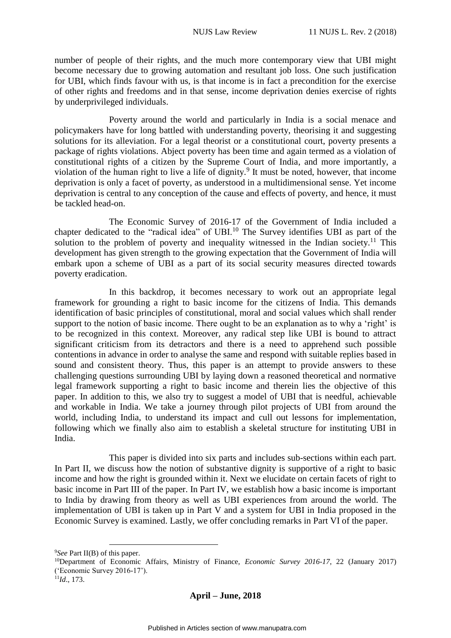number of people of their rights, and the much more contemporary view that UBI might become necessary due to growing automation and resultant job loss. One such justification for UBI, which finds favour with us, is that income is in fact a precondition for the exercise of other rights and freedoms and in that sense, income deprivation denies exercise of rights by underprivileged individuals.

Poverty around the world and particularly in India is a social menace and policymakers have for long battled with understanding poverty, theorising it and suggesting solutions for its alleviation. For a legal theorist or a constitutional court, poverty presents a package of rights violations. Abject poverty has been time and again termed as a violation of constitutional rights of a citizen by the Supreme Court of India, and more importantly, a violation of the human right to live a life of dignity.<sup>9</sup> It must be noted, however, that income deprivation is only a facet of poverty, as understood in a multidimensional sense. Yet income deprivation is central to any conception of the cause and effects of poverty, and hence, it must be tackled head-on.

The Economic Survey of 2016-17 of the Government of India included a chapter dedicated to the "radical idea" of UBI.<sup>10</sup> The Survey identifies UBI as part of the solution to the problem of poverty and inequality witnessed in the Indian society.<sup>11</sup> This development has given strength to the growing expectation that the Government of India will embark upon a scheme of UBI as a part of its social security measures directed towards poverty eradication.

In this backdrop, it becomes necessary to work out an appropriate legal framework for grounding a right to basic income for the citizens of India. This demands identification of basic principles of constitutional, moral and social values which shall render support to the notion of basic income. There ought to be an explanation as to why a 'right' is to be recognized in this context. Moreover, any radical step like UBI is bound to attract significant criticism from its detractors and there is a need to apprehend such possible contentions in advance in order to analyse the same and respond with suitable replies based in sound and consistent theory. Thus, this paper is an attempt to provide answers to these challenging questions surrounding UBI by laying down a reasoned theoretical and normative legal framework supporting a right to basic income and therein lies the objective of this paper. In addition to this, we also try to suggest a model of UBI that is needful, achievable and workable in India. We take a journey through pilot projects of UBI from around the world, including India, to understand its impact and cull out lessons for implementation, following which we finally also aim to establish a skeletal structure for instituting UBI in India.

This paper is divided into six parts and includes sub-sections within each part. In Part II, we discuss how the notion of substantive dignity is supportive of a right to basic income and how the right is grounded within it. Next we elucidate on certain facets of right to basic income in Part III of the paper. In Part IV, we establish how a basic income is important to India by drawing from theory as well as UBI experiences from around the world. The implementation of UBI is taken up in Part V and a system for UBI in India proposed in the Economic Survey is examined. Lastly, we offer concluding remarks in Part VI of the paper.

1

<sup>9</sup>*See* Part II(B) of this paper.

<sup>10</sup>Department of Economic Affairs, Ministry of Finance, *Economic Survey 2016-17*, 22 (January 2017) ('Economic Survey 2016-17').

 $\hat{11}$ *Id.*, 173.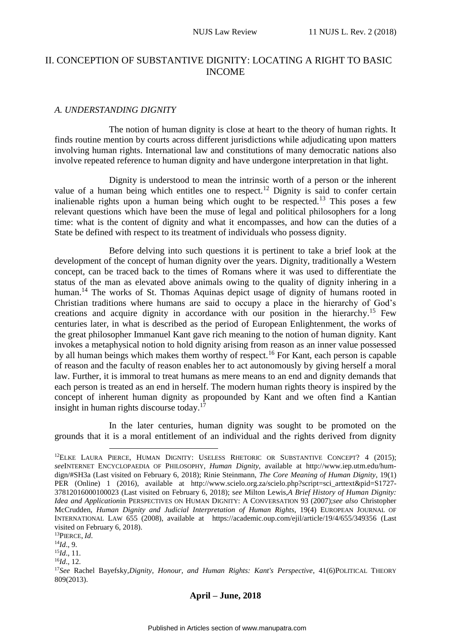# <span id="page-3-1"></span><span id="page-3-0"></span>II. CONCEPTION OF SUBSTANTIVE DIGNITY: LOCATING A RIGHT TO BASIC INCOME

#### *A. UNDERSTANDING DIGNITY*

The notion of human dignity is close at heart to the theory of human rights. It finds routine mention by courts across different jurisdictions while adjudicating upon matters involving human rights. International law and constitutions of many democratic nations also involve repeated reference to human dignity and have undergone interpretation in that light.

Dignity is understood to mean the intrinsic worth of a person or the inherent value of a human being which entitles one to respect.<sup>12</sup> Dignity is said to confer certain inalienable rights upon a human being which ought to be respected.<sup>13</sup> This poses a few relevant questions which have been the muse of legal and political philosophers for a long time: what is the content of dignity and what it encompasses, and how can the duties of a State be defined with respect to its treatment of individuals who possess dignity.

Before delving into such questions it is pertinent to take a brief look at the development of the concept of human dignity over the years. Dignity, traditionally a Western concept, can be traced back to the times of Romans where it was used to differentiate the status of the man as elevated above animals owing to the quality of dignity inhering in a human.<sup>14</sup> The works of St. Thomas Aquinas depict usage of dignity of humans rooted in Christian traditions where humans are said to occupy a place in the hierarchy of God's creations and acquire dignity in accordance with our position in the hierarchy. <sup>15</sup> Few centuries later, in what is described as the period of European Enlightenment, the works of the great philosopher Immanuel Kant gave rich meaning to the notion of human dignity. Kant invokes a metaphysical notion to hold dignity arising from reason as an inner value possessed by all human beings which makes them worthy of respect.<sup>16</sup> For Kant, each person is capable of reason and the faculty of reason enables her to act autonomously by giving herself a moral law. Further, it is immoral to treat humans as mere means to an end and dignity demands that each person is treated as an end in herself. The modern human rights theory is inspired by the concept of inherent human dignity as propounded by Kant and we often find a Kantian insight in human rights discourse today.<sup>17</sup>

In the later centuries, human dignity was sought to be promoted on the grounds that it is a moral entitlement of an individual and the rights derived from dignity

<sup>13</sup>PIERCE, *Id*.

<u>.</u>

<sup>14</sup>*Id*., 9.

<sup>15</sup>*Id*., 11. <sup>16</sup>*Id*., 12.

<sup>&</sup>lt;sup>12</sup>ELKE LAURA PIERCE, HUMAN DIGNITY: USELESS RHETORIC OR SUBSTANTIVE CONCEPT? 4 (2015); *see*INTERNET ENCYCLOPAEDIA OF PHILOSOPHY, *Human Dignity*, available at http://www.iep.utm.edu/humdign/#SH3a (Last visited on February 6, 2018); Rinie Steinmann, *The Core Meaning of Human Dignity*, 19(1) PER (Online) 1 (2016), available at http://www.scielo.org.za/scielo.php?script=sci\_arttext&pid=S1727- 37812016000100023 (Last visited on February 6, 2018); s*ee* Milton Lewis,*A Brief History of Human Dignity: Idea and Application*in PERSPECTIVES ON HUMAN DIGNITY: A CONVERSATION 93 (2007);*see also* Christopher McCrudden, *Human Dignity and Judicial Interpretation of Human Rights*, 19(4) EUROPEAN JOURNAL OF INTERNATIONAL LAW 655 (2008), available at https://academic.oup.com/ejil/article/19/4/655/349356 (Last visited on February 6, 2018).

<sup>17</sup>*See* Rachel Bayefsky,*Dignity, Honour, and Human Rights: Kant's Perspective*, 41(6)POLITICAL THEORY 809(2013).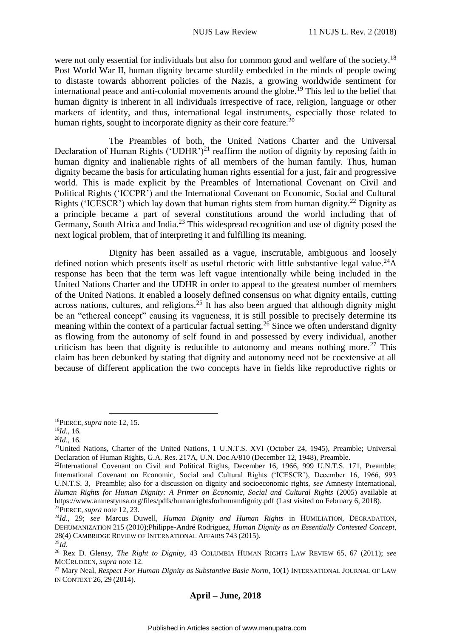were not only essential for individuals but also for common good and welfare of the society.<sup>18</sup> Post World War II, human dignity became sturdily embedded in the minds of people owing to distaste towards abhorrent policies of the Nazis, a growing worldwide sentiment for international peace and anti-colonial movements around the globe.<sup>19</sup> This led to the belief that human dignity is inherent in all individuals irrespective of race, religion, language or other markers of identity, and thus, international legal instruments, especially those related to human rights, sought to incorporate dignity as their core feature.<sup>20</sup>

The Preambles of both, the United Nations Charter and the Universal Declaration of Human Rights ('UDHR')<sup>21</sup> reaffirm the notion of dignity by reposing faith in human dignity and inalienable rights of all members of the human family. Thus, human dignity became the basis for articulating human rights essential for a just, fair and progressive world. This is made explicit by the Preambles of International Covenant on Civil and Political Rights ('ICCPR') and the International Covenant on Economic, Social and Cultural Rights ('ICESCR') which lay down that human rights stem from human dignity.<sup>22</sup> Dignity as a principle became a part of several constitutions around the world including that of Germany, South Africa and India.<sup>23</sup> This widespread recognition and use of dignity posed the next logical problem, that of interpreting it and fulfilling its meaning.

Dignity has been assailed as a vague, inscrutable, ambiguous and loosely defined notion which presents itself as useful rhetoric with little substantive legal value.<sup>24</sup>A response has been that the term was left vague intentionally while being included in the United Nations Charter and the UDHR in order to appeal to the greatest number of members of the United Nations. It enabled a loosely defined consensus on what dignity entails, cutting across nations, cultures, and religions.<sup>25</sup> It has also been argued that although dignity might be an "ethereal concept" causing its vagueness, it is still possible to precisely determine its meaning within the context of a particular factual setting.<sup>26</sup> Since we often understand dignity as flowing from the autonomy of self found in and possessed by every individual, another criticism has been that dignity is reducible to autonomy and means nothing more.<sup>27</sup> This claim has been debunked by stating that dignity and autonomy need not be coextensive at all because of different application the two concepts have in fields like reproductive rights or

1

<sup>18</sup>PIERCE, *supra* note 12, 15.

<sup>19</sup>*Id*., 16.

<sup>20</sup>*Id*., 16.

<sup>&</sup>lt;sup>21</sup>United Nations, Charter of the United Nations, 1 U.N.T.S. XVI (October 24, 1945), Preamble; Universal Declaration of Human Rights, G.A. Res. 217A, U.N. Doc.A/810 (December 12, 1948), Preamble.

<sup>&</sup>lt;sup>22</sup>International Covenant on Civil and Political Rights, December 16, 1966, 999 U.N.T.S. 171, Preamble; International Covenant on Economic, Social and Cultural Rights ('ICESCR'), December 16, 1966, 993 U.N.T.S. 3, Preamble; also for a discussion on dignity and socioeconomic rights, *see* Amnesty International, *Human Rights for Human Dignity: A Primer on Economic, Social and Cultural Rights* (2005) available at https://www.amnestyusa.org/files/pdfs/humanrightsforhumandignity.pdf (Last visited on February 6, 2018). <sup>23</sup>PIERCE, *supra* note 12, 23.

<sup>24</sup>*Id*., 29; *see* Marcus Duwell, *Human Dignity and Human Rights* in HUMILIATION, DEGRADATION, DEHUMANIZATION 215 (2010);Philippe-André Rodriguez, *Human Dignity as an Essentially Contested Concept*, 28(4) CAMBRIDGE REVIEW OF INTERNATIONAL AFFAIRS 743 (2015). <sup>25</sup>*Id*.

<sup>26</sup> Rex D. Glensy, *The Right to Dignity*, 43 COLUMBIA HUMAN RIGHTS LAW REVIEW 65, 67 (2011); *see*  MCCRUDDEN, *supra* note 12.

<sup>&</sup>lt;sup>27</sup> Mary Neal, *Respect For Human Dignity as Substantive Basic Norm*, 10(1) INTERNATIONAL JOURNAL OF LAW IN CONTEXT 26, 29 (2014).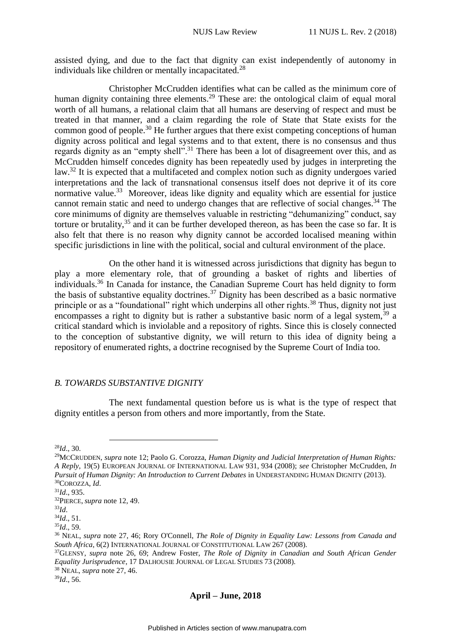assisted dying, and due to the fact that dignity can exist independently of autonomy in individuals like children or mentally incapacitated.<sup>28</sup>

Christopher McCrudden identifies what can be called as the minimum core of human dignity containing three elements.<sup>29</sup> These are: the ontological claim of equal moral worth of all humans, a relational claim that all humans are deserving of respect and must be treated in that manner, and a claim regarding the role of State that State exists for the common good of people.<sup>30</sup> He further argues that there exist competing conceptions of human dignity across political and legal systems and to that extent, there is no consensus and thus regards dignity as an "empty shell".<sup>31</sup> There has been a lot of disagreement over this, and as McCrudden himself concedes dignity has been repeatedly used by judges in interpreting the law.<sup>32</sup> It is expected that a multifaceted and complex notion such as dignity undergoes varied interpretations and the lack of transnational consensus itself does not deprive it of its core normative value.<sup>33</sup> Moreover, ideas like dignity and equality which are essential for justice cannot remain static and need to undergo changes that are reflective of social changes.<sup>34</sup> The core minimums of dignity are themselves valuable in restricting "dehumanizing" conduct, say torture or brutality,  $35$  and it can be further developed thereon, as has been the case so far. It is also felt that there is no reason why dignity cannot be accorded localised meaning within specific jurisdictions in line with the political, social and cultural environment of the place.

On the other hand it is witnessed across jurisdictions that dignity has begun to play a more elementary role, that of grounding a basket of rights and liberties of individuals.<sup>36</sup> In Canada for instance, the Canadian Supreme Court has held dignity to form the basis of substantive equality doctrines.<sup>37</sup> Dignity has been described as a basic normative principle or as a "foundational" right which underpins all other rights.<sup>38</sup> Thus, dignity not just encompasses a right to dignity but is rather a substantive basic norm of a legal system,  $39$  a critical standard which is inviolable and a repository of rights. Since this is closely connected to the conception of substantive dignity, we will return to this idea of dignity being a repository of enumerated rights, a doctrine recognised by the Supreme Court of India too.

# <span id="page-5-0"></span>*B. TOWARDS SUBSTANTIVE DIGNITY*

The next fundamental question before us is what is the type of respect that dignity entitles a person from others and more importantly, from the State.

<sup>31</sup>*Id*., 935.

1

<sup>33</sup>*Id*.

<sup>28</sup>*Id*., 30.

<sup>29</sup>MCCRUDDEN, *supra* note 12; Paolo G. Corozza, *Human Dignity and Judicial Interpretation of Human Rights: A Reply*, 19(5) EUROPEAN JOURNAL OF INTERNATIONAL LAW 931, 934 (2008); *see* Christopher McCrudden, *In Pursuit of Human Dignity: An Introduction to Current Debates* in UNDERSTANDING HUMAN DIGNITY (2013). <sup>30</sup>COROZZA, *Id*.

<sup>32</sup>PIERCE, *supra* note 12, 49.

<sup>34</sup>*Id*., 51.

<sup>35</sup>*Id*., 59.

<sup>36</sup> NEAL, *supra* note 27, 46; Rory O'Connell, *The Role of Dignity in Equality Law: Lessons from Canada and South Africa*, 6(2) INTERNATIONAL JOURNAL OF CONSTITUTIONAL LAW 267 (2008).

<sup>37</sup>GLENSY, *supra* note 26, 69; Andrew Foster, *The Role of Dignity in Canadian and South African Gender Equality Jurisprudence*, 17 DALHOUSIE JOURNAL OF LEGAL STUDIES 73 (2008).

<sup>38</sup> NEAL, *supra* note 27, 46.

<sup>39</sup>*Id*., 56.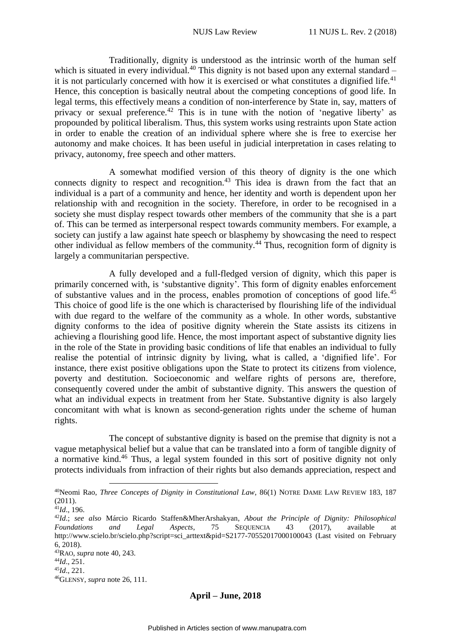Traditionally, dignity is understood as the intrinsic worth of the human self which is situated in every individual.<sup>40</sup> This dignity is not based upon any external standard – it is not particularly concerned with how it is exercised or what constitutes a dignified life.<sup>41</sup> Hence, this conception is basically neutral about the competing conceptions of good life. In legal terms, this effectively means a condition of non-interference by State in, say, matters of privacy or sexual preference.<sup>42</sup> This is in tune with the notion of 'negative liberty' as propounded by political liberalism. Thus, this system works using restraints upon State action in order to enable the creation of an individual sphere where she is free to exercise her autonomy and make choices. It has been useful in judicial interpretation in cases relating to privacy, autonomy, free speech and other matters.

A somewhat modified version of this theory of dignity is the one which connects dignity to respect and recognition.<sup>43</sup> This idea is drawn from the fact that an individual is a part of a community and hence, her identity and worth is dependent upon her relationship with and recognition in the society. Therefore, in order to be recognised in a society she must display respect towards other members of the community that she is a part of. This can be termed as interpersonal respect towards community members. For example, a society can justify a law against hate speech or blasphemy by showcasing the need to respect other individual as fellow members of the community.<sup>44</sup> Thus, recognition form of dignity is largely a communitarian perspective.

A fully developed and a full-fledged version of dignity, which this paper is primarily concerned with, is 'substantive dignity'. This form of dignity enables enforcement of substantive values and in the process, enables promotion of conceptions of good life.<sup>45</sup> This choice of good life is the one which is characterised by flourishing life of the individual with due regard to the welfare of the community as a whole. In other words, substantive dignity conforms to the idea of positive dignity wherein the State assists its citizens in achieving a flourishing good life. Hence, the most important aspect of substantive dignity lies in the role of the State in providing basic conditions of life that enables an individual to fully realise the potential of intrinsic dignity by living, what is called, a 'dignified life'. For instance, there exist positive obligations upon the State to protect its citizens from violence, poverty and destitution. Socioeconomic and welfare rights of persons are, therefore, consequently covered under the ambit of substantive dignity. This answers the question of what an individual expects in treatment from her State. Substantive dignity is also largely concomitant with what is known as second-generation rights under the scheme of human rights.

The concept of substantive dignity is based on the premise that dignity is not a vague metaphysical belief but a value that can be translated into a form of tangible dignity of a normative kind.<sup>46</sup> Thus, a legal system founded in this sort of positive dignity not only protects individuals from infraction of their rights but also demands appreciation, respect and

<u>.</u>

<sup>40</sup>Neomi Rao, *Three Concepts of Dignity in Constitutional Law*, 86(1) NOTRE DAME LAW REVIEW 183, 187 (2011).

<sup>41</sup>*Id*., 196.

<sup>42</sup>*Id*.; *see also* Márcio Ricardo Staffen&MherArshakyan, *About the Principle of Dignity: Philosophical Foundations and Legal Aspects*, 75 SEQUENCIA 43 (2017), available at http://www.scielo.br/scielo.php?script=sci\_arttext&pid=S2177-70552017000100043 (Last visited on February 6, 2018).

<sup>43</sup>RAO, *supra* note 40, 243.

<sup>44</sup>*Id*., 251.

 $^{45}$ *Id*., 221.

<sup>46</sup>GLENSY, *supra* note 26, 111.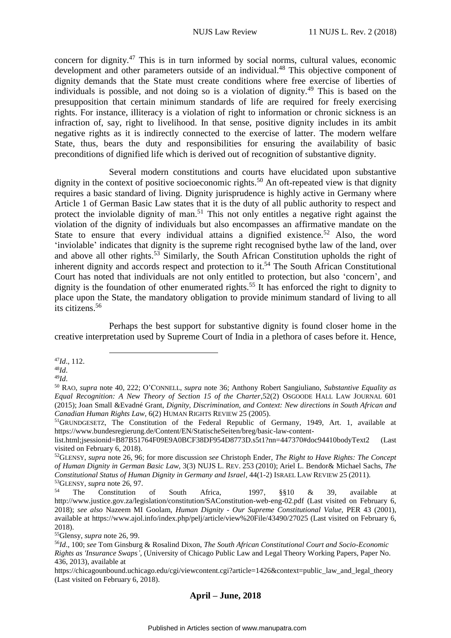concern for dignity.<sup>47</sup> This is in turn informed by social norms, cultural values, economic development and other parameters outside of an individual.<sup>48</sup> This objective component of dignity demands that the State must create conditions where free exercise of liberties of individuals is possible, and not doing so is a violation of dignity.<sup>49</sup> This is based on the presupposition that certain minimum standards of life are required for freely exercising rights. For instance, illiteracy is a violation of right to information or chronic sickness is an infraction of, say, right to livelihood. In that sense, positive dignity includes in its ambit negative rights as it is indirectly connected to the exercise of latter. The modern welfare State, thus, bears the duty and responsibilities for ensuring the availability of basic preconditions of dignified life which is derived out of recognition of substantive dignity.

Several modern constitutions and courts have elucidated upon substantive dignity in the context of positive socioeconomic rights.<sup>50</sup> An oft-repeated view is that dignity requires a basic standard of living. Dignity jurisprudence is highly active in Germany where Article 1 of German Basic Law states that it is the duty of all public authority to respect and protect the inviolable dignity of man.<sup>51</sup> This not only entitles a negative right against the violation of the dignity of individuals but also encompasses an affirmative mandate on the State to ensure that every individual attains a dignified existence.<sup>52</sup> Also, the word 'inviolable' indicates that dignity is the supreme right recognised bythe law of the land, over and above all other rights.<sup>53</sup> Similarly, the South African Constitution upholds the right of inherent dignity and accords respect and protection to it.<sup>54</sup> The South African Constitutional Court has noted that individuals are not only entitled to protection, but also 'concern', and dignity is the foundation of other enumerated rights.<sup>55</sup> It has enforced the right to dignity to place upon the State, the mandatory obligation to provide minimum standard of living to all its citizens.<sup>56</sup>

Perhaps the best support for substantive dignity is found closer home in the creative interpretation used by Supreme Court of India in a plethora of cases before it. Hence,

<sup>47</sup>*Id*., 112.

1

<sup>48</sup>*Id*.

<sup>49</sup>*Id*.

<sup>55</sup>Glensy, *supra* note 26, 99.

<sup>50</sup> RAO, *supra* note 40, 222; O'CONNELL, *supra* note 36; Anthony Robert Sangiuliano, *Substantive Equality as Equal Recognition: A New Theory of Section 15 of the Charter*,52(2) OSGOODE HALL LAW JOURNAL 601 (2015); Joan Small &Evadné Grant, *Dignity, Discrimination, and Context: New directions in South African and Canadian Human Rights Law*, 6(2) HUMAN RIGHTS REVIEW 25 (2005).

<sup>51</sup>GRUNDGESETZ, The Constitution of the Federal Republic of Germany, 1949, Art. 1, available at https://www.bundesregierung.de/Content/EN/StatischeSeiten/breg/basic-law-content-

list.html;jsessionid=B87B51764F09E9A0BCF38DF954D8773D.s5t1?nn=447370#doc94410bodyText2 (Last visited on February 6, 2018).

<sup>52</sup>GLENSY, *supra* note 26, 96; for more discussion *see* Christoph Ender, *The Right to Have Rights: The Concept of Human Dignity in German Basic Law*, 3(3) NUJS L. REV. 253 (2010); Ariel L. Bendor& Michael Sachs, *The Constitutional Status of Human Dignity in Germany and Israel*, 44(1-2) ISRAEL LAW REVIEW 25 (2011). <sup>53</sup>GLENSY, *supra* note 26, 97.

<sup>54</sup> The Constitution of South Africa, 1997, §§10 & 39, available at http://www.justice.gov.za/legislation/constitution/SAConstitution-web-eng-02.pdf (Last visited on February 6, 2018); *see also* Nazeem MI Goolam, *Human Dignity - Our Supreme Constitutional Value,* PER 43 (2001), available at https://www.ajol.info/index.php/pelj/article/view%20File/43490/27025 (Last visited on February 6, 2018).

<sup>56</sup>*Id*., 100; *see* Tom Ginsburg & Rosalind Dixon, *The South African Constitutional Court and Socio-Economic Rights as 'Insurance Swaps'*, (University of Chicago Public Law and Legal Theory Working Papers, Paper No. 436, 2013), available at

https://chicagounbound.uchicago.edu/cgi/viewcontent.cgi?article=1426&context=public\_law\_and\_legal\_theory (Last visited on February 6, 2018).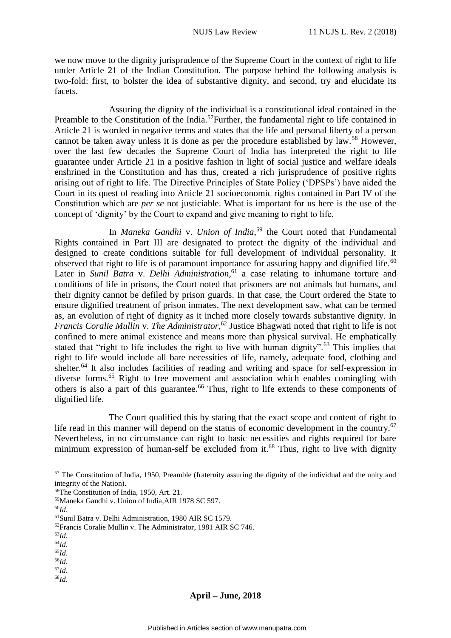we now move to the dignity jurisprudence of the Supreme Court in the context of right to life under Article 21 of the Indian Constitution. The purpose behind the following analysis is two-fold: first, to bolster the idea of substantive dignity, and second, try and elucidate its facets.

Assuring the dignity of the individual is a constitutional ideal contained in the Preamble to the Constitution of the India.<sup>57</sup>Further, the fundamental right to life contained in Article 21 is worded in negative terms and states that the life and personal liberty of a person cannot be taken away unless it is done as per the procedure established by law.<sup>58</sup> However, over the last few decades the Supreme Court of India has interpreted the right to life guarantee under Article 21 in a positive fashion in light of social justice and welfare ideals enshrined in the Constitution and has thus, created a rich jurisprudence of positive rights arising out of right to life. The Directive Principles of State Policy ('DPSPs') have aided the Court in its quest of reading into Article 21 socioeconomic rights contained in Part IV of the Constitution which are *per se* not justiciable. What is important for us here is the use of the concept of 'dignity' by the Court to expand and give meaning to right to life.

In *Maneka Gandhi* v. *Union of India*, <sup>59</sup> the Court noted that Fundamental Rights contained in Part III are designated to protect the dignity of the individual and designed to create conditions suitable for full development of individual personality. It observed that right to life is of paramount importance for assuring happy and dignified life.<sup>60</sup> Later in *Sunil Batra* v. *Delhi Administration*, <sup>61</sup> a case relating to inhumane torture and conditions of life in prisons, the Court noted that prisoners are not animals but humans, and their dignity cannot be defiled by prison guards. In that case, the Court ordered the State to ensure dignified treatment of prison inmates. The next development saw, what can be termed as, an evolution of right of dignity as it inched more closely towards substantive dignity. In *Francis Coralie Mullin* v. *The Administrator*, <sup>62</sup> Justice Bhagwati noted that right to life is not confined to mere animal existence and means more than physical survival. He emphatically stated that "right to life includes the right to live with human dignity".<sup>63</sup> This implies that right to life would include all bare necessities of life, namely, adequate food, clothing and shelter.<sup>64</sup> It also includes facilities of reading and writing and space for self-expression in diverse forms.<sup>65</sup> Right to free movement and association which enables comingling with others is also a part of this guarantee.<sup>66</sup> Thus, right to life extends to these components of dignified life.

The Court qualified this by stating that the exact scope and content of right to life read in this manner will depend on the status of economic development in the country.<sup>67</sup> Nevertheless, in no circumstance can right to basic necessities and rights required for bare minimum expression of human-self be excluded from it.<sup>68</sup> Thus, right to live with dignity

1

<sup>64</sup>*Id*.

<sup>65</sup>*Id*. <sup>66</sup>*Id*.

- <sup>67</sup>*Id*.
- <sup>68</sup>*Id*.

<sup>&</sup>lt;sup>57</sup> The Constitution of India, 1950, Preamble (fraternity assuring the dignity of the individual and the unity and integrity of the Nation).

<sup>58</sup>The Constitution of India, 1950, Art. 21.

<sup>59</sup>Maneka Gandhi v. Union of India,AIR 1978 SC 597.

<sup>60</sup>*Id*.

<sup>61</sup>Sunil Batra v. Delhi Administration, 1980 AIR SC 1579.

<sup>62</sup>Francis Coralie Mullin v. The Administrator, 1981 AIR SC 746.

<sup>63</sup>*Id*.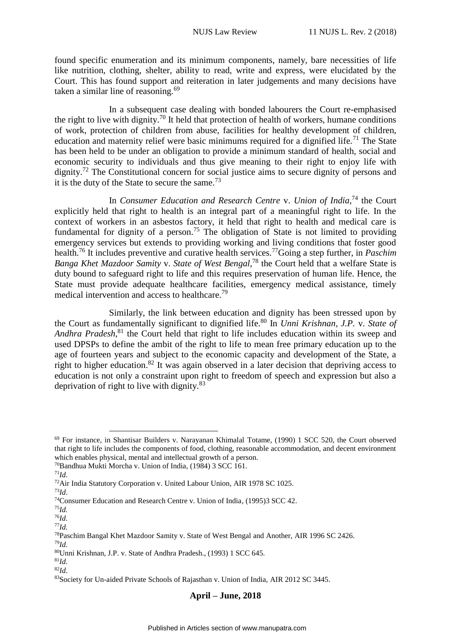found specific enumeration and its minimum components, namely, bare necessities of life like nutrition, clothing, shelter, ability to read, write and express, were elucidated by the Court. This has found support and reiteration in later judgements and many decisions have taken a similar line of reasoning. $69$ 

In a subsequent case dealing with bonded labourers the Court re-emphasised the right to live with dignity.<sup>70</sup> It held that protection of health of workers, humane conditions of work, protection of children from abuse, facilities for healthy development of children, education and maternity relief were basic minimums required for a dignified life.<sup>71</sup> The State has been held to be under an obligation to provide a minimum standard of health, social and economic security to individuals and thus give meaning to their right to enjoy life with dignity.<sup>72</sup> The Constitutional concern for social justice aims to secure dignity of persons and it is the duty of the State to secure the same.<sup>73</sup>

In *Consumer Education and Research Centre* v. *Union of India*, <sup>74</sup> the Court explicitly held that right to health is an integral part of a meaningful right to life. In the context of workers in an asbestos factory, it held that right to health and medical care is fundamental for dignity of a person.<sup>75</sup> The obligation of State is not limited to providing emergency services but extends to providing working and living conditions that foster good health.<sup>76</sup> It includes preventive and curative health services.<sup>77</sup>Going a step further, in *Paschim Banga Khet Mazdoor Samity* v. *State of West Bengal*, <sup>78</sup> the Court held that a welfare State is duty bound to safeguard right to life and this requires preservation of human life. Hence, the State must provide adequate healthcare facilities, emergency medical assistance, timely medical intervention and access to healthcare.<sup>79</sup>

Similarly, the link between education and dignity has been stressed upon by the Court as fundamentally significant to dignified life.<sup>80</sup> In *Unni Krishnan, J.P.* v. *State of*  Andhra Pradesh,<sup>81</sup> the Court held that right to life includes education within its sweep and used DPSPs to define the ambit of the right to life to mean free primary education up to the age of fourteen years and subject to the economic capacity and development of the State, a right to higher education.<sup>82</sup> It was again observed in a later decision that depriving access to education is not only a constraint upon right to freedom of speech and expression but also a deprivation of right to live with dignity.<sup>83</sup>

1

 $71 \, \text{Id}$ .

<sup>69</sup> For instance, in Shantisar Builders v. Narayanan Khimalal Totame, (1990) 1 SCC 520, the Court observed that right to life includes the components of food, clothing, reasonable accommodation, and decent environment which enables physical, mental and intellectual growth of a person.

<sup>70</sup>Bandhua Mukti Morcha v. Union of India, (1984) 3 SCC 161.

<sup>72</sup>Air India Statutory Corporation v. United Labour Union, AIR 1978 SC 1025.

<sup>73</sup>*Id*.

<sup>74</sup>Consumer Education and Research Centre v. Union of India, (1995)3 SCC 42.

<sup>75</sup>*Id.*

<sup>76</sup>*Id.*

<sup>77</sup>*Id.*

<sup>78</sup>Paschim Bangal Khet Mazdoor Samity v. State of West Bengal and Another, AIR 1996 SC 2426. <sup>79</sup>*Id*.

<sup>80</sup>Unni Krishnan, J.P. v. State of Andhra Pradesh., (1993) 1 SCC 645.

<sup>81</sup>*Id.* <sup>82</sup>*Id*.

<sup>83</sup>Society for Un-aided Private Schools of Rajasthan v. Union of India, AIR 2012 SC 3445.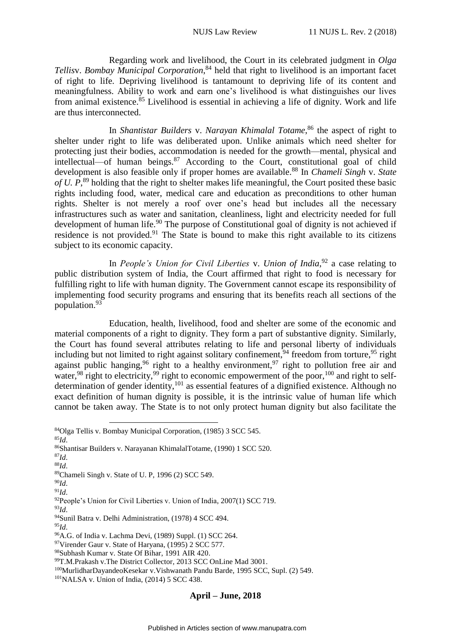Regarding work and livelihood, the Court in its celebrated judgment in *Olga Tellis*v. *Bombay Municipal Corporation*, <sup>84</sup> held that right to livelihood is an important facet of right to life. Depriving livelihood is tantamount to depriving life of its content and meaningfulness. Ability to work and earn one's livelihood is what distinguishes our lives from animal existence. <sup>85</sup> Livelihood is essential in achieving a life of dignity. Work and life are thus interconnected.

In *Shantistar Builders* v. *Narayan Khimalal Totame*, <sup>86</sup> the aspect of right to shelter under right to life was deliberated upon. Unlike animals which need shelter for protecting just their bodies, accommodation is needed for the growth—mental, physical and intellectual—of human beings. $87$  According to the Court, constitutional goal of child development is also feasible only if proper homes are available.<sup>88</sup> In *Chameli Singh* v. *State*  of U. P,<sup>89</sup> holding that the right to shelter makes life meaningful, the Court posited these basic rights including food, water, medical care and education as preconditions to other human rights. Shelter is not merely a roof over one's head but includes all the necessary infrastructures such as water and sanitation, cleanliness, light and electricity needed for full development of human life.<sup>90</sup> The purpose of Constitutional goal of dignity is not achieved if residence is not provided. $91$  The State is bound to make this right available to its citizens subject to its economic capacity.

In *People's Union for Civil Liberties* v. *Union of India*,<sup>92</sup> a case relating to public distribution system of India, the Court affirmed that right to food is necessary for fulfilling right to life with human dignity. The Government cannot escape its responsibility of implementing food security programs and ensuring that its benefits reach all sections of the population.<sup>93</sup>

Education, health, livelihood, food and shelter are some of the economic and material components of a right to dignity. They form a part of substantive dignity. Similarly, the Court has found several attributes relating to life and personal liberty of individuals including but not limited to right against solitary confinement,<sup>94</sup> freedom from torture,<sup>95</sup> right against public hanging,<sup>96</sup> right to a healthy environment,  $97$  right to pollution free air and water,  $98$  right to electricity,  $99$  right to economic empowerment of the poor,  $100$  and right to selfdetermination of gender identity,<sup>101</sup> as essential features of a dignified existence. Although no exact definition of human dignity is possible, it is the intrinsic value of human life which cannot be taken away. The State is to not only protect human dignity but also facilitate the

<sup>&</sup>lt;u>.</u> <sup>84</sup>Olga Tellis v. Bombay Municipal Corporation, (1985) 3 SCC 545. <sup>85</sup>*Id*. <sup>86</sup>Shantisar Builders v. Narayanan KhimalalTotame, (1990) 1 SCC 520. <sup>87</sup>*Id*. <sup>88</sup>*Id*. <sup>89</sup>Chameli Singh v. State of U. P, 1996 (2) SCC 549. <sup>90</sup>*Id*. <sup>91</sup>*Id*. <sup>92</sup>People's Union for Civil Liberties v. Union of India, 2007(1) SCC 719. <sup>93</sup>*Id*. <sup>94</sup>Sunil Batra v. Delhi Administration, (1978) 4 SCC 494. <sup>95</sup>*Id*. <sup>96</sup>A.G. of India v. Lachma Devi, (1989) Suppl. (1) SCC 264.

<sup>97</sup>Virender Gaur v. State of Haryana, (1995) 2 SCC 577.

<sup>98</sup>Subhash Kumar v. State Of Bihar, 1991 AIR 420.

<sup>99</sup>T.M.Prakash v.The District Collector, 2013 SCC OnLine Mad 3001.

<sup>100</sup>MurlidharDayandeoKesekar v.Vishwanath Pandu Barde, 1995 SCC, Supl. (2) 549.

<sup>101</sup>NALSA v. Union of India, (2014) 5 SCC 438.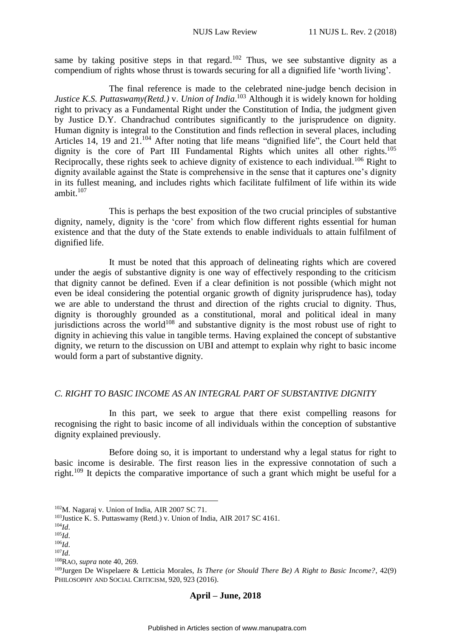same by taking positive steps in that regard.<sup>102</sup> Thus, we see substantive dignity as a compendium of rights whose thrust is towards securing for all a dignified life 'worth living'.

The final reference is made to the celebrated nine-judge bench decision in *Justice K.S. Puttaswamy(Retd.)* v. *Union of India*. <sup>103</sup> Although it is widely known for holding right to privacy as a Fundamental Right under the Constitution of India, the judgment given by Justice D.Y. Chandrachud contributes significantly to the jurisprudence on dignity. Human dignity is integral to the Constitution and finds reflection in several places, including Articles 14, 19 and 21.<sup>104</sup> After noting that life means "dignified life", the Court held that dignity is the core of Part III Fundamental Rights which unites all other rights.<sup>105</sup> Reciprocally, these rights seek to achieve dignity of existence to each individual.<sup>106</sup> Right to dignity available against the State is comprehensive in the sense that it captures one's dignity in its fullest meaning, and includes rights which facilitate fulfilment of life within its wide ambit. $107$ 

This is perhaps the best exposition of the two crucial principles of substantive dignity, namely, dignity is the 'core' from which flow different rights essential for human existence and that the duty of the State extends to enable individuals to attain fulfilment of dignified life.

It must be noted that this approach of delineating rights which are covered under the aegis of substantive dignity is one way of effectively responding to the criticism that dignity cannot be defined. Even if a clear definition is not possible (which might not even be ideal considering the potential organic growth of dignity jurisprudence has), today we are able to understand the thrust and direction of the rights crucial to dignity. Thus, dignity is thoroughly grounded as a constitutional, moral and political ideal in many jurisdictions across the world<sup>108</sup> and substantive dignity is the most robust use of right to dignity in achieving this value in tangible terms. Having explained the concept of substantive dignity, we return to the discussion on UBI and attempt to explain why right to basic income would form a part of substantive dignity.

# <span id="page-11-0"></span>*C. RIGHT TO BASIC INCOME AS AN INTEGRAL PART OF SUBSTANTIVE DIGNITY*

In this part, we seek to argue that there exist compelling reasons for recognising the right to basic income of all individuals within the conception of substantive dignity explained previously.

Before doing so, it is important to understand why a legal status for right to basic income is desirable. The first reason lies in the expressive connotation of such a right.<sup>109</sup> It depicts the comparative importance of such a grant which might be useful for a

<u>.</u>

<sup>102</sup>M. Nagaraj v. Union of India, AIR 2007 SC 71.

<sup>&</sup>lt;sup>103</sup>Justice K. S. Puttaswamy (Retd.) v. Union of India, AIR 2017 SC 4161.

<sup>104</sup>*Id*.

<sup>105</sup>*Id*.

<sup>106</sup>*Id*.  $107$ *Id* 

<sup>108</sup>RAO, *supra* note 40, 269.

<sup>109</sup>Jurgen De Wispelaere & Letticia Morales, *Is There (or Should There Be) A Right to Basic Income?*, 42(9) PHILOSOPHY AND SOCIAL CRITICISM, 920, 923 (2016).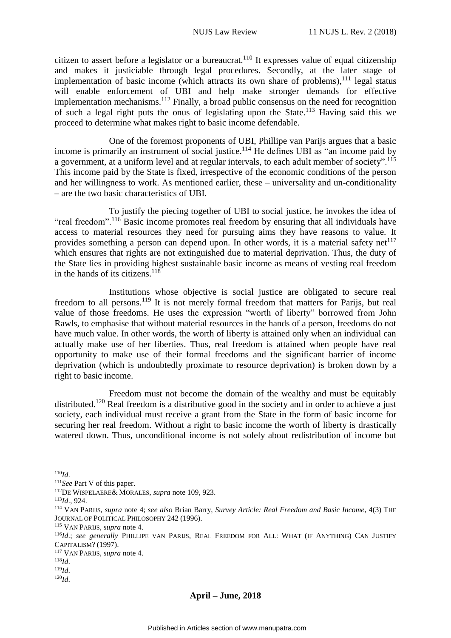citizen to assert before a legislator or a bureaucrat.<sup>110</sup> It expresses value of equal citizenship and makes it justiciable through legal procedures. Secondly, at the later stage of implementation of basic income (which attracts its own share of problems), $^{111}$  legal status will enable enforcement of UBI and help make stronger demands for effective implementation mechanisms.<sup>112</sup> Finally, a broad public consensus on the need for recognition of such a legal right puts the onus of legislating upon the State.<sup>113</sup> Having said this we proceed to determine what makes right to basic income defendable.

One of the foremost proponents of UBI, Phillipe van Parijs argues that a basic income is primarily an instrument of social justice.<sup>114</sup> He defines UBI as "an income paid by a government, at a uniform level and at regular intervals, to each adult member of society".<sup>115</sup> This income paid by the State is fixed, irrespective of the economic conditions of the person and her willingness to work. As mentioned earlier, these – universality and un-conditionality – are the two basic characteristics of UBI.

To justify the piecing together of UBI to social justice, he invokes the idea of "real freedom".<sup>116</sup> Basic income promotes real freedom by ensuring that all individuals have access to material resources they need for pursuing aims they have reasons to value. It provides something a person can depend upon. In other words, it is a material safety net $117$ which ensures that rights are not extinguished due to material deprivation. Thus, the duty of the State lies in providing highest sustainable basic income as means of vesting real freedom in the hands of its citizens. $118$ 

Institutions whose objective is social justice are obligated to secure real freedom to all persons.<sup>119</sup> It is not merely formal freedom that matters for Parijs, but real value of those freedoms. He uses the expression "worth of liberty" borrowed from John Rawls, to emphasise that without material resources in the hands of a person, freedoms do not have much value. In other words, the worth of liberty is attained only when an individual can actually make use of her liberties. Thus, real freedom is attained when people have real opportunity to make use of their formal freedoms and the significant barrier of income deprivation (which is undoubtedly proximate to resource deprivation) is broken down by a right to basic income.

Freedom must not become the domain of the wealthy and must be equitably distributed.<sup>120</sup> Real freedom is a distributive good in the society and in order to achieve a just society, each individual must receive a grant from the State in the form of basic income for securing her real freedom. Without a right to basic income the worth of liberty is drastically watered down. Thus, unconditional income is not solely about redistribution of income but

<sup>110</sup>*Id*.

1

<sup>111</sup>*See* Part V of this paper.

<sup>112</sup>DE WISPELAERE& MORALES, *supra* note 109, 923.

<sup>113</sup>*Id*., 924.

<sup>114</sup> VAN PARIJS, *supra* note 4; *see also* Brian Barry, *Survey Article: Real Freedom and Basic Income*, 4(3) THE JOURNAL OF POLITICAL PHILOSOPHY 242 (1996).

<sup>115</sup> VAN PARIJS, *supra* note 4.

<sup>116</sup>*Id*.; *see generally* PHILLIPE VAN PARIJS, REAL FREEDOM FOR ALL: WHAT (IF ANYTHING) CAN JUSTIFY CAPITALISM? (1997).

<sup>117</sup> VAN PARIJS, *supra* note 4.

<sup>118</sup>*Id*.

<sup>119</sup>*Id*.

<sup>120</sup>*Id*.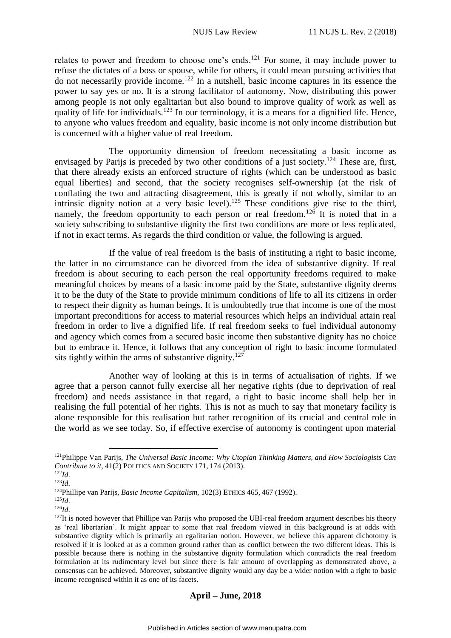relates to power and freedom to choose one's ends.<sup>121</sup> For some, it may include power to refuse the dictates of a boss or spouse, while for others, it could mean pursuing activities that do not necessarily provide income.<sup>122</sup> In a nutshell, basic income captures in its essence the power to say yes or no. It is a strong facilitator of autonomy. Now, distributing this power among people is not only egalitarian but also bound to improve quality of work as well as quality of life for individuals.<sup>123</sup> In our terminology, it is a means for a dignified life. Hence, to anyone who values freedom and equality, basic income is not only income distribution but is concerned with a higher value of real freedom.

The opportunity dimension of freedom necessitating a basic income as envisaged by Parijs is preceded by two other conditions of a just society.<sup>124</sup> These are, first, that there already exists an enforced structure of rights (which can be understood as basic equal liberties) and second, that the society recognises self-ownership (at the risk of conflating the two and attracting disagreement, this is greatly if not wholly, similar to an intrinsic dignity notion at a very basic level).<sup>125</sup> These conditions give rise to the third, namely, the freedom opportunity to each person or real freedom.<sup>126</sup> It is noted that in a society subscribing to substantive dignity the first two conditions are more or less replicated, if not in exact terms. As regards the third condition or value, the following is argued.

If the value of real freedom is the basis of instituting a right to basic income, the latter in no circumstance can be divorced from the idea of substantive dignity. If real freedom is about securing to each person the real opportunity freedoms required to make meaningful choices by means of a basic income paid by the State, substantive dignity deems it to be the duty of the State to provide minimum conditions of life to all its citizens in order to respect their dignity as human beings. It is undoubtedly true that income is one of the most important preconditions for access to material resources which helps an individual attain real freedom in order to live a dignified life. If real freedom seeks to fuel individual autonomy and agency which comes from a secured basic income then substantive dignity has no choice but to embrace it. Hence, it follows that any conception of right to basic income formulated sits tightly within the arms of substantive dignity.<sup>127</sup>

Another way of looking at this is in terms of actualisation of rights. If we agree that a person cannot fully exercise all her negative rights (due to deprivation of real freedom) and needs assistance in that regard, a right to basic income shall help her in realising the full potential of her rights. This is not as much to say that monetary facility is alone responsible for this realisation but rather recognition of its crucial and central role in the world as we see today. So, if effective exercise of autonomy is contingent upon material

<u>.</u>

<sup>121</sup>Philippe Van Parijs, *The Universal Basic Income: Why Utopian Thinking Matters, and How Sociologists Can Contribute to it*, 41(2) POLITICS AND SOCIETY 171, 174 (2013).

<sup>122</sup>*Id*.

<sup>123</sup>*Id*.

<sup>124</sup>Phillipe van Parijs, *Basic Income Capitalism*, 102(3) ETHICS 465, 467 (1992).

<sup>125</sup>*Id*.

<sup>126</sup>*Id*.

<sup>&</sup>lt;sup>127</sup>It is noted however that Phillipe van Parijs who proposed the UBI-real freedom argument describes his theory as 'real libertarian'. It might appear to some that real freedom viewed in this background is at odds with substantive dignity which is primarily an egalitarian notion. However, we believe this apparent dichotomy is resolved if it is looked at as a common ground rather than as conflict between the two different ideas. This is possible because there is nothing in the substantive dignity formulation which contradicts the real freedom formulation at its rudimentary level but since there is fair amount of overlapping as demonstrated above, a consensus can be achieved. Moreover, substantive dignity would any day be a wider notion with a right to basic income recognised within it as one of its facets.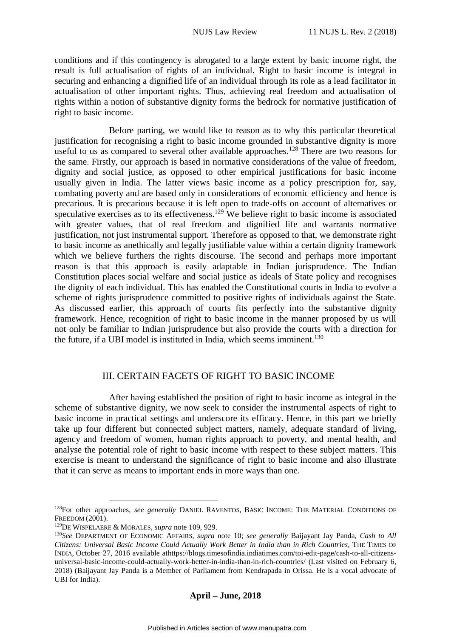conditions and if this contingency is abrogated to a large extent by basic income right, the result is full actualisation of rights of an individual. Right to basic income is integral in securing and enhancing a dignified life of an individual through its role as a lead facilitator in actualisation of other important rights. Thus, achieving real freedom and actualisation of rights within a notion of substantive dignity forms the bedrock for normative justification of right to basic income.

Before parting, we would like to reason as to why this particular theoretical justification for recognising a right to basic income grounded in substantive dignity is more useful to us as compared to several other available approaches.<sup>128</sup> There are two reasons for the same. Firstly, our approach is based in normative considerations of the value of freedom, dignity and social justice, as opposed to other empirical justifications for basic income usually given in India. The latter views basic income as a policy prescription for, say, combating poverty and are based only in considerations of economic efficiency and hence is precarious. It is precarious because it is left open to trade-offs on account of alternatives or speculative exercises as to its effectiveness.<sup>129</sup> We believe right to basic income is associated with greater values, that of real freedom and dignified life and warrants normative justification, not just instrumental support. Therefore as opposed to that, we demonstrate right to basic income as anethically and legally justifiable value within a certain dignity framework which we believe furthers the rights discourse. The second and perhaps more important reason is that this approach is easily adaptable in Indian jurisprudence. The Indian Constitution places social welfare and social justice as ideals of State policy and recognises the dignity of each individual. This has enabled the Constitutional courts in India to evolve a scheme of rights jurisprudence committed to positive rights of individuals against the State. As discussed earlier, this approach of courts fits perfectly into the substantive dignity framework. Hence, recognition of right to basic income in the manner proposed by us will not only be familiar to Indian jurisprudence but also provide the courts with a direction for the future, if a UBI model is instituted in India, which seems imminent.<sup>130</sup>

# III. CERTAIN FACETS OF RIGHT TO BASIC INCOME

<span id="page-14-0"></span>After having established the position of right to basic income as integral in the scheme of substantive dignity, we now seek to consider the instrumental aspects of right to basic income in practical settings and underscore its efficacy. Hence, in this part we briefly take up four different but connected subject matters, namely, adequate standard of living, agency and freedom of women, human rights approach to poverty, and mental health, and analyse the potential role of right to basic income with respect to these subject matters. This exercise is meant to understand the significance of right to basic income and also illustrate that it can serve as means to important ends in more ways than one.

<u>.</u>

<sup>128</sup>For other approaches, *see generally* DANIEL RAVENTOS, BASIC INCOME: THE MATERIAL CONDITIONS OF FREEDOM (2001).

<sup>129</sup>DE WISPELAERE & MORALES, *supra* note 109, 929.

<sup>130</sup>*See* DEPARTMENT OF ECONOMIC AFFAIRS, *supra* note 10; *see generally* Baijayant Jay Panda, *Cash to All Citizens: Universal Basic Income Could Actually Work Better in India than in Rich Countries*, THE TIMES OF INDIA, October 27, 2016 available athttps://blogs.timesofindia.indiatimes.com/toi-edit-page/cash-to-all-citizensuniversal-basic-income-could-actually-work-better-in-india-than-in-rich-countries/ (Last visited on February 6, 2018) (Baijayant Jay Panda is a Member of Parliament from Kendrapada in Orissa. He is a vocal advocate of UBI for India).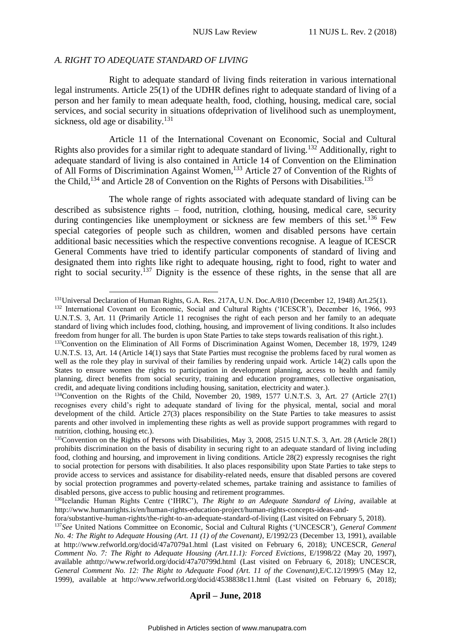# <span id="page-15-0"></span>*A. RIGHT TO ADEQUATE STANDARD OF LIVING*

Right to adequate standard of living finds reiteration in various international legal instruments. Article 25(1) of the UDHR defines right to adequate standard of living of a person and her family to mean adequate health, food, clothing, housing, medical care, social services, and social security in situations ofdeprivation of livelihood such as unemployment, sickness, old age or disability. $131$ 

Article 11 of the International Covenant on Economic, Social and Cultural Rights also provides for a similar right to adequate standard of living.<sup>132</sup> Additionally, right to adequate standard of living is also contained in Article 14 of Convention on the Elimination of All Forms of Discrimination Against Women,<sup>133</sup> Article 27 of Convention of the Rights of the Child,<sup>134</sup> and Article 28 of Convention on the Rights of Persons with Disabilities.<sup>135</sup>

The whole range of rights associated with adequate standard of living can be described as subsistence rights – food, nutrition, clothing, housing, medical care, security during contingencies like unemployment or sickness are few members of this set.<sup>136</sup> Few special categories of people such as children, women and disabled persons have certain additional basic necessities which the respective conventions recognise. A league of ICESCR General Comments have tried to identify particular components of standard of living and designated them into rights like right to adequate housing, right to food, right to water and right to social security.<sup>137</sup> Dignity is the essence of these rights, in the sense that all are

<sup>&</sup>lt;u>.</u> <sup>131</sup>Universal Declaration of Human Rights, G.A. Res. 217A, U.N. Doc.A/810 (December 12, 1948) Art.25(1).

<sup>132</sup> International Covenant on Economic, Social and Cultural Rights ('ICESCR'), December 16, 1966, 993 U.N.T.S. 3, Art. 11 (Primarily Article 11 recognises the right of each person and her family to an adequate standard of living which includes food, clothing, housing, and improvement of living conditions. It also includes freedom from hunger for all. The burden is upon State Parties to take steps towards realisation of this right.).

<sup>&</sup>lt;sup>133</sup>Convention on the Elimination of All Forms of Discrimination Against Women, December 18, 1979, 1249 U.N.T.S. 13, Art. 14 (Article 14(1) says that State Parties must recognise the problems faced by rural women as well as the role they play in survival of their families by rendering unpaid work. Article 14(2) calls upon the States to ensure women the rights to participation in development planning, access to health and family planning, direct benefits from social security, training and education programmes, collective organisation, credit, and adequate living conditions including housing, sanitation, electricity and water.).

<sup>&</sup>lt;sup>134</sup>Convention on the Rights of the Child, November 20, 1989, 1577 U.N.T.S. 3, Art. 27 (Article 27(1) recognises every child's right to adequate standard of living for the physical, mental, social and moral development of the child. Article 27(3) places responsibility on the State Parties to take measures to assist parents and other involved in implementing these rights as well as provide support programmes with regard to nutrition, clothing, housing etc.).

<sup>&</sup>lt;sup>135</sup>Convention on the Rights of Persons with Disabilities, May 3, 2008, 2515 U.N.T.S. 3, Art. 28 (Article 28(1) prohibits discrimination on the basis of disability in securing right to an adequate standard of living including food, clothing and hoursing, and improvement in living conditions. Article 28(2) expressly recognises the right to social protection for persons with disabilities. It also places responsibility upon State Parties to take steps to provide access to services and assistance for disability-related needs, ensure that disabled persons are covered by social protection programmes and poverty-related schemes, partake training and assistance to families of disabled persons, give access to public housing and retirement programmes.

<sup>136</sup>Icelandic Human Rights Centre ('IHRC'), *The Right to an Adequate Standard of Living*, available at http://www.humanrights.is/en/human-rights-education-project/human-rights-concepts-ideas-and-

fora/substantive-human-rights/the-right-to-an-adequate-standard-of-living (Last visited on February 5, 2018).

<sup>137</sup>*See* United Nations Committee on Economic, Social and Cultural Rights ('UNCESCR'), *General Comment No. 4: The Right to Adequate Housing (Art. 11 (1) of the Covenant)*, E/1992/23 (December 13, 1991), available at http://www.refworld.org/docid/47a7079a1.html (Last visited on February 6, 2018); UNCESCR, *General Comment No. 7: The Right to Adequate Housing (Art.11.1): Forced Evictions*, E/1998/22 (May 20, 1997), available athttp://www.refworld.org/docid/47a70799d.html (Last visited on February 6, 2018); UNCESCR, *General Comment No. 12: The Right to Adequate Food (Art. 11 of the Covenant)*,E/C.12/1999/5 (May 12, 1999), available at http://www.refworld.org/docid/4538838c11.html (Last visited on February 6, 2018);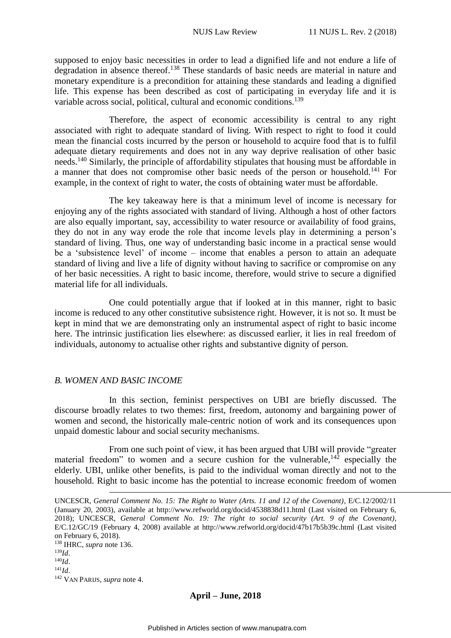supposed to enjoy basic necessities in order to lead a dignified life and not endure a life of degradation in absence thereof.<sup>138</sup> These standards of basic needs are material in nature and monetary expenditure is a precondition for attaining these standards and leading a dignified life. This expense has been described as cost of participating in everyday life and it is variable across social, political, cultural and economic conditions.<sup>139</sup>

Therefore, the aspect of economic accessibility is central to any right associated with right to adequate standard of living. With respect to right to food it could mean the financial costs incurred by the person or household to acquire food that is to fulfil adequate dietary requirements and does not in any way deprive realisation of other basic needs.<sup>140</sup> Similarly, the principle of affordability stipulates that housing must be affordable in a manner that does not compromise other basic needs of the person or household.<sup>141</sup> For example, in the context of right to water, the costs of obtaining water must be affordable.

The key takeaway here is that a minimum level of income is necessary for enjoying any of the rights associated with standard of living. Although a host of other factors are also equally important, say, accessibility to water resource or availability of food grains, they do not in any way erode the role that income levels play in determining a person's standard of living. Thus, one way of understanding basic income in a practical sense would be a 'subsistence level' of income – income that enables a person to attain an adequate standard of living and live a life of dignity without having to sacrifice or compromise on any of her basic necessities. A right to basic income, therefore, would strive to secure a dignified material life for all individuals.

One could potentially argue that if looked at in this manner, right to basic income is reduced to any other constitutive subsistence right. However, it is not so. It must be kept in mind that we are demonstrating only an instrumental aspect of right to basic income here. The intrinsic justification lies elsewhere: as discussed earlier, it lies in real freedom of individuals, autonomy to actualise other rights and substantive dignity of person.

# <span id="page-16-0"></span>*B. WOMEN AND BASIC INCOME*

In this section, feminist perspectives on UBI are briefly discussed. The discourse broadly relates to two themes: first, freedom, autonomy and bargaining power of women and second, the historically male-centric notion of work and its consequences upon unpaid domestic labour and social security mechanisms.

From one such point of view, it has been argued that UBI will provide "greater material freedom" to women and a secure cushion for the vulnerable,<sup>142</sup> especially the elderly. UBI, unlike other benefits, is paid to the individual woman directly and not to the household. Right to basic income has the potential to increase economic freedom of women

UNCESCR, *General Comment No. 15: The Right to Water (Arts. 11 and 12 of the Covenant)*, E/C.12/2002/11 (January 20, 2003), available at http://www.refworld.org/docid/4538838d11.html (Last visited on February 6, 2018); UNCESCR, *General Comment No. 19: The right to social security (Art. 9 of the Covenant)*, E/C.12/GC/19 (February 4, 2008) available at http://www.refworld.org/docid/47b17b5b39c.html (Last visited on February 6, 2018).

<sup>138</sup> IHRC, *supra* note 136. <sup>139</sup>*Id*. <sup>140</sup>*Id*. <sup>141</sup>*Id*. <sup>142</sup> VAN PARIJS, *supra* note 4.

1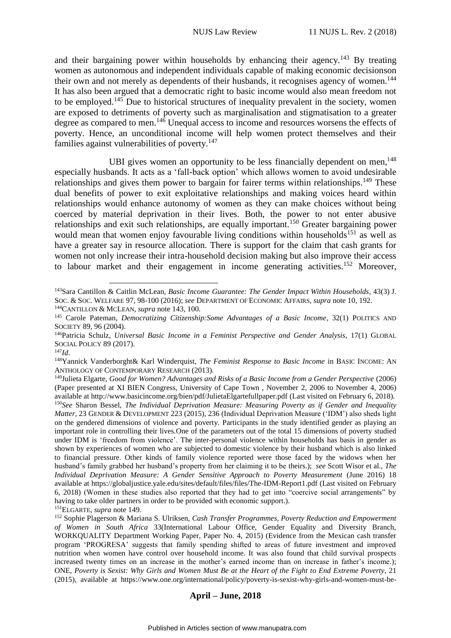and their bargaining power within households by enhancing their agency.<sup>143</sup> By treating women as autonomous and independent individuals capable of making economic decisionson their own and not merely as dependents of their husbands, it recognises agency of women.<sup>144</sup> It has also been argued that a democratic right to basic income would also mean freedom not to be employed.<sup>145</sup> Due to historical structures of inequality prevalent in the society, women are exposed to detriments of poverty such as marginalisation and stigmatisation to a greater degree as compared to men.<sup>146</sup> Unequal access to income and resources worsens the effects of poverty. Hence, an unconditional income will help women protect themselves and their families against vulnerabilities of poverty.<sup>147</sup>

UBI gives women an opportunity to be less financially dependent on men,<sup>148</sup> especially husbands. It acts as a 'fall-back option' which allows women to avoid undesirable relationships and gives them power to bargain for fairer terms within relationships.<sup>149</sup> These dual benefits of power to exit exploitative relationships and making voices heard within relationships would enhance autonomy of women as they can make choices without being coerced by material deprivation in their lives. Both, the power to not enter abusive relationships and exit such relationships, are equally important.<sup>150</sup> Greater bargaining power would mean that women enjoy favourable living conditions within households<sup>151</sup> as well as have a greater say in resource allocation. There is support for the claim that cash grants for women not only increase their intra-household decision making but also improve their access to labour market and their engagement in income generating activities.<sup>152</sup> Moreover,

<sup>151</sup>ELGARTE, *supra* note 149.

1

<sup>143</sup>Sara Cantillon & Caitlin McLean, *Basic Income Guarantee: The Gender Impact Within Households*, 43(3) J. SOC. & SOC. WELFARE 97, 98-100 (2016); *see* DEPARTMENT OF ECONOMIC AFFAIRS, *supra* note 10, 192. <sup>144</sup>CANTILLON & MCLEAN, *supra* note 143, 100.

<sup>145</sup> Carole Pateman, *Democratizing Citizenship:Some Advantages of a Basic Income*, 32(1) POLITICS AND SOCIETY 89, 96 (2004).

<sup>146</sup>Patricia Schulz, *Universal Basic Income in a Feminist Perspective and Gender Analysis*, 17(1) GLOBAL SOCIAL POLICY 89 (2017).

<sup>147</sup>*Id*.

<sup>148</sup>Yannick Vanderborght& Karl Winderquist, *The Feminist Response to Basic Income* in BASIC INCOME: AN ANTHOLOGY OF CONTEMPORARY RESEARCH (2013).

<sup>149</sup>Julieta Elgarte, *Good for Women? Advantages and Risks of a Basic Income from a Gender Perspective* (2006) (Paper presented at XI BIEN Congress, University of Cape Town , November 2, 2006 to November 4, 2006) available at http://www.basicincome.org/bien/pdf/JulietaElgartefullpaper.pdf (Last visited on February 6, 2018). <sup>150</sup>*See* Sharon Bessel, *The Individual Deprivation Measure: Measuring Poverty as if Gender and Inequality Matter*, 23 GENDER & DEVELOPMENT 223 (2015), 236 (Individual Deprivation Measure ('IDM') also sheds light on the gendered dimensions of violence and poverty. Participants in the study identified gender as playing an important role in controlling their lives.One of the parameters out of the total 15 dimensions of poverty studied under IDM is 'freedom from violence'. The inter-personal violence within households has basis in gender as shown by experiences of women who are subjected to domestic violence by their husband which is also linked to financial pressure. Other kinds of family violence reported were those faced by the widows when her husband's family grabbed her husband's property from her claiming it to be theirs.); *see* Scott Wisor et al., *The Individual Deprivation Measure: A Gender Sensitive Approach to Poverty Measurement* (June 2016) 18 available at https://globaljustice.yale.edu/sites/default/files/files/The-IDM-Report1.pdf (Last visited on February 6, 2018) (Women in these studies also reported that they had to get into "coercive social arrangements" by having to take older partners in order to be provided with economic support.).

<sup>152</sup> Sophie Plagerson & Mariana S. Ulriksen, *Cash Transfer Programmes, Poverty Reduction and Empowerment of Women in South Africa* 33(International Labour Office, Gender Equality and Diversity Branch, WORKQUALITY Department Working Paper, Paper No. 4, 2015) (Evidence from the Mexican cash transfer program 'PROGRESA' suggests that family spending shifted to areas of future investment and improved nutrition when women have control over household income. It was also found that child survival prospects increased twenty times on an increase in the mother's earned income than on increase in father's income.); ONE, *Poverty is Sexist: Why Girls and Women Must Be at the Heart of the Fight to End Extreme Poverty*, 21 (2015), available at https://www.one.org/international/policy/poverty-is-sexist-why-girls-and-women-must-be-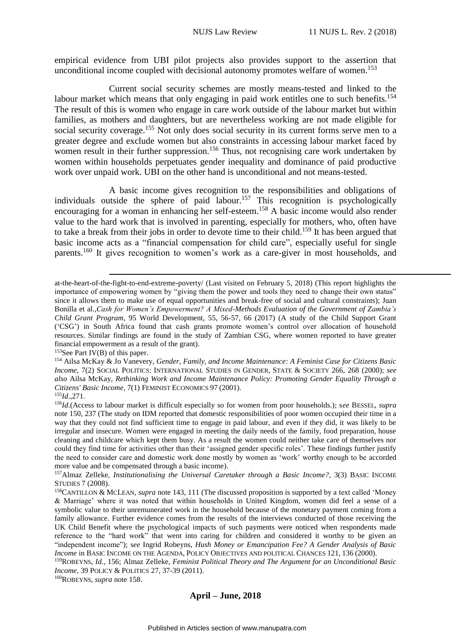empirical evidence from UBI pilot projects also provides support to the assertion that unconditional income coupled with decisional autonomy promotes welfare of women.<sup>153</sup>

Current social security schemes are mostly means-tested and linked to the labour market which means that only engaging in paid work entitles one to such benefits.<sup>154</sup> The result of this is women who engage in care work outside of the labour market but within families, as mothers and daughters, but are nevertheless working are not made eligible for social security coverage.<sup>155</sup> Not only does social security in its current forms serve men to a greater degree and exclude women but also constraints in accessing labour market faced by women result in their further suppression.<sup>156</sup> Thus, not recognising care work undertaken by women within households perpetuates gender inequality and dominance of paid productive work over unpaid work. UBI on the other hand is unconditional and not means-tested.

A basic income gives recognition to the responsibilities and obligations of individuals outside the sphere of paid labour.<sup>157</sup> This recognition is psychologically encouraging for a woman in enhancing her self-esteem.<sup>158</sup> A basic income would also render value to the hard work that is involved in parenting, especially for mothers, who, often have to take a break from their jobs in order to devote time to their child.<sup>159</sup> It has been argued that basic income acts as a "financial compensation for child care", especially useful for single parents.<sup>160</sup> It gives recognition to women's work as a care-giver in most households, and

1

<sup>160</sup>ROBEYNS, *supra* note 158.

at-the-heart-of-the-fight-to-end-extreme-poverty/ (Last visited on February 5, 2018) (This report highlights the importance of empowering women by "giving them the power and tools they need to change their own status" since it allows them to make use of equal opportunities and break-free of social and cultural constraints); Juan Bonilla et al.,*Cash for Women's Empowerment? A Mixed-Methods Evaluation of the Government of Zambia's Child Grant Program*, 95 World Development, 55, 56-57, 66 (2017) (A study of the Child Support Grant ('CSG') in South Africa found that cash grants promote women's control over allocation of household resources. Similar findings are found in the study of Zambian CSG, where women reported to have greater financial empowerment as a result of the grant).

 $153$ See Part IV(B) of this paper.

<sup>154</sup> Ailsa McKay & Jo Vanevery, *Gender, Family, and Income Maintenance: A Feminist Case for Citizens Basic Income*, 7(2) SOCIAL POLITICS: INTERNATIONAL STUDIES IN GENDER, STATE & SOCIETY 266, 268 (2000); *see also* Ailsa McKay, *Rethinking Work and Income Maintenance Policy: Promoting Gender Equality Through a Citizens' Basic Income*, 7(1) FEMINIST ECONOMICS 97 (2001).

<sup>155</sup>*Id*.,271.

<sup>156</sup>*Id*.(Access to labour market is difficult especially so for women from poor households.); s*ee* BESSEL, *supra*  note 150, 237 (The study on IDM reported that domestic responsibilities of poor women occupied their time in a way that they could not find sufficient time to engage in paid labour, and even if they did, it was likely to be irregular and insecure. Women were engaged in meeting the daily needs of the family, food preparation, house cleaning and childcare which kept them busy. As a result the women could neither take care of themselves nor could they find time for activities other than their 'assigned gender specific roles'. These findings further justify the need to consider care and domestic work done mostly by women as 'work' worthy enough to be accorded more value and be compensated through a basic income).

<sup>157</sup>Almaz Zelleke, *Institutionalising the Universal Caretaker through a Basic Income?,* 3(3) BASIC INCOME STUDIES 7 (2008).

<sup>158</sup>CANTILLON & MCLEAN, *supra* note 143, 111 (The discussed proposition is supported by a text called 'Money & Marriage' where it was noted that within households in United Kingdom, women did feel a sense of a symbolic value to their unremunerated work in the household because of the monetary payment coming from a family allowance. Further evidence comes from the results of the interviews conducted of those receiving the UK Child Benefit where the psychological impacts of such payments were noticed when respondents made reference to the "hard work" that went into caring for children and considered it worthy to be given an "independent income"); s*ee* Ingrid Robeyns, *Hush Money or Emancipation Fee? A Gender Analysis of Basic Income* in BASIC INCOME ON THE AGENDA, POLICY OBJECTIVES AND POLITICAL CHANCES 121, 136 (2000).

<sup>159</sup>ROBEYNS, *Id.*, 156; Almaz Zelleke, *Feminist Political Theory and The Argument for an Unconditional Basic Income*, 39 POLICY & POLITICS 27, 37-39 (2011).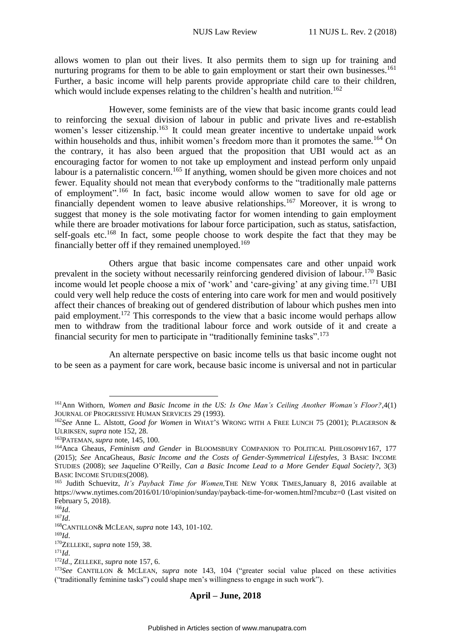allows women to plan out their lives. It also permits them to sign up for training and nurturing programs for them to be able to gain employment or start their own businesses.<sup>161</sup> Further, a basic income will help parents provide appropriate child care to their children, which would include expenses relating to the children's health and nutrition.<sup>162</sup>

However, some feminists are of the view that basic income grants could lead to reinforcing the sexual division of labour in public and private lives and re-establish women's lesser citizenship.<sup>163</sup> It could mean greater incentive to undertake unpaid work within households and thus, inhibit women's freedom more than it promotes the same.<sup>164</sup> On the contrary, it has also been argued that the proposition that UBI would act as an encouraging factor for women to not take up employment and instead perform only unpaid labour is a paternalistic concern.<sup>165</sup> If anything, women should be given more choices and not fewer. Equality should not mean that everybody conforms to the "traditionally male patterns of employment".<sup>166</sup> In fact, basic income would allow women to save for old age or financially dependent women to leave abusive relationships.<sup>167</sup> Moreover, it is wrong to suggest that money is the sole motivating factor for women intending to gain employment while there are broader motivations for labour force participation, such as status, satisfaction, self-goals etc.<sup>168</sup> In fact, some people choose to work despite the fact that they may be financially better off if they remained unemployed.<sup>169</sup>

Others argue that basic income compensates care and other unpaid work prevalent in the society without necessarily reinforcing gendered division of labour.<sup>170</sup> Basic income would let people choose a mix of 'work' and 'care-giving' at any giving time.<sup>171</sup> UBI could very well help reduce the costs of entering into care work for men and would positively affect their chances of breaking out of gendered distribution of labour which pushes men into paid employment.<sup>172</sup> This corresponds to the view that a basic income would perhaps allow men to withdraw from the traditional labour force and work outside of it and create a financial security for men to participate in "traditionally feminine tasks".<sup>173</sup>

An alternate perspective on basic income tells us that basic income ought not to be seen as a payment for care work, because basic income is universal and not in particular

<u>.</u>

<sup>169</sup>*Id*.

<sup>170</sup>ZELLEKE, *supra* note 159, 38.

<sup>171</sup>*Id*.

<sup>161</sup>Ann Withorn, *Women and Basic Income in the US: Is One Man's Ceiling Another Woman's Floor?*,4(1) JOURNAL OF PROGRESSIVE HUMAN SERVICES 29 (1993).

<sup>162</sup>*See* Anne L. Alstott, *Good for Women* in WHAT'S WRONG WITH A FREE LUNCH 75 (2001); PLAGERSON & ULRIKSEN, *supra* note 152, 28.

<sup>163</sup>PATEMAN, *supra* note, 145, 100.

<sup>164</sup>Anca Gheaus, *Feminism and Gender* in BLOOMSBURY COMPANION TO POLITICAL PHILOSOPHY167, 177 (2015); *See* AncaGheaus, *Basic Income and the Costs of Gender-Symmetrical Lifestyles*, 3 BASIC INCOME STUDIES (2008); s*ee* Jaqueline O'Reilly, *Can a Basic Income Lead to a More Gender Equal Society?*, 3(3) BASIC INCOME STUDIES(2008).

<sup>165</sup> Judith Schuevitz, *It's Payback Time for Women,*THE NEW YORK TIMES,January 8, 2016 available at https://www.nytimes.com/2016/01/10/opinion/sunday/payback-time-for-women.html?mcubz=0 (Last visited on February 5, 2018).

<sup>166</sup>*Id*.

<sup>167</sup>*Id*.

<sup>168</sup>CANTILLON& MCLEAN, *supra* note 143, 101-102.

<sup>172</sup>*Id*., ZELLEKE, *supra* note 157, 6.

<sup>173</sup>*See* CANTILLON & MCLEAN, *supra* note 143, 104 ("greater social value placed on these activities ("traditionally feminine tasks") could shape men's willingness to engage in such work").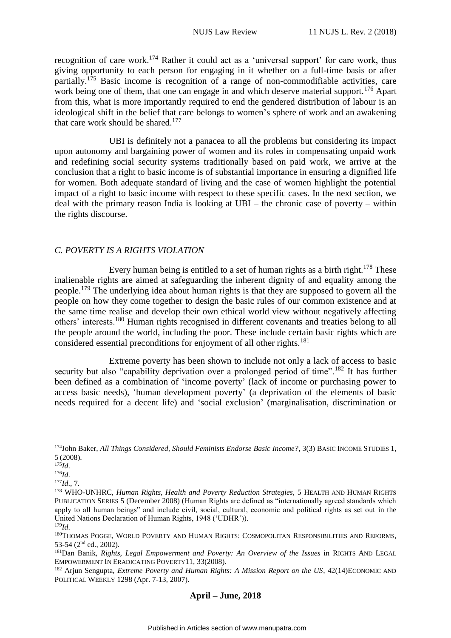recognition of care work.<sup>174</sup> Rather it could act as a 'universal support' for care work, thus giving opportunity to each person for engaging in it whether on a full-time basis or after partially.<sup>175</sup> Basic income is recognition of a range of non-commodifiable activities, care work being one of them, that one can engage in and which deserve material support.<sup>176</sup> Apart from this, what is more importantly required to end the gendered distribution of labour is an ideological shift in the belief that care belongs to women's sphere of work and an awakening that care work should be shared.<sup>177</sup>

UBI is definitely not a panacea to all the problems but considering its impact upon autonomy and bargaining power of women and its roles in compensating unpaid work and redefining social security systems traditionally based on paid work, we arrive at the conclusion that a right to basic income is of substantial importance in ensuring a dignified life for women. Both adequate standard of living and the case of women highlight the potential impact of a right to basic income with respect to these specific cases. In the next section, we deal with the primary reason India is looking at UBI – the chronic case of poverty – within the rights discourse.

# <span id="page-20-0"></span>*C. POVERTY IS A RIGHTS VIOLATION*

Every human being is entitled to a set of human rights as a birth right.<sup>178</sup> These inalienable rights are aimed at safeguarding the inherent dignity of and equality among the people.<sup>179</sup> The underlying idea about human rights is that they are supposed to govern all the people on how they come together to design the basic rules of our common existence and at the same time realise and develop their own ethical world view without negatively affecting others' interests.<sup>180</sup> Human rights recognised in different covenants and treaties belong to all the people around the world, including the poor. These include certain basic rights which are considered essential preconditions for enjoyment of all other rights.<sup>181</sup>

Extreme poverty has been shown to include not only a lack of access to basic security but also "capability deprivation over a prolonged period of time".<sup>182</sup> It has further been defined as a combination of 'income poverty' (lack of income or purchasing power to access basic needs), 'human development poverty' (a deprivation of the elements of basic needs required for a decent life) and 'social exclusion' (marginalisation, discrimination or

1

<sup>174</sup>John Baker, *All Things Considered, Should Feminists Endorse Basic Income?*, 3(3) BASIC INCOME STUDIES 1, 5 (2008).

<sup>175</sup>*Id*.

<sup>176</sup>*Id*.

<sup>177</sup>*Id*., 7.

<sup>178</sup> WHO-UNHRC, *Human Rights, Health and Poverty Reduction Strategies*, 5 HEALTH AND HUMAN RIGHTS PUBLICATION SERIES 5 (December 2008) (Human Rights are defined as "internationally agreed standards which apply to all human beings" and include civil, social, cultural, economic and political rights as set out in the United Nations Declaration of Human Rights, 1948 ('UDHR')). <sup>179</sup>*Id*.

<sup>180</sup>THOMAS POGGE, WORLD POVERTY AND HUMAN RIGHTS: COSMOPOLITAN RESPONSIBILITIES AND REFORMS, 53-54 (2nd ed., 2002).

<sup>181</sup>Dan Banik, *Rights, Legal Empowerment and Poverty: An Overview of the Issues* in RIGHTS AND LEGAL EMPOWERMENT IN ERADICATING POVERTY11, 33(2008).

<sup>182</sup> Arjun Sengupta, *Extreme Poverty and Human Rights: A Mission Report on the US*, 42(14)ECONOMIC AND POLITICAL WEEKLY 1298 (Apr. 7-13, 2007).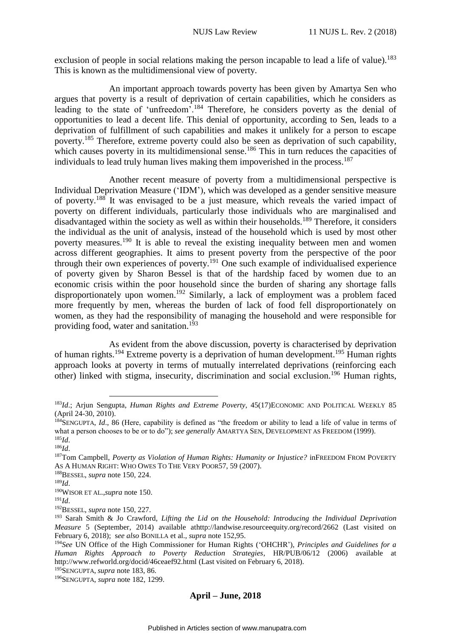exclusion of people in social relations making the person incapable to lead a life of value).<sup>183</sup> This is known as the multidimensional view of poverty.

An important approach towards poverty has been given by Amartya Sen who argues that poverty is a result of deprivation of certain capabilities, which he considers as leading to the state of 'unfreedom'.<sup>184</sup> Therefore, he considers poverty as the denial of opportunities to lead a decent life. This denial of opportunity, according to Sen, leads to a deprivation of fulfillment of such capabilities and makes it unlikely for a person to escape poverty.<sup>185</sup> Therefore, extreme poverty could also be seen as deprivation of such capability, which causes poverty in its multidimensional sense.<sup>186</sup> This in turn reduces the capacities of individuals to lead truly human lives making them impoverished in the process. 187

Another recent measure of poverty from a multidimensional perspective is Individual Deprivation Measure ('IDM'), which was developed as a gender sensitive measure of poverty.<sup>188</sup> It was envisaged to be a just measure, which reveals the varied impact of poverty on different individuals, particularly those individuals who are marginalised and disadvantaged within the society as well as within their households.<sup>189</sup> Therefore, it considers the individual as the unit of analysis, instead of the household which is used by most other poverty measures.<sup>190</sup> It is able to reveal the existing inequality between men and women across different geographies. It aims to present poverty from the perspective of the poor through their own experiences of poverty.<sup>191</sup> One such example of individualised experience of poverty given by Sharon Bessel is that of the hardship faced by women due to an economic crisis within the poor household since the burden of sharing any shortage falls disproportionately upon women.<sup>192</sup> Similarly, a lack of employment was a problem faced more frequently by men, whereas the burden of lack of food fell disproportionately on women, as they had the responsibility of managing the household and were responsible for providing food, water and sanitation.<sup>193</sup>

As evident from the above discussion, poverty is characterised by deprivation of human rights.<sup>194</sup> Extreme poverty is a deprivation of human development.<sup>195</sup> Human rights approach looks at poverty in terms of mutually interrelated deprivations (reinforcing each other) linked with stigma, insecurity, discrimination and social exclusion.<sup>196</sup> Human rights,

<sup>195</sup>SENGUPTA, *supra* note 183, 86.

<sup>&</sup>lt;u>.</u> <sup>183</sup>*Id*.; Arjun Sengupta, *Human Rights and Extreme Poverty*, 45(17)ECONOMIC AND POLITICAL WEEKLY 85 (April 24-30, 2010).

<sup>184</sup>SENGUPTA, *Id.*, 86 (Here, capability is defined as "the freedom or ability to lead a life of value in terms of what a person chooses to be or to do"); *see generally* AMARTYA SEN, DEVELOPMENT AS FREEDOM (1999). <sup>185</sup>*Id*.

<sup>186</sup>*Id*.

<sup>187</sup>Tom Campbell, *Poverty as Violation of Human Rights: Humanity or Injustice?* inFREEDOM FROM POVERTY AS A HUMAN RIGHT: WHO OWES TO THE VERY POOR57, 59 (2007).

<sup>188</sup>BESSEL, *supra* note 150, 224.

<sup>189</sup>*Id*.

<sup>190</sup>WISOR ET AL.,*supra* note 150.

<sup>191</sup>*Id*.

<sup>192</sup>BESSEL, *supra* note 150, 227.

<sup>193</sup> Sarah Smith & Jo Crawford, *Lifting the Lid on the Household: Introducing the Individual Deprivation Measure* 5 (September, 2014) available athttp://landwise.resourceequity.org/record/2662 (Last visited on February 6, 2018); s*ee also* BONILLA et al., *supra* note 152,95.

<sup>194</sup>*See* UN Office of the High Commissioner for Human Rights ('OHCHR'), *Principles and Guidelines for a Human Rights Approach to Poverty Reduction Strategies*, HR/PUB/06/12 (2006) available at http://www.refworld.org/docid/46ceaef92.html (Last visited on February 6, 2018).

<sup>196</sup>SENGUPTA, *supra* note 182, 1299.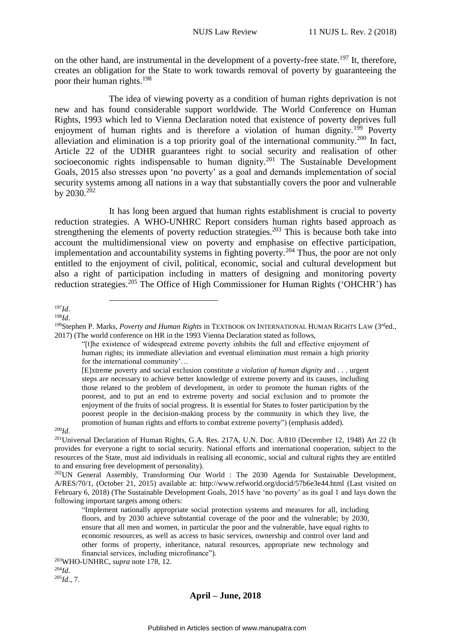on the other hand, are instrumental in the development of a poverty-free state.<sup>197</sup> It, therefore, creates an obligation for the State to work towards removal of poverty by guaranteeing the poor their human rights.<sup>198</sup>

The idea of viewing poverty as a condition of human rights deprivation is not new and has found considerable support worldwide. The World Conference on Human Rights, 1993 which led to Vienna Declaration noted that existence of poverty deprives full enjoyment of human rights and is therefore a violation of human dignity.<sup>199</sup> Poverty alleviation and elimination is a top priority goal of the international community.<sup>200</sup> In fact, Article 22 of the UDHR guarantees right to social security and realisation of other socioeconomic rights indispensable to human dignity.<sup>201</sup> The Sustainable Development Goals, 2015 also stresses upon 'no poverty' as a goal and demands implementation of social security systems among all nations in a way that substantially covers the poor and vulnerable by 2030.<sup>202</sup>

It has long been argued that human rights establishment is crucial to poverty reduction strategies. A WHO-UNHRC Report considers human rights based approach as strengthening the elements of poverty reduction strategies.<sup>203</sup> This is because both take into account the multidimensional view on poverty and emphasise on effective participation, implementation and accountability systems in fighting poverty.<sup>204</sup> Thus, the poor are not only entitled to the enjoyment of civil, political, economic, social and cultural development but also a right of participation including in matters of designing and monitoring poverty reduction strategies.<sup>205</sup> The Office of High Commissioner for Human Rights ('OHCHR') has

1

<sup>198</sup>*Id*.

<sup>200</sup>*Id*.

<sup>197</sup>*Id*.

<sup>&</sup>lt;sup>199</sup>Stephen P. Marks, *Poverty and Human Rights* in TEXTBOOK ON INTERNATIONAL HUMAN RIGHTS LAW (3<sup>rd</sup>ed., 2017) (The world conference on HR in the 1993 Vienna Declaration stated as follows,

<sup>&</sup>quot;[t]he existence of widespread extreme poverty inhibits the full and effective enjoyment of human rights; its immediate alleviation and eventual elimination must remain a high priority for the international community'…

<sup>[</sup>E]xtreme poverty and social exclusion constitute *a violation of human dignity* and . . . urgent steps are necessary to achieve better knowledge of extreme poverty and its causes, including those related to the problem of development, in order to promote the human rights of the poorest, and to put an end to extreme poverty and social exclusion and to promote the enjoyment of the fruits of social progress. It is essential for States to foster participation by the poorest people in the decision-making process by the community in which they live, the promotion of human rights and efforts to combat extreme poverty") (emphasis added).

<sup>&</sup>lt;sup>201</sup>Universal Declaration of Human Rights, G.A. Res. 217A, U.N. Doc. A/810 (December 12, 1948) Art 22 (It provides for everyone a right to social security. National efforts and international cooperation, subject to the resources of the State, must aid individuals in realising all economic, social and cultural rights they are entitled to and ensuring free development of personality).

<sup>&</sup>lt;sup>202</sup>UN General Assembly, Transforming Our World : The 2030 Agenda for Sustainable Development, A/RES/70/1, (October 21, 2015) available at: http://www.refworld.org/docid/57b6e3e44.html (Last visited on February 6, 2018) (The Sustainable Development Goals, 2015 have 'no poverty' as its goal 1 and lays down the following important targets among others:

<sup>&</sup>quot;Implement nationally appropriate social protection systems and measures for all, including floors, and by 2030 achieve substantial coverage of the poor and the vulnerable; by 2030, ensure that all men and women, in particular the poor and the vulnerable, have equal rights to economic resources, as well as access to basic services, ownership and control over land and other forms of property, inheritance, natural resources, appropriate new technology and financial services, including microfinance").

<sup>203</sup>WHO-UNHRC, *supra* note 178, 12.

<sup>204</sup>*Id*. <sup>205</sup>*Id*., 7.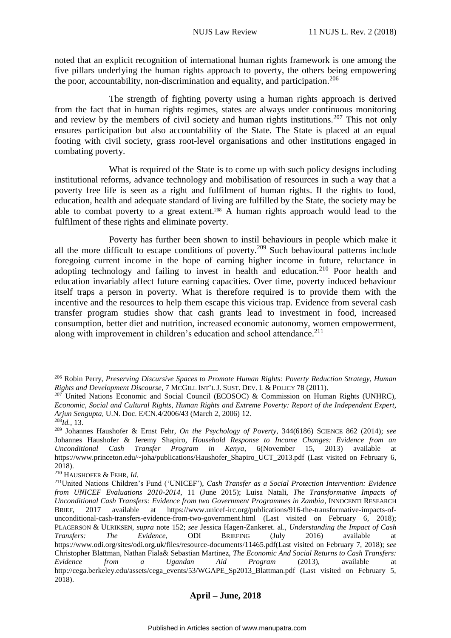noted that an explicit recognition of international human rights framework is one among the five pillars underlying the human rights approach to poverty, the others being empowering the poor, accountability, non-discrimination and equality, and participation.<sup>206</sup>

The strength of fighting poverty using a human rights approach is derived from the fact that in human rights regimes, states are always under continuous monitoring and review by the members of civil society and human rights institutions.<sup>207</sup> This not only ensures participation but also accountability of the State. The State is placed at an equal footing with civil society, grass root-level organisations and other institutions engaged in combating poverty.

What is required of the State is to come up with such policy designs including institutional reforms, advance technology and mobilisation of resources in such a way that a poverty free life is seen as a right and fulfilment of human rights. If the rights to food, education, health and adequate standard of living are fulfilled by the State, the society may be able to combat poverty to a great extent.<sup>208</sup> A human rights approach would lead to the fulfilment of these rights and eliminate poverty.

Poverty has further been shown to instil behaviours in people which make it all the more difficult to escape conditions of poverty.<sup>209</sup> Such behavioural patterns include foregoing current income in the hope of earning higher income in future, reluctance in adopting technology and failing to invest in health and education.<sup>210</sup> Poor health and education invariably affect future earning capacities. Over time, poverty induced behaviour itself traps a person in poverty. What is therefore required is to provide them with the incentive and the resources to help them escape this vicious trap. Evidence from several cash transfer program studies show that cash grants lead to investment in food, increased consumption, better diet and nutrition, increased economic autonomy, women empowerment, along with improvement in children's education and school attendance. $^{211}$ 

<u>.</u>

<sup>206</sup> Robin Perry, *Preserving Discursive Spaces to Promote Human Rights: Poverty Reduction Strategy, Human Rights and Development Discourse*, 7 MCGILL INT'L J. SUST. DEV. L & POLICY 78 (2011).

 $207$  United Nations Economic and Social Council (ECOSOC) & Commission on Human Rights (UNHRC), *Economic, Social and Cultural Rights*, *Human Rights and Extreme Poverty: Report of the Independent Expert, Arjun Sengupta*, U.N. Doc. E/CN.4/2006/43 (March 2, 2006) 12.

<sup>208</sup>*Id.,* 13.

<sup>209</sup> Johannes Haushofer & Ernst Fehr, *On the Psychology of Poverty*, 344(6186) SCIENCE 862 (2014); *see*  Johannes Haushofer & Jeremy Shapiro, *Household Response to Income Changes: Evidence from an Unconditional Cash Transfer Program in Kenya*, 6(November 15, 2013) available at https://www.princeton.edu/~joha/publications/Haushofer\_Shapiro\_UCT\_2013.pdf (Last visited on February 6, 2018).

<sup>210</sup> HAUSHOFER & FEHR, *Id*.

<sup>211</sup>United Nations Children's Fund ('UNICEF'), *Cash Transfer as a Social Protection Intervention: Evidence from UNICEF Evaluations 2010-2014*, 11 (June 2015); Luisa Natali, *The Transformative Impacts of Unconditional Cash Transfers: Evidence from two Government Programmes in Zambia*, INNOCENTI RESEARCH BRIEF, 2017 available at https://www.unicef-irc.org/publications/916-the-transformative-impacts-ofunconditional-cash-transfers-evidence-from-two-government.html (Last visited on February 6, 2018); PLAGERSON & ULRIKSEN, *supra* note 152; *see* Jessica Hagen-Zankeret. al., *Understanding the Impact of Cash Transfers: The Evidence*, ODI BRIEFING (July 2016) available at https://www.odi.org/sites/odi.org.uk/files/resource-documents/11465.pdf(Last visited on February 7, 2018); s*ee* Christopher Blattman, Nathan Fiala& Sebastian Martinez, *The Economic And Social Returns to Cash Transfers: Evidence from a Ugandan Aid Program* (2013), available at http://cega.berkeley.edu/assets/cega\_events/53/WGAPE\_Sp2013\_Blattman.pdf (Last visited on February 5, 2018).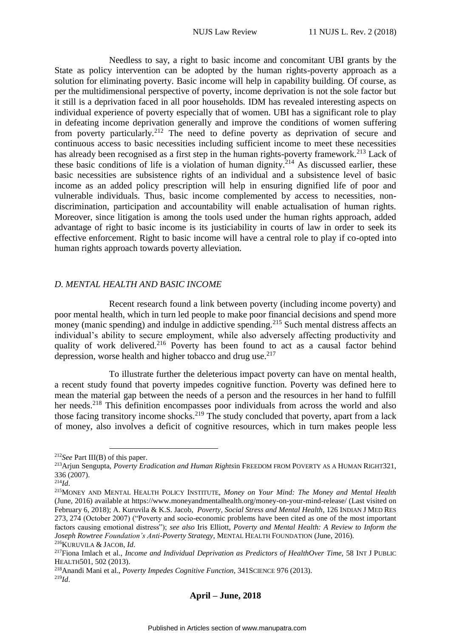Needless to say, a right to basic income and concomitant UBI grants by the State as policy intervention can be adopted by the human rights-poverty approach as a solution for eliminating poverty. Basic income will help in capability building. Of course, as per the multidimensional perspective of poverty, income deprivation is not the sole factor but it still is a deprivation faced in all poor households. IDM has revealed interesting aspects on individual experience of poverty especially that of women. UBI has a significant role to play in defeating income deprivation generally and improve the conditions of women suffering from poverty particularly.<sup>212</sup> The need to define poverty as deprivation of secure and continuous access to basic necessities including sufficient income to meet these necessities has already been recognised as a first step in the human rights-poverty framework.<sup>213</sup> Lack of these basic conditions of life is a violation of human dignity.<sup>214</sup> As discussed earlier, these basic necessities are subsistence rights of an individual and a subsistence level of basic income as an added policy prescription will help in ensuring dignified life of poor and vulnerable individuals. Thus, basic income complemented by access to necessities, nondiscrimination, participation and accountability will enable actualisation of human rights. Moreover, since litigation is among the tools used under the human rights approach, added advantage of right to basic income is its justiciability in courts of law in order to seek its effective enforcement. Right to basic income will have a central role to play if co-opted into human rights approach towards poverty alleviation.

#### <span id="page-24-0"></span>*D. MENTAL HEALTH AND BASIC INCOME*

Recent research found a link between poverty (including income poverty) and poor mental health, which in turn led people to make poor financial decisions and spend more money (manic spending) and indulge in addictive spending.<sup>215</sup> Such mental distress affects an individual's ability to secure employment, while also adversely affecting productivity and quality of work delivered.<sup>216</sup> Poverty has been found to act as a causal factor behind depression, worse health and higher tobacco and drug use. $217$ 

To illustrate further the deleterious impact poverty can have on mental health, a recent study found that poverty impedes cognitive function. Poverty was defined here to mean the material gap between the needs of a person and the resources in her hand to fulfill her needs.<sup>218</sup> This definition encompasses poor individuals from across the world and also those facing transitory income shocks.<sup>219</sup> The study concluded that poverty, apart from a lack of money, also involves a deficit of cognitive resources, which in turn makes people less

<u>.</u>

<sup>212</sup>*See* Part III(B) of this paper.

<sup>213</sup>Arjun Sengupta, *Poverty Eradication and Human Rights*in FREEDOM FROM POVERTY AS A HUMAN RIGHT321, 336 (2007).

<sup>214</sup>*Id*.

<sup>215</sup>MONEY AND MENTAL HEALTH POLICY INSTITUTE, *Money on Your Mind: The Money and Mental Health* (June, 2016) available at https://www.moneyandmentalhealth.org/money-on-your-mind-release/ (Last visited on February 6, 2018); A. Kuruvila & K.S. Jacob, *Poverty, Social Stress and Mental Health*, 126 INDIAN J MED RES 273, 274 (October 2007) ("Poverty and socio-economic problems have been cited as one of the most important factors causing emotional distress"); *see also* Iris Elliott, *Poverty and Mental Health: A Review to Inform the Joseph Rowtree Foundation's Anti-Poverty Strategy*, MENTAL HEALTH FOUNDATION (June, 2016). <sup>216</sup>KURUVILA & JACOB, *Id*.

<sup>217</sup>Fiona Imlach et al., *Income and Individual Deprivation as Predictors of HealthOver Time*, 58 INT J PUBLIC HEALTH501, 502 (2013).

<sup>218</sup>Anandi Mani et al., *Poverty Impedes Cognitive Function*, 341SCIENCE 976 (2013). <sup>219</sup>*Id*.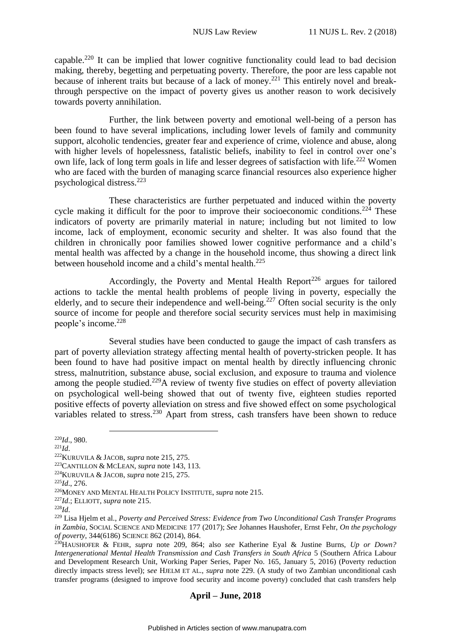capable.<sup>220</sup> It can be implied that lower cognitive functionality could lead to bad decision making, thereby, begetting and perpetuating poverty. Therefore, the poor are less capable not because of inherent traits but because of a lack of money.<sup>221</sup> This entirely novel and breakthrough perspective on the impact of poverty gives us another reason to work decisively towards poverty annihilation.

Further, the link between poverty and emotional well-being of a person has been found to have several implications, including lower levels of family and community support, alcoholic tendencies, greater fear and experience of crime, violence and abuse, along with higher levels of hopelessness, fatalistic beliefs, inability to feel in control over one's own life, lack of long term goals in life and lesser degrees of satisfaction with life.<sup>222</sup> Women who are faced with the burden of managing scarce financial resources also experience higher psychological distress.<sup>223</sup>

These characteristics are further perpetuated and induced within the poverty cycle making it difficult for the poor to improve their socioeconomic conditions.<sup>224</sup> These indicators of poverty are primarily material in nature; including but not limited to low income, lack of employment, economic security and shelter. It was also found that the children in chronically poor families showed lower cognitive performance and a child's mental health was affected by a change in the household income, thus showing a direct link between household income and a child's mental health. $225$ 

Accordingly, the Poverty and Mental Health Report<sup>226</sup> argues for tailored actions to tackle the mental health problems of people living in poverty, especially the elderly, and to secure their independence and well-being.<sup>227</sup> Often social security is the only source of income for people and therefore social security services must help in maximising people's income.<sup>228</sup>

Several studies have been conducted to gauge the impact of cash transfers as part of poverty alleviation strategy affecting mental health of poverty-stricken people. It has been found to have had positive impact on mental health by directly influencing chronic stress, malnutrition, substance abuse, social exclusion, and exposure to trauma and violence among the people studied.<sup>229</sup>A review of twenty five studies on effect of poverty alleviation on psychological well-being showed that out of twenty five, eighteen studies reported positive effects of poverty alleviation on stress and five showed effect on some psychological variables related to stress.<sup>230</sup> Apart from stress, cash transfers have been shown to reduce

- $^{221}Id.$
- <sup>222</sup>KURUVILA & JACOB, *supra* note 215, 275.

1

<sup>225</sup>*Id*., 276.

<sup>220</sup>*Id*., 980.

<sup>223</sup>CANTILLON & MCLEAN, *supra* note 143, 113.

<sup>224</sup>KURUVILA & JACOB, *supra* note 215, 275.

<sup>226</sup>MONEY AND MENTAL HEALTH POLICY INSTITUTE, *supra* note 215.

<sup>227</sup>*Id*.; ELLIOTT, *supra* note 215.

<sup>228</sup>*Id*.

<sup>229</sup> Lisa Hjelm et al., *Poverty and Perceived Stress: Evidence from Two Unconditional Cash Transfer Programs in Zambia*, SOCIAL SCIENCE AND MEDICINE 177 (2017); *See* Johannes Haushofer, Ernst Fehr, *On the psychology of poverty*, 344(6186) SCIENCE 862 (2014), 864.

<sup>230</sup>HAUSHOFER & FEHR, *supra* note 209, 864; also *see* Katherine Eyal & Justine Burns, *Up or Down? Intergenerational Mental Health Transmission and Cash Transfers in South Africa* 5 (Southern Africa Labour and Development Research Unit, Working Paper Series, Paper No. 165, January 5, 2016) (Poverty reduction directly impacts stress level); see HJELM ET AL., *supra* note 229. (A study of two Zambian unconditional cash transfer programs (designed to improve food security and income poverty) concluded that cash transfers help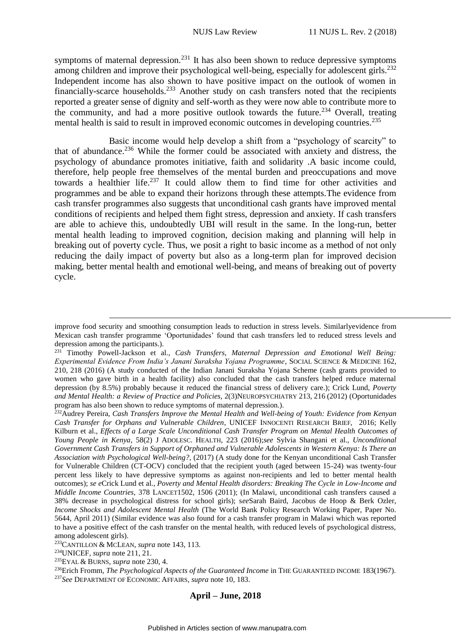symptoms of maternal depression.<sup>231</sup> It has also been shown to reduce depressive symptoms among children and improve their psychological well-being, especially for adolescent girls.<sup>232</sup> Independent income has also shown to have positive impact on the outlook of women in financially-scarce households.<sup>233</sup> Another study on cash transfers noted that the recipients reported a greater sense of dignity and self-worth as they were now able to contribute more to the community, and had a more positive outlook towards the future.<sup>234</sup> Overall, treating mental health is said to result in improved economic outcomes in developing countries.<sup>235</sup>

Basic income would help develop a shift from a "psychology of scarcity" to that of abundance. <sup>236</sup> While the former could be associated with anxiety and distress, the psychology of abundance promotes initiative, faith and solidarity .A basic income could, therefore, help people free themselves of the mental burden and preoccupations and move towards a healthier life.<sup>237</sup> It could allow them to find time for other activities and programmes and be able to expand their horizons through these attempts.The evidence from cash transfer programmes also suggests that unconditional cash grants have improved mental conditions of recipients and helped them fight stress, depression and anxiety. If cash transfers are able to achieve this, undoubtedly UBI will result in the same. In the long-run, better mental health leading to improved cognition, decision making and planning will help in breaking out of poverty cycle. Thus, we posit a right to basic income as a method of not only reducing the daily impact of poverty but also as a long-term plan for improved decision making, better mental health and emotional well-being, and means of breaking out of poverty cycle.

<u>.</u>

improve food security and smoothing consumption leads to reduction in stress levels. Similarlyevidence from Mexican cash transfer programme 'Oportunidades' found that cash transfers led to reduced stress levels and depression among the participants.).

<sup>231</sup> Timothy Powell-Jackson et al., *Cash Transfers, Maternal Depression and Emotional Well Being: Experimental Evidence From India's Janani Suraksha Yojana Programme*, SOCIAL SCIENCE & MEDICINE 162, 210, 218 (2016) (A study conducted of the Indian Janani Suraksha Yojana Scheme (cash grants provided to women who gave birth in a health facility) also concluded that the cash transfers helped reduce maternal depression (by 8.5%) probably because it reduced the financial stress of delivery care.); Crick Lund, *Poverty and Mental Health: a Review of Practice and Policies*, 2(3)NEUROPSYCHIATRY 213, 216 (2012) (Oportunidades program has also been shown to reduce symptoms of maternal depression.).

<sup>232</sup>Audrey Pereira, *Cash Transfers Improve the Mental Health and Well-being of Youth: Evidence from Kenyan Cash Transfer for Orphans and Vulnerable Children*, UNICEF INNOCENTI RESEARCH BRIEF, 2016; Kelly Kilburn et al., *Effects of a Large Scale Unconditional Cash Transfer Program on Mental Health Outcomes of Young People in Kenya*, 58(2) J ADOLESC. HEALTH, 223 (2016);*see* Sylvia Shangani et al., *Unconditional Government Cash Transfers in Support of Orphaned and Vulnerable Adolescents in Western Kenya: Is There an Association with Psychological Well-being?*, (2017) (A study done for the Kenyan unconditional Cash Transfer for Vulnerable Children (CT-OCV) concluded that the recipient youth (aged between 15-24) was twenty-four percent less likely to have depressive symptoms as against non-recipients and led to better mental health outcomes); *se e*Crick Lund et al., *Poverty and Mental Health disorders: Breaking The Cycle in Low-Income and Middle Income Countries*, 378 LANCET1502, 1506 (2011); (In Malawi, unconditional cash transfers caused a 38% decrease in psychological distress for school girls); s*ee*Sarah Baird, Jacobus de Hoop & Berk Ozler, *Income Shocks and Adolescent Mental Health* (The World Bank Policy Research Working Paper, Paper No. 5644, April 2011) (Similar evidence was also found for a cash transfer program in Malawi which was reported to have a positive effect of the cash transfer on the mental health, with reduced levels of psychological distress, among adolescent girls).

<sup>233</sup>CANTILLON & MCLEAN, *supra* note 143, 113.

<sup>234</sup>UNICEF, *supra* note 211, 21.

<sup>235</sup>EYAL & BURNS, *supra* note 230, 4.

<sup>&</sup>lt;sup>236</sup>Erich Fromm, *The Psychological Aspects of the Guaranteed Income* in THE GUARANTEED INCOME 183(1967). <sup>237</sup>*See* DEPARTMENT OF ECONOMIC AFFAIRS, *supra* note 10, 183.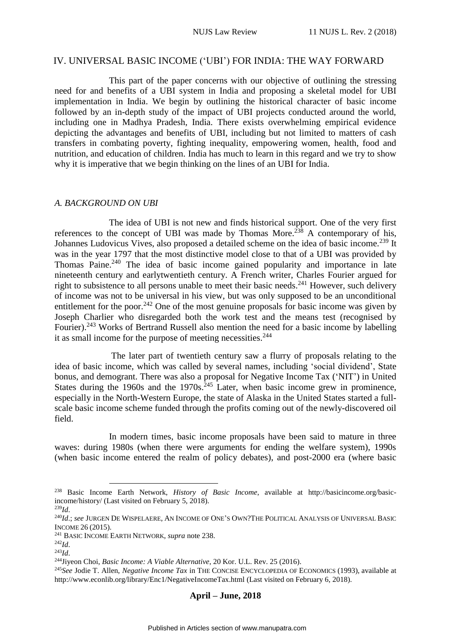### <span id="page-27-0"></span>IV. UNIVERSAL BASIC INCOME ('UBI') FOR INDIA: THE WAY FORWARD

This part of the paper concerns with our objective of outlining the stressing need for and benefits of a UBI system in India and proposing a skeletal model for UBI implementation in India. We begin by outlining the historical character of basic income followed by an in-depth study of the impact of UBI projects conducted around the world, including one in Madhya Pradesh, India. There exists overwhelming empirical evidence depicting the advantages and benefits of UBI, including but not limited to matters of cash transfers in combating poverty, fighting inequality, empowering women, health, food and nutrition, and education of children. India has much to learn in this regard and we try to show why it is imperative that we begin thinking on the lines of an UBI for India.

#### <span id="page-27-1"></span>*A. BACKGROUND ON UBI*

The idea of UBI is not new and finds historical support. One of the very first references to the concept of UBI was made by Thomas More.<sup>238</sup> A contemporary of his, Johannes Ludovicus Vives, also proposed a detailed scheme on the idea of basic income.<sup>239</sup> It was in the year 1797 that the most distinctive model close to that of a UBI was provided by Thomas Paine.<sup>240</sup> The idea of basic income gained popularity and importance in late nineteenth century and earlytwentieth century. A French writer, Charles Fourier argued for right to subsistence to all persons unable to meet their basic needs.<sup>241</sup> However, such delivery of income was not to be universal in his view, but was only supposed to be an unconditional entitlement for the poor.<sup>242</sup> One of the most genuine proposals for basic income was given by Joseph Charlier who disregarded both the work test and the means test (recognised by Fourier).<sup>243</sup> Works of Bertrand Russell also mention the need for a basic income by labelling it as small income for the purpose of meeting necessities.<sup>244</sup>

The later part of twentieth century saw a flurry of proposals relating to the idea of basic income, which was called by several names, including 'social dividend', State bonus, and demogrant. There was also a proposal for Negative Income Tax ('NIT') in United States during the  $1960s$  and the  $1970s$ .<sup>245</sup> Later, when basic income grew in prominence, especially in the North-Western Europe, the state of Alaska in the United States started a fullscale basic income scheme funded through the profits coming out of the newly-discovered oil field.

In modern times, basic income proposals have been said to mature in three waves: during 1980s (when there were arguments for ending the welfare system), 1990s (when basic income entered the realm of policy debates), and post-2000 era (where basic

<u>.</u>

<sup>238</sup> Basic Income Earth Network, *History of Basic Income*, available at http://basicincome.org/basicincome/history/ (Last visited on February 5, 2018).

<sup>239</sup>*Id*.

<sup>240</sup>*Id*.; *see* JURGEN DE WISPELAERE, AN INCOME OF ONE'S OWN?THE POLITICAL ANALYSIS OF UNIVERSAL BASIC INCOME 26 (2015).

<sup>241</sup> BASIC INCOME EARTH NETWORK, *supra* note 238.

<sup>242</sup>*Id*.

<sup>243</sup>*Id*.

<sup>244</sup>Jiyeon Choi, *Basic Income: A Viable Alternative*, 20 Kor. U.L. Rev. 25 (2016).

<sup>245</sup>*See* Jodie T. Allen, *Negative Income Tax* in THE CONCISE ENCYCLOPEDIA OF ECONOMICS (1993), available at http://www.econlib.org/library/Enc1/NegativeIncomeTax.html (Last visited on February 6, 2018).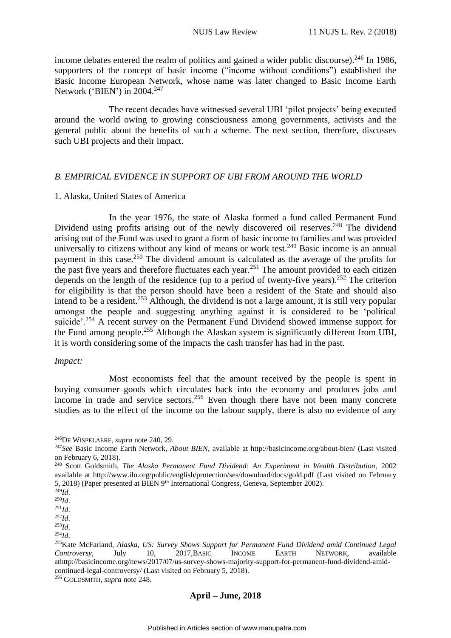income debates entered the realm of politics and gained a wider public discourse).<sup>246</sup> In 1986, supporters of the concept of basic income ("income without conditions") established the Basic Income European Network, whose name was later changed to Basic Income Earth Network ('BIEN') in 2004.<sup>247</sup>

The recent decades have witnessed several UBI 'pilot projects' being executed around the world owing to growing consciousness among governments, activists and the general public about the benefits of such a scheme. The next section, therefore, discusses such UBI projects and their impact.

# <span id="page-28-0"></span>*B. EMPIRICAL EVIDENCE IN SUPPORT OF UBI FROM AROUND THE WORLD*

### <span id="page-28-1"></span>1. Alaska, United States of America

In the year 1976, the state of Alaska formed a fund called Permanent Fund Dividend using profits arising out of the newly discovered oil reserves.<sup>248</sup> The dividend arising out of the Fund was used to grant a form of basic income to families and was provided universally to citizens without any kind of means or work test.<sup>249</sup> Basic income is an annual payment in this case.<sup>250</sup> The dividend amount is calculated as the average of the profits for the past five years and therefore fluctuates each year.<sup>251</sup> The amount provided to each citizen depends on the length of the residence (up to a period of twenty-five years).<sup>252</sup> The criterion for eligibility is that the person should have been a resident of the State and should also intend to be a resident.<sup>253</sup> Although, the dividend is not a large amount, it is still very popular amongst the people and suggesting anything against it is considered to be 'political suicide'.<sup>254</sup> A recent survey on the Permanent Fund Dividend showed immense support for the Fund among people.<sup>255</sup> Although the Alaskan system is significantly different from UBI, it is worth considering some of the impacts the cash transfer has had in the past.

#### *Impact:*

Most economists feel that the amount received by the people is spent in buying consumer goods which circulates back into the economy and produces jobs and income in trade and service sectors.<sup>256</sup> Even though there have not been many concrete studies as to the effect of the income on the labour supply, there is also no evidence of any

1

<sup>246</sup>DE WISPELAERE, *supra* note 240, 29.

<sup>247</sup>*See* Basic Income Earth Network, *About BIEN*, available at http://basicincome.org/about-bien/ (Last visited on February 6, 2018).

<sup>248</sup> Scott Goldsmith, *The Alaska Permanent Fund Dividend: An Experiment in Wealth Distribution*, 2002 available at http://www.ilo.org/public/english/protection/ses/download/docs/gold.pdf (Last visited on February 5, 2018) (Paper presented at BIEN 9<sup>th</sup> International Congress, Geneva, September 2002).

<sup>249</sup>*Id*. <sup>250</sup>*Id*.

<sup>251</sup>*Id*.

<sup>252</sup>*Id*.

<sup>253</sup>*Id*.

<sup>254</sup>*Id*.

<sup>255</sup>Kate McFarland, *Alaska, US: Survey Shows Support for Permanent Fund Dividend amid Continued Legal Controversy*, July 10, 2017,BASIC INCOME EARTH NETWORK, available athttp://basicincome.org/news/2017/07/us-survey-shows-majority-support-for-permanent-fund-dividend-amidcontinued-legal-controversy/ (Last visited on February 5, 2018).

<sup>256</sup> GOLDSMITH, *supra* note 248.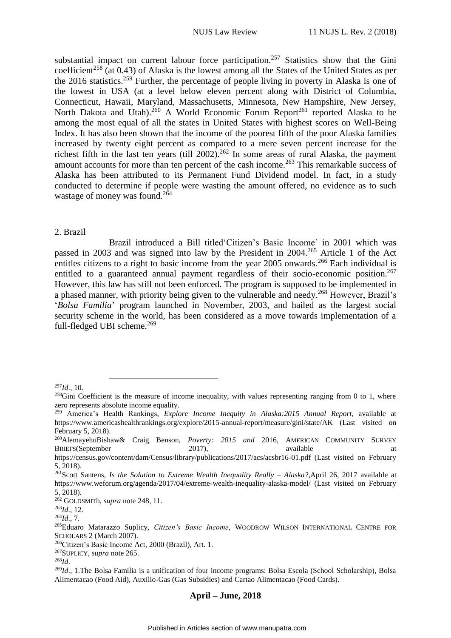substantial impact on current labour force participation.<sup>257</sup> Statistics show that the Gini coefficient<sup>258</sup> (at 0.43) of Alaska is the lowest among all the States of the United States as per the 2016 statistics.<sup>259</sup> Further, the percentage of people living in poverty in Alaska is one of the lowest in USA (at a level below eleven percent along with District of Columbia, Connecticut, Hawaii, Maryland, Massachusetts, Minnesota, New Hampshire, New Jersey, North Dakota and Utah).<sup>260</sup> A World Economic Forum Report<sup>261</sup> reported Alaska to be among the most equal of all the states in United States with highest scores on Well-Being Index. It has also been shown that the income of the poorest fifth of the poor Alaska families increased by twenty eight percent as compared to a mere seven percent increase for the richest fifth in the last ten years (till 2002).<sup>262</sup> In some areas of rural Alaska, the payment amount accounts for more than ten percent of the cash income.<sup>263</sup> This remarkable success of Alaska has been attributed to its Permanent Fund Dividend model. In fact, in a study conducted to determine if people were wasting the amount offered, no evidence as to such wastage of money was found. 264

#### <span id="page-29-0"></span>2. Brazil

Brazil introduced a Bill titled'Citizen's Basic Income' in 2001 which was passed in 2003 and was signed into law by the President in 2004.<sup>265</sup> Article 1 of the Act entitles citizens to a right to basic income from the year 2005 onwards.<sup>266</sup> Each individual is entitled to a guaranteed annual payment regardless of their socio-economic position.<sup>267</sup> However, this law has still not been enforced. The program is supposed to be implemented in a phased manner, with priority being given to the vulnerable and needy.<sup>268</sup> However, Brazil's '*Bolsa Familia*' program launched in November, 2003, and hailed as the largest social security scheme in the world, has been considered as a move towards implementation of a full-fledged UBI scheme.<sup>269</sup>

1

 $^{257}$ *Id*., 10.

 $^{258}$ Gini Coefficient is the measure of income inequality, with values representing ranging from 0 to 1, where zero represents absolute income equality.

<sup>259</sup> America's Health Rankings, *Explore Income Inequity in Alaska:2015 Annual Report*, available at https://www.americashealthrankings.org/explore/2015-annual-report/measure/gini/state/AK (Last visited on February 5, 2018).

<sup>260</sup>AlemayehuBishaw& Craig Benson, *Poverty: 2015 and* 2016, AMERICAN COMMUNITY SURVEY BRIEFS(September 2017), and available at a sample at a sample at a sample at a sample at a sample at a sample at a sample at a sample at a sample at a sample at a sample at a sample at a sample at a sample at a sample at a

https://census.gov/content/dam/Census/library/publications/2017/acs/acsbr16-01.pdf (Last visited on February 5, 2018).

<sup>261</sup>Scott Santens, *Is the Solution to Extreme Wealth Inequality Really – Alaska?*,April 26, 2017 available at https://www.weforum.org/agenda/2017/04/extreme-wealth-inequality-alaska-model/ (Last visited on February 5, 2018).

<sup>262</sup> GOLDSMITh, *supra* note 248, 11.

<sup>263</sup>*Id*., 12.

<sup>264</sup>*Id*., 7.

<sup>265</sup>Eduaro Matarazzo Suplicy, *Citizen's Basic Income*, WOODROW WILSON INTERNATIONAL CENTRE FOR SCHOLARS 2 (March 2007).

<sup>266</sup>Citizen's Basic Income Act, 2000 (Brazil), Art. 1.

<sup>267</sup>SUPLICY, *supra* note 265.

<sup>268</sup>*Id*.

<sup>&</sup>lt;sup>269</sup>Id., 1.The Bolsa Familia is a unification of four income programs: Bolsa Escola (School Scholarship), Bolsa Alimentacao (Food Aid), Auxilio-Gas (Gas Subsidies) and Cartao Alimentacao (Food Cards).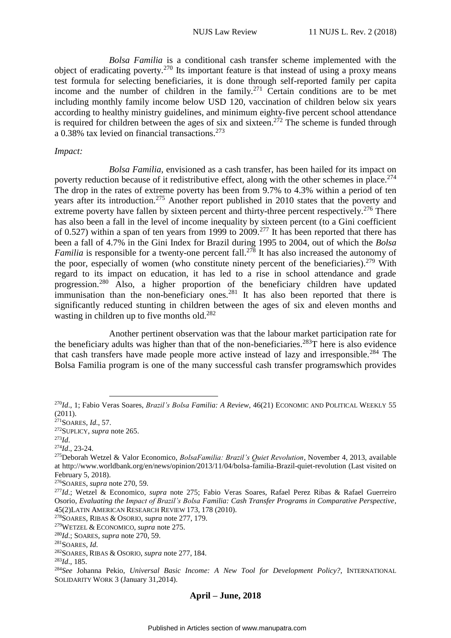*Bolsa Familia* is a conditional cash transfer scheme implemented with the object of eradicating poverty.<sup>270</sup> Its important feature is that instead of using a proxy means test formula for selecting beneficiaries, it is done through self-reported family per capita income and the number of children in the family.<sup>271</sup> Certain conditions are to be met including monthly family income below USD 120, vaccination of children below six years according to healthy ministry guidelines, and minimum eighty-five percent school attendance is required for children between the ages of six and sixteen.<sup>272</sup> The scheme is funded through a 0.38% tax levied on financial transactions.<sup>273</sup>

#### *Impact:*

*Bolsa Familia*, envisioned as a cash transfer, has been hailed for its impact on poverty reduction because of it redistributive effect, along with the other schemes in place.<sup>274</sup> The drop in the rates of extreme poverty has been from 9.7% to 4.3% within a period of ten years after its introduction.<sup>275</sup> Another report published in 2010 states that the poverty and extreme poverty have fallen by sixteen percent and thirty-three percent respectively.<sup>276</sup> There has also been a fall in the level of income inequality by sixteen percent (to a Gini coefficient of 0.527) within a span of ten years from 1999 to 2009.<sup>277</sup> It has been reported that there has been a fall of 4.7% in the Gini Index for Brazil during 1995 to 2004, out of which the *Bolsa Familia* is responsible for a twenty-one percent fall.<sup>278</sup> It has also increased the autonomy of the poor, especially of women (who constitute ninety percent of the beneficiaries).<sup>279</sup> With regard to its impact on education, it has led to a rise in school attendance and grade progression.<sup>280</sup> Also, a higher proportion of the beneficiary children have updated immunisation than the non-beneficiary ones.<sup>281</sup> It has also been reported that there is significantly reduced stunting in children between the ages of six and eleven months and wasting in children up to five months old.<sup>282</sup>

Another pertinent observation was that the labour market participation rate for the beneficiary adults was higher than that of the non-beneficiaries.<sup>283</sup>T here is also evidence that cash transfers have made people more active instead of lazy and irresponsible.<sup>284</sup> The Bolsa Familia program is one of the many successful cash transfer programswhich provides

<sup>271</sup>SOARES, *Id*., 57.

<sup>272</sup>SUPLICY, *supra* note 265.

<u>.</u>

<sup>274</sup>*Id*., 23-24.

<sup>278</sup>SOARES, RIBAS & OSORIO, *supra* note 277, 179.

<sup>279</sup>WETZEL & ECONOMICO, *supra* note 275.

<sup>270</sup>*Id*., 1; Fabio Veras Soares, *Brazil's Bolsa Familia: A Review*, 46(21) ECONOMIC AND POLITICAL WEEKLY 55 (2011).

<sup>273</sup>*Id*.

<sup>275</sup>Deborah Wetzel & Valor Economico, *BolsaFamilia: Brazil's Quiet Revolution*, November 4, 2013, available at http://www.worldbank.org/en/news/opinion/2013/11/04/bolsa-familia-Brazil-quiet-revolution (Last visited on February 5, 2018).

<sup>276</sup>SOARES, *supra* note 270, 59.

<sup>277</sup>*Id*.; Wetzel & Economico, *supra* note 275; Fabio Veras Soares, Rafael Perez Ribas & Rafael Guerreiro Osorio, *Evaluating the Impact of Brazil's Bolsa Familia: Cash Transfer Programs in Comparative Perspective*, 45(2)LATIN AMERICAN RESEARCH REVIEW 173, 178 (2010).

<sup>280</sup>*Id*.; SOARES, *supra* note 270, 59.

<sup>281</sup>SOARES, *Id*.

<sup>282</sup>SOARES, RIBAS & OSORIO, *supra* note 277, 184.

<sup>283</sup>*Id*., 185.

<sup>284</sup>*See* Johanna Pekio, *Universal Basic Income: A New Tool for Development Policy?*, INTERNATIONAL SOLIDARITY WORK 3 (January 31,2014).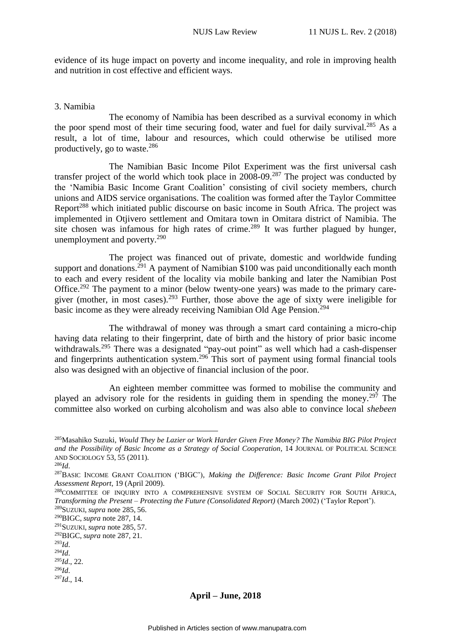evidence of its huge impact on poverty and income inequality, and role in improving health and nutrition in cost effective and efficient ways.

### <span id="page-31-0"></span>3. Namibia

The economy of Namibia has been described as a survival economy in which the poor spend most of their time securing food, water and fuel for daily survival.<sup>285</sup> As a result, a lot of time, labour and resources, which could otherwise be utilised more productively, go to waste.<sup>286</sup>

The Namibian Basic Income Pilot Experiment was the first universal cash transfer project of the world which took place in  $2008-09$ .<sup>287</sup> The project was conducted by the 'Namibia Basic Income Grant Coalition' consisting of civil society members, church unions and AIDS service organisations. The coalition was formed after the Taylor Committee Report<sup>288</sup> which initiated public discourse on basic income in South Africa. The project was implemented in Otjivero settlement and Omitara town in Omitara district of Namibia. The site chosen was infamous for high rates of crime.<sup>289</sup> It was further plagued by hunger, unemployment and poverty.<sup>290</sup>

The project was financed out of private, domestic and worldwide funding support and donations.<sup>291</sup> A payment of Namibian \$100 was paid unconditionally each month to each and every resident of the locality via mobile banking and later the Namibian Post Office.<sup>292</sup> The payment to a minor (below twenty-one years) was made to the primary caregiver (mother, in most cases).<sup>293</sup> Further, those above the age of sixty were ineligible for basic income as they were already receiving Namibian Old Age Pension.<sup>294</sup>

The withdrawal of money was through a smart card containing a micro-chip having data relating to their fingerprint, date of birth and the history of prior basic income withdrawals.<sup>295</sup> There was a designated "pay-out point" as well which had a cash-dispenser and fingerprints authentication system.<sup>296</sup> This sort of payment using formal financial tools also was designed with an objective of financial inclusion of the poor.

An eighteen member committee was formed to mobilise the community and played an advisory role for the residents in guiding them in spending the money.<sup>297</sup> The committee also worked on curbing alcoholism and was also able to convince local *shebeen*

1

<sup>285</sup>Masahiko Suzuki, *Would They be Lazier or Work Harder Given Free Money? The Namibia BIG Pilot Project and the Possibility of Basic Income as a Strategy of Social Cooperation*, 14 JOURNAL OF POLITICAL SCIENCE AND SOCIOLOGY 53, 55 (2011).

<sup>286</sup>*Id*.

<sup>287</sup>BASIC INCOME GRANT COALITION ('BIGC'), *Making the Difference: Basic Income Grant Pilot Project Assessment Report*, 19 (April 2009).

<sup>&</sup>lt;sup>288</sup>COMMITTEE OF INQUIRY INTO A COMPREHENSIVE SYSTEM OF SOCIAL SECURITY FOR SOUTH AFRICA, *Transforming the Present – Protecting the Future (Consolidated Report)* (March 2002) ('Taylor Report').

<sup>289</sup>SUZUKI, *supra* note 285, 56.

<sup>290</sup>BIGC, *supra* note 287, 14. <sup>291</sup>SUZUKI, *supra* note 285, 57.

<sup>292</sup>BIGC, *supra* note 287, 21.

<sup>293</sup>*Id*.

<sup>294</sup>*Id*.

<sup>295</sup>*Id*., 22.

<sup>296</sup>*Id*.

<sup>297</sup>*Id*., 14.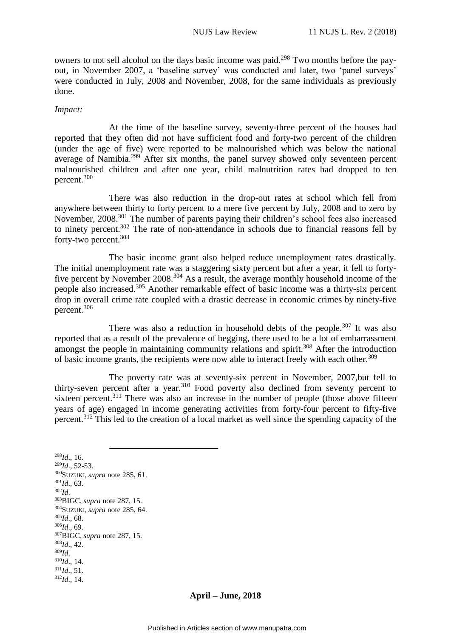owners to not sell alcohol on the days basic income was paid.<sup>298</sup> Two months before the payout, in November 2007, a 'baseline survey' was conducted and later, two 'panel surveys' were conducted in July, 2008 and November, 2008, for the same individuals as previously done.

#### *Impact:*

At the time of the baseline survey, seventy-three percent of the houses had reported that they often did not have sufficient food and forty-two percent of the children (under the age of five) were reported to be malnourished which was below the national average of Namibia.<sup>299</sup> After six months, the panel survey showed only seventeen percent malnourished children and after one year, child malnutrition rates had dropped to ten percent. 300

There was also reduction in the drop-out rates at school which fell from anywhere between thirty to forty percent to a mere five percent by July, 2008 and to zero by November, 2008.<sup>301</sup> The number of parents paying their children's school fees also increased to ninety percent.<sup>302</sup> The rate of non-attendance in schools due to financial reasons fell by forty-two percent.<sup>303</sup>

The basic income grant also helped reduce unemployment rates drastically. The initial unemployment rate was a staggering sixty percent but after a year, it fell to fortyfive percent by November 2008.<sup>304</sup> As a result, the average monthly household income of the people also increased.<sup>305</sup> Another remarkable effect of basic income was a thirty-six percent drop in overall crime rate coupled with a drastic decrease in economic crimes by ninety-five percent. 306

There was also a reduction in household debts of the people.<sup>307</sup> It was also reported that as a result of the prevalence of begging, there used to be a lot of embarrassment amongst the people in maintaining community relations and spirit.<sup>308</sup> After the introduction of basic income grants, the recipients were now able to interact freely with each other.<sup>309</sup>

The poverty rate was at seventy-six percent in November, 2007,but fell to thirty-seven percent after a year.<sup>310</sup> Food poverty also declined from seventy percent to sixteen percent.<sup>311</sup> There was also an increase in the number of people (those above fifteen years of age) engaged in income generating activities from forty-four percent to fifty-five percent.<sup>312</sup> This led to the creation of a local market as well since the spending capacity of the

<u>.</u> <sup>298</sup>*Id*., 16. <sup>299</sup>*Id*., 52-53. <sup>300</sup>SUZUKI, *supra* note 285, 61. <sup>301</sup>*Id*., 63. <sup>302</sup>*Id*. <sup>303</sup>BIGC, *supra* note 287, 15. <sup>304</sup>SUZUKI, *supra* note 285, 64. <sup>305</sup>*Id*., 68. <sup>306</sup>*Id*., 69. <sup>307</sup>BIGC, *supra* note 287, 15. <sup>308</sup>*Id*., 42. <sup>309</sup>*Id*.  $310$ *Id.*, 14.  $^{311}$ *Id*., 51. <sup>312</sup>*Id*., 14.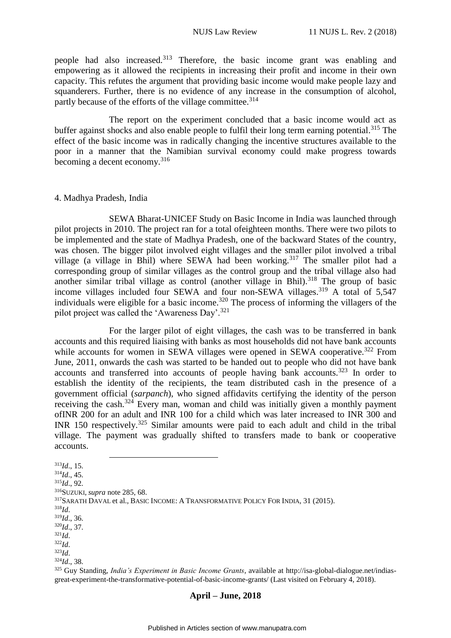people had also increased.<sup>313</sup> Therefore, the basic income grant was enabling and empowering as it allowed the recipients in increasing their profit and income in their own capacity. This refutes the argument that providing basic income would make people lazy and squanderers. Further, there is no evidence of any increase in the consumption of alcohol, partly because of the efforts of the village committee.<sup>314</sup>

The report on the experiment concluded that a basic income would act as buffer against shocks and also enable people to fulfil their long term earning potential.<sup>315</sup> The effect of the basic income was in radically changing the incentive structures available to the poor in a manner that the Namibian survival economy could make progress towards becoming a decent economy.<sup>316</sup>

#### <span id="page-33-0"></span>4. Madhya Pradesh, India

SEWA Bharat-UNICEF Study on Basic Income in India was launched through pilot projects in 2010. The project ran for a total ofeighteen months. There were two pilots to be implemented and the state of Madhya Pradesh, one of the backward States of the country, was chosen. The bigger pilot involved eight villages and the smaller pilot involved a tribal village (a village in Bhil) where SEWA had been working.<sup>317</sup> The smaller pilot had a corresponding group of similar villages as the control group and the tribal village also had another similar tribal village as control (another village in Bhil). $318$  The group of basic income villages included four SEWA and four non-SEWA villages.<sup>319</sup> A total of 5,547 individuals were eligible for a basic income. <sup>320</sup> The process of informing the villagers of the pilot project was called the 'Awareness Day'.<sup>321</sup>

For the larger pilot of eight villages, the cash was to be transferred in bank accounts and this required liaising with banks as most households did not have bank accounts while accounts for women in SEWA villages were opened in SEWA cooperative.<sup>322</sup> From June, 2011, onwards the cash was started to be handed out to people who did not have bank accounts and transferred into accounts of people having bank accounts.<sup>323</sup> In order to establish the identity of the recipients, the team distributed cash in the presence of a government official (*sarpanch*), who signed affidavits certifying the identity of the person receiving the cash.<sup>324</sup> Every man, woman and child was initially given a monthly payment ofINR 200 for an adult and INR 100 for a child which was later increased to INR 300 and INR 150 respectively.<sup>325</sup> Similar amounts were paid to each adult and child in the tribal village. The payment was gradually shifted to transfers made to bank or cooperative accounts.

<sup>1</sup> <sup>313</sup>*Id*., 15. <sup>314</sup>*Id*., 45. <sup>315</sup>*Id*., 92. <sup>316</sup>SUZUKI, *supra* note 285, 68. <sup>317</sup>SARATH DAVAL et al., BASIC INCOME: A TRANSFORMATIVE POLICY FOR INDIA, 31 (2015). <sup>318</sup>*Id*. <sup>319</sup>*Id*., 36. <sup>320</sup>*Id*., 37. <sup>321</sup>*Id*. <sup>322</sup>*Id*. <sup>323</sup>*Id*. <sup>324</sup>*Id*., 38. <sup>325</sup> Guy Standing, *India's Experiment in Basic Income Grants*, available at http://isa-global-dialogue.net/indiasgreat-experiment-the-transformative-potential-of-basic-income-grants/ (Last visited on February 4, 2018).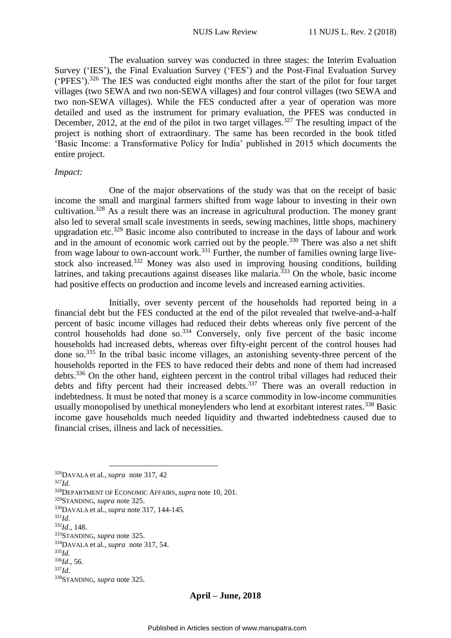The evaluation survey was conducted in three stages: the Interim Evaluation Survey ('IES'), the Final Evaluation Survey ('FES') and the Post-Final Evaluation Survey ('PFES').<sup>326</sup> The IES was conducted eight months after the start of the pilot for four target villages (two SEWA and two non-SEWA villages) and four control villages (two SEWA and two non-SEWA villages). While the FES conducted after a year of operation was more detailed and used as the instrument for primary evaluation, the PFES was conducted in December, 2012, at the end of the pilot in two target villages.<sup>327</sup> The resulting impact of the project is nothing short of extraordinary. The same has been recorded in the book titled 'Basic Income: a Transformative Policy for India' published in 2015 which documents the entire project.

#### *Impact:*

One of the major observations of the study was that on the receipt of basic income the small and marginal farmers shifted from wage labour to investing in their own cultivation.<sup>328</sup> As a result there was an increase in agricultural production. The money grant also led to several small scale investments in seeds, sewing machines, little shops, machinery upgradation etc.<sup>329</sup> Basic income also contributed to increase in the days of labour and work and in the amount of economic work carried out by the people.<sup>330</sup> There was also a net shift from wage labour to own-account work.<sup>331</sup> Further, the number of families owning large livestock also increased.<sup>332</sup> Money was also used in improving housing conditions, building latrines, and taking precautions against diseases like malaria.<sup> $333$ </sup> On the whole, basic income had positive effects on production and income levels and increased earning activities.

Initially, over seventy percent of the households had reported being in a financial debt but the FES conducted at the end of the pilot revealed that twelve-and-a-half percent of basic income villages had reduced their debts whereas only five percent of the control households had done so.<sup>334</sup> Conversely, only five percent of the basic income households had increased debts, whereas over fifty-eight percent of the control houses had done so.<sup>335</sup> In the tribal basic income villages, an astonishing seventy-three percent of the households reported in the FES to have reduced their debts and none of them had increased debts.<sup>336</sup> On the other hand, eighteen percent in the control tribal villages had reduced their debts and fifty percent had their increased debts.<sup>337</sup> There was an overall reduction in indebtedness. It must be noted that money is a scarce commodity in low-income communities usually monopolised by unethical moneylenders who lend at exorbitant interest rates.<sup>338</sup> Basic income gave households much needed liquidity and thwarted indebtedness caused due to financial crises, illness and lack of necessities.

<sup>326</sup>DAVALA et al., *supra* note 317, 42 <sup>327</sup>*Id*. <sup>328</sup>DEPARTMENT OF ECONOMIC AFFAIRS, *supra* note 10, 201. <sup>329</sup>STANDING, *supra* note 325. <sup>330</sup>DAVALA et al., *supra* note 317, 144-145. <sup>331</sup>*Id*. <sup>332</sup>*Id*., 148. <sup>333</sup>STANDING, *supra* note 325. <sup>334</sup>DAVALA et al., *supra* note 317, 54. <sup>335</sup>*Id*. <sup>336</sup>*Id*., 56. <sup>337</sup>*Id*. <sup>338</sup>STANDING, *supra* note 325.

1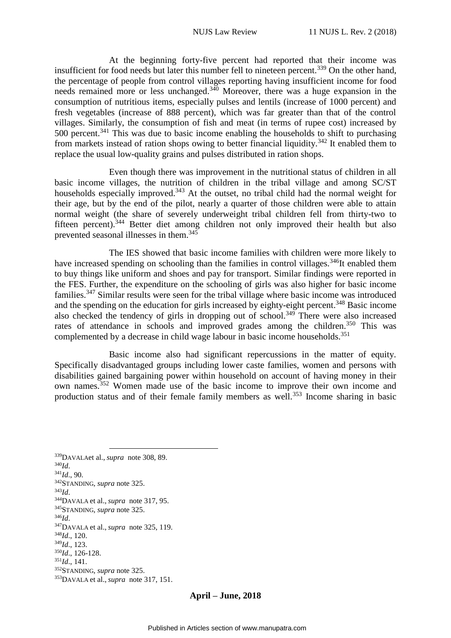At the beginning forty-five percent had reported that their income was insufficient for food needs but later this number fell to nineteen percent.<sup>339</sup> On the other hand, the percentage of people from control villages reporting having insufficient income for food needs remained more or less unchanged. <sup>340</sup> Moreover, there was a huge expansion in the consumption of nutritious items, especially pulses and lentils (increase of 1000 percent) and fresh vegetables (increase of 888 percent), which was far greater than that of the control villages. Similarly, the consumption of fish and meat (in terms of rupee cost) increased by 500 percent.<sup>341</sup> This was due to basic income enabling the households to shift to purchasing from markets instead of ration shops owing to better financial liquidity.<sup>342</sup> It enabled them to replace the usual low-quality grains and pulses distributed in ration shops.

Even though there was improvement in the nutritional status of children in all basic income villages, the nutrition of children in the tribal village and among SC/ST households especially improved.<sup>343</sup> At the outset, no tribal child had the normal weight for their age, but by the end of the pilot, nearly a quarter of those children were able to attain normal weight (the share of severely underweight tribal children fell from thirty-two to fifteen percent).<sup>344</sup> Better diet among children not only improved their health but also prevented seasonal illnesses in them.<sup>345</sup>

The IES showed that basic income families with children were more likely to have increased spending on schooling than the families in control villages.<sup>346</sup>It enabled them to buy things like uniform and shoes and pay for transport. Similar findings were reported in the FES. Further, the expenditure on the schooling of girls was also higher for basic income families.<sup>347</sup> Similar results were seen for the tribal village where basic income was introduced and the spending on the education for girls increased by eighty-eight percent.<sup>348</sup> Basic income also checked the tendency of girls in dropping out of school.<sup>349</sup> There were also increased rates of attendance in schools and improved grades among the children.<sup>350</sup> This was complemented by a decrease in child wage labour in basic income households.<sup>351</sup>

Basic income also had significant repercussions in the matter of equity. Specifically disadvantaged groups including lower caste families, women and persons with disabilities gained bargaining power within household on account of having money in their own names.<sup>352</sup> Women made use of the basic income to improve their own income and production status and of their female family members as well.<sup>353</sup> Income sharing in basic

<u>.</u> <sup>339</sup>DAVALAet al., *supra* note 308, 89. <sup>340</sup>*Id*. <sup>341</sup>*Id*., 90. <sup>342</sup>STANDING, *supra* note 325. <sup>343</sup>*Id*. <sup>344</sup>DAVALA et al., *supra* note 317, 95. <sup>345</sup>STANDING, *supra* note 325. <sup>346</sup>*Id*. <sup>347</sup>DAVALA et al., *supra* note 325, 119. <sup>348</sup>*Id*., 120. <sup>349</sup>*Id*., 123. <sup>350</sup>*Id*., 126-128.  $351$ *Id.*, 141. <sup>352</sup>STANDING, *supra* note 325. <sup>353</sup>DAVALA et al., *supra* note 317, 151.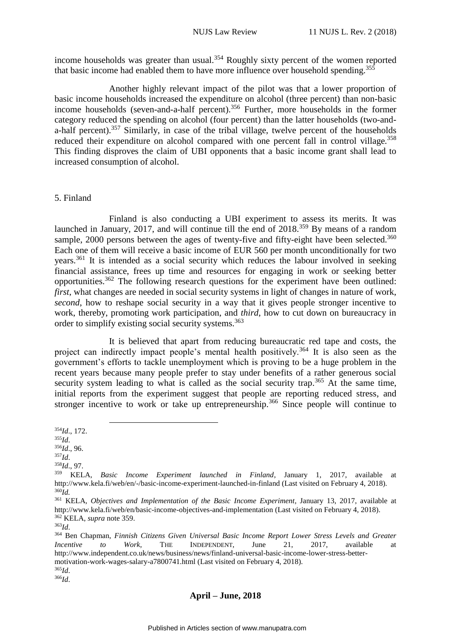income households was greater than usual.<sup>354</sup> Roughly sixty percent of the women reported that basic income had enabled them to have more influence over household spending.<sup>355</sup>

Another highly relevant impact of the pilot was that a lower proportion of basic income households increased the expenditure on alcohol (three percent) than non-basic income households (seven-and-a-half percent).<sup>356</sup> Further, more households in the former category reduced the spending on alcohol (four percent) than the latter households (two-anda-half percent).<sup>357</sup> Similarly, in case of the tribal village, twelve percent of the households reduced their expenditure on alcohol compared with one percent fall in control village.<sup>358</sup> This finding disproves the claim of UBI opponents that a basic income grant shall lead to increased consumption of alcohol.

### <span id="page-36-0"></span>5. Finland

Finland is also conducting a UBI experiment to assess its merits. It was launched in January, 2017, and will continue till the end of 2018.<sup>359</sup> By means of a random sample, 2000 persons between the ages of twenty-five and fifty-eight have been selected.<sup>360</sup> Each one of them will receive a basic income of EUR 560 per month unconditionally for two years.<sup>361</sup> It is intended as a social security which reduces the labour involved in seeking financial assistance, frees up time and resources for engaging in work or seeking better opportunities.<sup>362</sup> The following research questions for the experiment have been outlined: *first*, what changes are needed in social security systems in light of changes in nature of work, *second*, how to reshape social security in a way that it gives people stronger incentive to work, thereby, promoting work participation, and *third*, how to cut down on bureaucracy in order to simplify existing social security systems. 363

It is believed that apart from reducing bureaucratic red tape and costs, the project can indirectly impact people's mental health positively.<sup>364</sup> It is also seen as the government's efforts to tackle unemployment which is proving to be a huge problem in the recent years because many people prefer to stay under benefits of a rather generous social security system leading to what is called as the social security trap.<sup>365</sup> At the same time, initial reports from the experiment suggest that people are reporting reduced stress, and stronger incentive to work or take up entrepreneurship.<sup>366</sup> Since people will continue to

<u>.</u>

<sup>358</sup>*Id*., 97.

<sup>354</sup>*Id*., 172.

<sup>355</sup>*Id*.

<sup>356</sup>*Id*., 96.

<sup>357</sup>*Id*.

<sup>359</sup> KELA, *Basic Income Experiment launched in Finland*, January 1, 2017, available at http://www.kela.fi/web/en/-/basic-income-experiment-launched-in-finland (Last visited on February 4, 2018). <sup>360</sup>*Id.*

<sup>361</sup> KELA, *Objectives and Implementation of the Basic Income Experiment*, January 13, 2017, available at http://www.kela.fi/web/en/basic-income-objectives-and-implementation (Last visited on February 4, 2018). <sup>362</sup> KELA, *supra* note 359.

<sup>363</sup>*Id*.

<sup>364</sup> Ben Chapman, *Finnish Citizens Given Universal Basic Income Report Lower Stress Levels and Greater Incentive to Work*, THE INDEPENDENT, June 21, 2017, available at http://www.independent.co.uk/news/business/news/finland-universal-basic-income-lower-stress-bettermotivation-work-wages-salary-a7800741.html (Last visited on February 4, 2018). <sup>365</sup>*Id*.

<sup>366</sup>*Id*.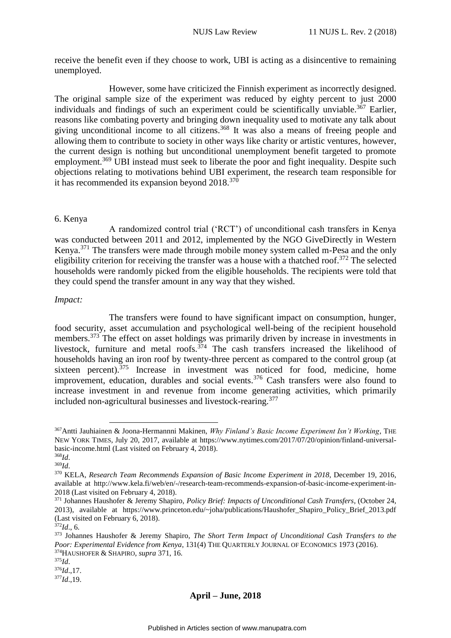receive the benefit even if they choose to work, UBI is acting as a disincentive to remaining unemployed.

However, some have criticized the Finnish experiment as incorrectly designed. The original sample size of the experiment was reduced by eighty percent to just 2000 individuals and findings of such an experiment could be scientifically unviable.<sup>367</sup> Earlier, reasons like combating poverty and bringing down inequality used to motivate any talk about giving unconditional income to all citizens.<sup>368</sup> It was also a means of freeing people and allowing them to contribute to society in other ways like charity or artistic ventures, however, the current design is nothing but unconditional unemployment benefit targeted to promote employment.<sup>369</sup> UBI instead must seek to liberate the poor and fight inequality. Despite such objections relating to motivations behind UBI experiment, the research team responsible for it has recommended its expansion beyond 2018.<sup>370</sup>

### <span id="page-37-0"></span>6. Kenya

A randomized control trial ('RCT') of unconditional cash transfers in Kenya was conducted between 2011 and 2012, implemented by the NGO GiveDirectly in Western Kenya.<sup>371</sup> The transfers were made through mobile money system called m-Pesa and the only eligibility criterion for receiving the transfer was a house with a thatched roof.<sup>372</sup> The selected households were randomly picked from the eligible households. The recipients were told that they could spend the transfer amount in any way that they wished.

### *Impact:*

The transfers were found to have significant impact on consumption, hunger, food security, asset accumulation and psychological well-being of the recipient household members.<sup>373</sup> The effect on asset holdings was primarily driven by increase in investments in livestock, furniture and metal roofs.<sup> $374$ </sup> The cash transfers increased the likelihood of households having an iron roof by twenty-three percent as compared to the control group (at sixteen percent). $375$  Increase in investment was noticed for food, medicine, home improvement, education, durables and social events.<sup>376</sup> Cash transfers were also found to increase investment in and revenue from income generating activities, which primarily included non-agricultural businesses and livestock-rearing. 377

<u>.</u>

<sup>367</sup>Antti Jauhiainen & Joona-Hermannni Makinen, *Why Finland's Basic Income Experiment Isn't Working*, THE NEW YORK TIMES, July 20, 2017, available at https://www.nytimes.com/2017/07/20/opinion/finland-universalbasic-income.html (Last visited on February 4, 2018).

<sup>368</sup>*Id*. <sup>369</sup>*Id*.

<sup>370</sup> KELA, *Research Team Recommends Expansion of Basic Income Experiment in 2018*, December 19, 2016, available at http://www.kela.fi/web/en/-/research-team-recommends-expansion-of-basic-income-experiment-in-2018 (Last visited on February 4, 2018).

<sup>371</sup> Johannes Haushofer & Jeremy Shapiro, *Policy Brief: Impacts of Unconditional Cash Transfers*, (October 24, 2013), available at https://www.princeton.edu/~joha/publications/Haushofer\_Shapiro\_Policy\_Brief\_2013.pdf (Last visited on February 6, 2018).

<sup>372</sup>*Id*., 6.

<sup>373</sup> Johannes Haushofer & Jeremy Shapiro, *The Short Term Impact of Unconditional Cash Transfers to the Poor: Experimental Evidence from Kenya*, 131(4) THE QUARTERLY JOURNAL OF ECONOMICS 1973 (2016). <sup>374</sup>HAUSHOFER & SHAPIRO, *supra* 371, 16.

<sup>375</sup>*Id*.

 $376*Id*$ , 17.

<sup>377</sup>*Id*.,19.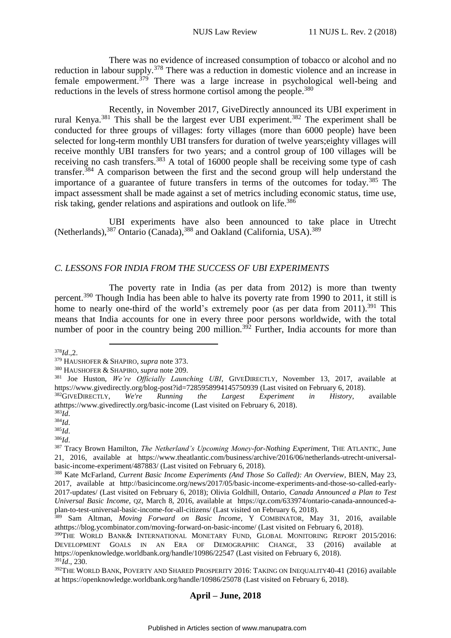There was no evidence of increased consumption of tobacco or alcohol and no reduction in labour supply.<sup>378</sup> There was a reduction in domestic violence and an increase in female empowerment. $379$  There was a large increase in psychological well-being and reductions in the levels of stress hormone cortisol among the people.<sup>380</sup>

Recently, in November 2017, GiveDirectly announced its UBI experiment in rural Kenya.<sup>381</sup> This shall be the largest ever UBI experiment.<sup>382</sup> The experiment shall be conducted for three groups of villages: forty villages (more than 6000 people) have been selected for long-term monthly UBI transfers for duration of twelve years;eighty villages will receive monthly UBI transfers for two years; and a control group of 100 villages will be receiving no cash transfers.<sup>383</sup> A total of 16000 people shall be receiving some type of cash transfer.<sup>384</sup> A comparison between the first and the second group will help understand the importance of a guarantee of future transfers in terms of the outcomes for today.<sup>385</sup> The impact assessment shall be made against a set of metrics including economic status, time use, risk taking, gender relations and aspirations and outlook on life.<sup>386</sup>

UBI experiments have also been announced to take place in Utrecht (Netherlands),<sup>387</sup> Ontario (Canada),<sup>388</sup> and Oakland (California, USA).<sup>389</sup>

### <span id="page-38-0"></span>*C. LESSONS FOR INDIA FROM THE SUCCESS OF UBI EXPERIMENTS*

The poverty rate in India (as per data from 2012) is more than twenty percent.<sup>390</sup> Though India has been able to halve its poverty rate from 1990 to 2011, it still is home to nearly one-third of the world's extremely poor (as per data from 2011).<sup>391</sup> This means that India accounts for one in every three poor persons worldwide, with the total number of poor in the country being 200 million.<sup>392</sup> Further, India accounts for more than

<u>.</u>

<sup>378</sup>*Id*.,2.

<sup>379</sup> HAUSHOFER & SHAPIRO, *supra* note 373.

<sup>380</sup> HAUSHOFER & SHAPIRO, *supra* note 209.

<sup>381</sup> Joe Huston, *We're Officially Launching UBI*, GIVEDIRECTLY, November 13, 2017, available at https://www.givedirectly.org/blog-post?id=7285958994145750939 (Last visited on February 6, 2018).

<sup>382</sup>GIVEDIRECTLY, *We're Running the Largest Experiment in History*, available athttps://www.givedirectly.org/basic-income (Last visited on February 6, 2018).

<sup>383</sup>*Id*.

<sup>384</sup>*Id*.

<sup>385</sup>*Id*.

<sup>386</sup>*Id*.

<sup>&</sup>lt;sup>387</sup> Tracy Brown Hamilton, *The Netherland's Upcoming Money-for-Nothing Experiment*, THE ATLANTIC, June 21, 2016, available at https://www.theatlantic.com/business/archive/2016/06/netherlands-utrecht-universalbasic-income-experiment/487883/ (Last visited on February 6, 2018).

<sup>388</sup> Kate McFarland, *Current Basic Income Experiments (And Those So Called): An Overview*, BIEN, May 23, 2017, available at http://basicincome.org/news/2017/05/basic-income-experiments-and-those-so-called-early-2017-updates/ (Last visited on February 6, 2018); Olivia Goldhill, Ontario, *Canada Announced a Plan to Test Universal Basic Income*, QZ, March 8, 2016, available at https://qz.com/633974/ontario-canada-announced-aplan-to-test-universal-basic-income-for-all-citizens/ (Last visited on February 6, 2018).

<sup>389</sup> Sam Altman, *Moving Forward on Basic Income*, Y COMBINATOR, May 31, 2016, available athttps://blog.ycombinator.com/moving-forward-on-basic-income/ (Last visited on February 6, 2018).

<sup>390</sup>THE WORLD BANK& INTERNATIONAL MONETARY FUND, GLOBAL MONITORING REPORT 2015/2016: DEVELOPMENT GOALS IN AN ERA OF DEMOGRAPHIC CHANGE, 33 (2016) available at https://openknowledge.worldbank.org/handle/10986/22547 (Last visited on February 6, 2018).  $391\bar{I}d$ <sub>.</sub>, 230.

<sup>392</sup>THE WORLD BANK, POVERTY AND SHARED PROSPERITY 2016: TAKING ON INEQUALITY40-41 (2016) available at https://openknowledge.worldbank.org/handle/10986/25078 (Last visited on February 6, 2018).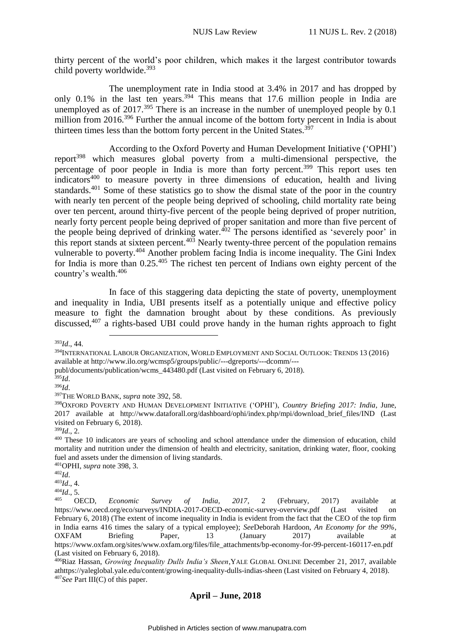thirty percent of the world's poor children, which makes it the largest contributor towards child poverty worldwide.<sup>393</sup>

The unemployment rate in India stood at 3.4% in 2017 and has dropped by only 0.1% in the last ten years.<sup>394</sup> This means that 17.6 million people in India are unemployed as of  $2017<sup>395</sup>$  There is an increase in the number of unemployed people by 0.1 million from 2016.<sup>396</sup> Further the annual income of the bottom forty percent in India is about thirteen times less than the bottom forty percent in the United States.<sup>397</sup>

According to the Oxford Poverty and Human Development Initiative ('OPHI') report<sup>398</sup> which measures global poverty from a multi-dimensional perspective, the percentage of poor people in India is more than forty percent.<sup>399</sup> This report uses ten indicators<sup>400</sup> to measure poverty in three dimensions of education, health and living standards.<sup>401</sup> Some of these statistics go to show the dismal state of the poor in the country with nearly ten percent of the people being deprived of schooling, child mortality rate being over ten percent, around thirty-five percent of the people being deprived of proper nutrition, nearly forty percent people being deprived of proper sanitation and more than five percent of the people being deprived of drinking water. $402$  The persons identified as 'severely poor' in this report stands at sixteen percent. $403$  Nearly twenty-three percent of the population remains vulnerable to poverty.<sup>404</sup> Another problem facing India is income inequality. The Gini Index for India is more than 0.25.<sup>405</sup> The richest ten percent of Indians own eighty percent of the country's wealth.<sup>406</sup>

In face of this staggering data depicting the state of poverty, unemployment and inequality in India, UBI presents itself as a potentially unique and effective policy measure to fight the damnation brought about by these conditions. As previously discussed,<sup>407</sup> a rights-based UBI could prove handy in the human rights approach to fight

1

<sup>393</sup>*Id*., 44.

<sup>394</sup>INTERNATIONAL LABOUR ORGANIZATION, WORLD EMPLOYMENT AND SOCIAL OUTLOOK: TRENDS 13 (2016) available at http://www.ilo.org/wcmsp5/groups/public/---dgreports/---dcomm/---

publ/documents/publication/wcms\_443480.pdf (Last visited on February 6, 2018).

<sup>395</sup>*Id*. <sup>396</sup>*Id*.

<sup>397</sup>THE WORLD BANK, *supra* note 392, 58.

<sup>398</sup>OXFORD POVERTY AND HUMAN DEVELOPMENT INITIATIVE ('OPHI'), *Country Briefing 2017: India*, June, 2017 available at http://www.dataforall.org/dashboard/ophi/index.php/mpi/download\_brief\_files/IND (Last visited on February 6, 2018).

<sup>399</sup>*Id*., 2.

<sup>&</sup>lt;sup>400</sup> These 10 indicators are years of schooling and school attendance under the dimension of education, child mortality and nutrition under the dimension of health and electricity, sanitation, drinking water, floor, cooking fuel and assets under the dimension of living standards.

<sup>401</sup>OPHI, *supra* note 398, 3.

<sup>402</sup>*Id*.

<sup>403</sup>*Id*., 4.

<sup>404</sup>*Id*., 5.

<sup>405</sup> OECD, *Economic Survey of India, 2017*, 2 (February, 2017) available at https://www.oecd.org/eco/surveys/INDIA-2017-OECD-economic-survey-overview.pdf (Last visited on February 6, 2018) (The extent of income inequality in India is evident from the fact that the CEO of the top firm in India earns 416 times the salary of a typical employee); *See*Deborah Hardoon, *An Economy for the 99%*, OXFAM Briefing Paper, 13 (January 2017) available at https://www.oxfam.org/sites/www.oxfam.org/files/file\_attachments/bp-economy-for-99-percent-160117-en.pdf (Last visited on February 6, 2018).

<sup>406</sup>Riaz Hassan, *Growing Inequality Dulls India's Sheen*,YALE GLOBAL ONLINE December 21, 2017, available athttps://yaleglobal.yale.edu/content/growing-inequality-dulls-indias-sheen (Last visited on February 4, 2018). <sup>407</sup>*See* Part III(C) of this paper.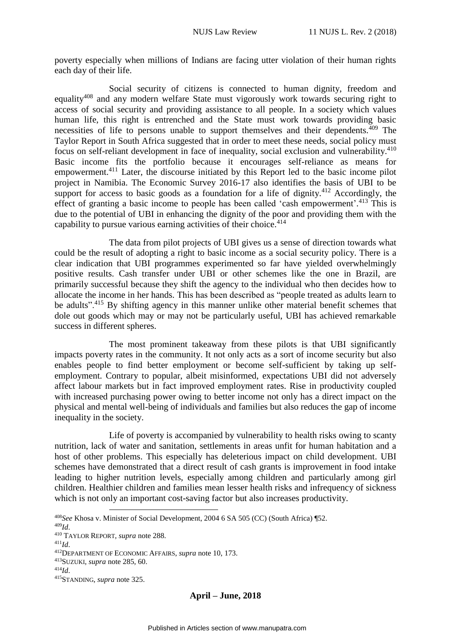poverty especially when millions of Indians are facing utter violation of their human rights each day of their life.

Social security of citizens is connected to human dignity, freedom and equality<sup>408</sup> and any modern welfare State must vigorously work towards securing right to access of social security and providing assistance to all people. In a society which values human life, this right is entrenched and the State must work towards providing basic necessities of life to persons unable to support themselves and their dependents. $409$  The Taylor Report in South Africa suggested that in order to meet these needs, social policy must focus on self-reliant development in face of inequality, social exclusion and vulnerability.<sup>410</sup> Basic income fits the portfolio because it encourages self-reliance as means for empowerment.<sup>411</sup> Later, the discourse initiated by this Report led to the basic income pilot project in Namibia. The Economic Survey 2016-17 also identifies the basis of UBI to be support for access to basic goods as a foundation for a life of dignity. $412$  Accordingly, the effect of granting a basic income to people has been called 'cash empowerment'.<sup>413</sup> This is due to the potential of UBI in enhancing the dignity of the poor and providing them with the capability to pursue various earning activities of their choice.<sup>414</sup>

The data from pilot projects of UBI gives us a sense of direction towards what could be the result of adopting a right to basic income as a social security policy. There is a clear indication that UBI programmes experimented so far have yielded overwhelmingly positive results. Cash transfer under UBI or other schemes like the one in Brazil, are primarily successful because they shift the agency to the individual who then decides how to allocate the income in her hands. This has been described as "people treated as adults learn to be adults".<sup>415</sup> By shifting agency in this manner unlike other material benefit schemes that dole out goods which may or may not be particularly useful, UBI has achieved remarkable success in different spheres.

The most prominent takeaway from these pilots is that UBI significantly impacts poverty rates in the community. It not only acts as a sort of income security but also enables people to find better employment or become self-sufficient by taking up selfemployment. Contrary to popular, albeit misinformed, expectations UBI did not adversely affect labour markets but in fact improved employment rates. Rise in productivity coupled with increased purchasing power owing to better income not only has a direct impact on the physical and mental well-being of individuals and families but also reduces the gap of income inequality in the society.

Life of poverty is accompanied by vulnerability to health risks owing to scanty nutrition, lack of water and sanitation, settlements in areas unfit for human habitation and a host of other problems. This especially has deleterious impact on child development. UBI schemes have demonstrated that a direct result of cash grants is improvement in food intake leading to higher nutrition levels, especially among children and particularly among girl children. Healthier children and families mean lesser health risks and infrequency of sickness which is not only an important cost-saving factor but also increases productivity.

<sup>409</sup>*Id*.

1

<sup>408</sup>*See* Khosa v. Minister of Social Development, 2004 6 SA 505 (CC) (South Africa) ¶52.

<sup>410</sup> TAYLOR REPORT, *supra* note 288.

<sup>411</sup>*Id*.

<sup>412</sup>DEPARTMENT OF ECONOMIC AFFAIRS, *supra* note 10, 173.

<sup>413</sup>SUZUKI, *supra* note 285, 60.

<sup>414</sup>*Id*.

<sup>415</sup>STANDING, *supra* note 325.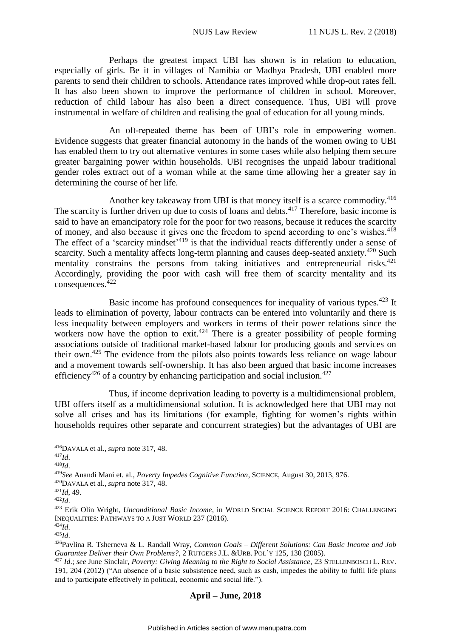Perhaps the greatest impact UBI has shown is in relation to education, especially of girls. Be it in villages of Namibia or Madhya Pradesh, UBI enabled more parents to send their children to schools. Attendance rates improved while drop-out rates fell. It has also been shown to improve the performance of children in school. Moreover, reduction of child labour has also been a direct consequence. Thus, UBI will prove instrumental in welfare of children and realising the goal of education for all young minds.

An oft-repeated theme has been of UBI's role in empowering women. Evidence suggests that greater financial autonomy in the hands of the women owing to UBI has enabled them to try out alternative ventures in some cases while also helping them secure greater bargaining power within households. UBI recognises the unpaid labour traditional gender roles extract out of a woman while at the same time allowing her a greater say in determining the course of her life.

Another key takeaway from UBI is that money itself is a scarce commodity.<sup>416</sup> The scarcity is further driven up due to costs of loans and debts.<sup>417</sup> Therefore, basic income is said to have an emancipatory role for the poor for two reasons, because it reduces the scarcity of money, and also because it gives one the freedom to spend according to one's wishes.<sup>418</sup> The effect of a 'scarcity mindset'<sup>419</sup> is that the individual reacts differently under a sense of scarcity. Such a mentality affects long-term planning and causes deep-seated anxiety.<sup>420</sup> Such mentality constrains the persons from taking initiatives and entrepreneurial risks. $421$ Accordingly, providing the poor with cash will free them of scarcity mentality and its consequences.<sup>422</sup>

Basic income has profound consequences for inequality of various types.<sup>423</sup> It leads to elimination of poverty, labour contracts can be entered into voluntarily and there is less inequality between employers and workers in terms of their power relations since the workers now have the option to exit.<sup> $424$ </sup> There is a greater possibility of people forming associations outside of traditional market-based labour for producing goods and services on their own.<sup>425</sup> The evidence from the pilots also points towards less reliance on wage labour and a movement towards self-ownership. It has also been argued that basic income increases efficiency<sup>426</sup> of a country by enhancing participation and social inclusion.<sup>427</sup>

Thus, if income deprivation leading to poverty is a multidimensional problem, UBI offers itself as a multidimensional solution. It is acknowledged here that UBI may not solve all crises and has its limitations (for example, fighting for women's rights within households requires other separate and concurrent strategies) but the advantages of UBI are

<sup>1</sup> <sup>416</sup>DAVALA et al., *supra* note 317, 48.

<sup>417</sup>*Id*.

<sup>418</sup>*Id*.

<sup>419</sup>*See* Anandi Mani et. al., *Poverty Impedes Cognitive Function*, SCIENCE, August 30, 2013, 976.

<sup>420</sup>DAVALA et al., *supra* note 317, 48.

<sup>421</sup>*Id*, 49.

<sup>422</sup>*Id*.

<sup>423</sup> Erik Olin Wright, *Unconditional Basic Income*, in WORLD SOCIAL SCIENCE REPORT 2016: CHALLENGING INEQUALITIES: PATHWAYS TO A JUST WORLD 237 (2016).

<sup>424</sup>*Id*.

<sup>425</sup>*Id*.

<sup>426</sup>Pavlina R. Tsherneva & L. Randall Wray, *Common Goals – Different Solutions: Can Basic Income and Job Guarantee Deliver their Own Problems?*, 2 RUTGERS J.L. &URB. POL'Y 125, 130 (2005).

<sup>427</sup> *Id*.; *see* June Sinclair, *Poverty: Giving Meaning to the Right to Social Assistance*, 23 STELLENBOSCH L. REV. 191, 204 (2012) ("An absence of a basic subsistence need, such as cash, impedes the ability to fulfil life plans and to participate effectively in political, economic and social life.").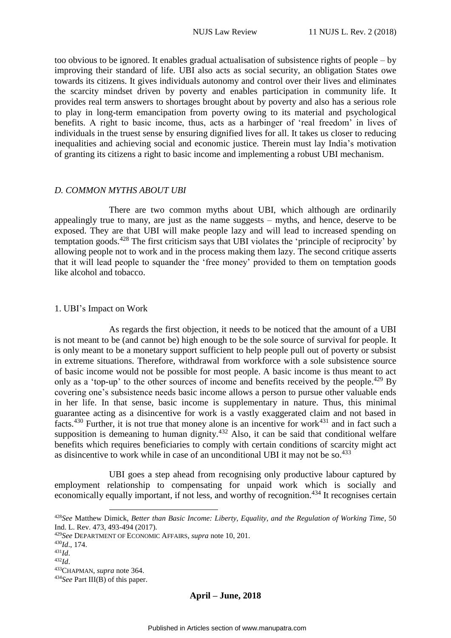too obvious to be ignored. It enables gradual actualisation of subsistence rights of people – by improving their standard of life. UBI also acts as social security, an obligation States owe towards its citizens. It gives individuals autonomy and control over their lives and eliminates the scarcity mindset driven by poverty and enables participation in community life. It provides real term answers to shortages brought about by poverty and also has a serious role to play in long-term emancipation from poverty owing to its material and psychological benefits. A right to basic income, thus, acts as a harbinger of 'real freedom' in lives of individuals in the truest sense by ensuring dignified lives for all. It takes us closer to reducing inequalities and achieving social and economic justice. Therein must lay India's motivation of granting its citizens a right to basic income and implementing a robust UBI mechanism.

#### <span id="page-42-0"></span>*D. COMMON MYTHS ABOUT UBI*

There are two common myths about UBI, which although are ordinarily appealingly true to many, are just as the name suggests – myths, and hence, deserve to be exposed. They are that UBI will make people lazy and will lead to increased spending on temptation goods.<sup>428</sup> The first criticism says that UBI violates the 'principle of reciprocity' by allowing people not to work and in the process making them lazy. The second critique asserts that it will lead people to squander the 'free money' provided to them on temptation goods like alcohol and tobacco.

#### <span id="page-42-1"></span>1. UBI's Impact on Work

As regards the first objection, it needs to be noticed that the amount of a UBI is not meant to be (and cannot be) high enough to be the sole source of survival for people. It is only meant to be a monetary support sufficient to help people pull out of poverty or subsist in extreme situations. Therefore, withdrawal from workforce with a sole subsistence source of basic income would not be possible for most people. A basic income is thus meant to act only as a 'top-up' to the other sources of income and benefits received by the people.<sup> $429$ </sup> By covering one's subsistence needs basic income allows a person to pursue other valuable ends in her life. In that sense, basic income is supplementary in nature. Thus, this minimal guarantee acting as a disincentive for work is a vastly exaggerated claim and not based in facts.<sup>430</sup> Further, it is not true that money alone is an incentive for work<sup>431</sup> and in fact such a supposition is demeaning to human dignity.<sup>432</sup> Also, it can be said that conditional welfare benefits which requires beneficiaries to comply with certain conditions of scarcity might act as disincentive to work while in case of an unconditional UBI it may not be so.<sup>433</sup>

UBI goes a step ahead from recognising only productive labour captured by employment relationship to compensating for unpaid work which is socially and economically equally important, if not less, and worthy of recognition.<sup>434</sup> It recognises certain

1

<sup>428</sup>*See* Matthew Dimick, *Better than Basic Income: Liberty, Equality, and the Regulation of Working Time*, 50 Ind. L. Rev. 473, 493-494 (2017).

<sup>429</sup>*See* DEPARTMENT OF ECONOMIC AFFAIRS, *supra* note 10, 201.

<sup>430</sup>*Id*., 174.

<sup>431</sup>*Id*.

<sup>432</sup>*Id*.

<sup>433</sup>CHAPMAN, *supra* note 364.

<sup>434</sup>*See* Part III(B) of this paper.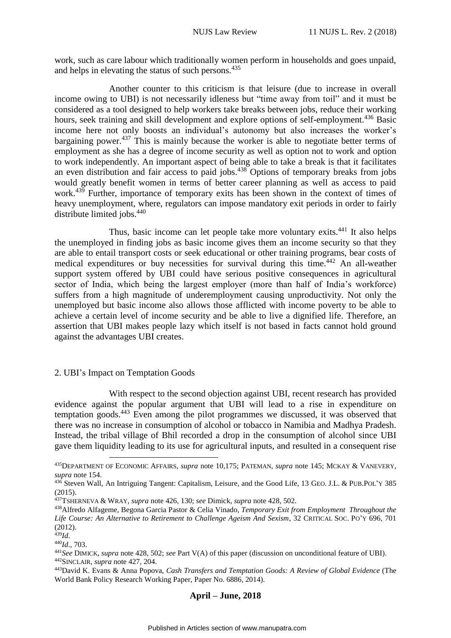work, such as care labour which traditionally women perform in households and goes unpaid, and helps in elevating the status of such persons.<sup>435</sup>

Another counter to this criticism is that leisure (due to increase in overall income owing to UBI) is not necessarily idleness but "time away from toil" and it must be considered as a tool designed to help workers take breaks between jobs, reduce their working hours, seek training and skill development and explore options of self-employment.<sup>436</sup> Basic income here not only boosts an individual's autonomy but also increases the worker's bargaining power.<sup>437</sup> This is mainly because the worker is able to negotiate better terms of employment as she has a degree of income security as well as option not to work and option to work independently. An important aspect of being able to take a break is that it facilitates an even distribution and fair access to paid jobs.<sup>438</sup> Options of temporary breaks from jobs would greatly benefit women in terms of better career planning as well as access to paid work.<sup>439</sup> Further, importance of temporary exits has been shown in the context of times of heavy unemployment, where, regulators can impose mandatory exit periods in order to fairly distribute limited jobs.<sup>440</sup>

Thus, basic income can let people take more voluntary exits.<sup>441</sup> It also helps the unemployed in finding jobs as basic income gives them an income security so that they are able to entail transport costs or seek educational or other training programs, bear costs of medical expenditures or buy necessities for survival during this time.<sup>442</sup> An all-weather support system offered by UBI could have serious positive consequences in agricultural sector of India, which being the largest employer (more than half of India's workforce) suffers from a high magnitude of underemployment causing unproductivity. Not only the unemployed but basic income also allows those afflicted with income poverty to be able to achieve a certain level of income security and be able to live a dignified life. Therefore, an assertion that UBI makes people lazy which itself is not based in facts cannot hold ground against the advantages UBI creates.

#### <span id="page-43-0"></span>2. UBI's Impact on Temptation Goods

1

With respect to the second objection against UBI, recent research has provided evidence against the popular argument that UBI will lead to a rise in expenditure on temptation goods.<sup>443</sup> Even among the pilot programmes we discussed, it was observed that there was no increase in consumption of alcohol or tobacco in Namibia and Madhya Pradesh. Instead, the tribal village of Bhil recorded a drop in the consumption of alcohol since UBI gave them liquidity leading to its use for agricultural inputs, and resulted in a consequent rise

<sup>435</sup>DEPARTMENT OF ECONOMIC AFFAIRS, *supra* note 10,175; PATEMAN, *supra* note 145; MCKAY & VANEVERY, *supra* note 154.

<sup>436</sup> Steven Wall, An Intriguing Tangent: Capitalism, Leisure, and the Good Life, 13 GEO. J.L. & PUB.POL'Y 385 (2015).

<sup>437</sup>TSHERNEVA & WRAY, *supra* note 426, 130; *see* Dimick, *supra* note 428, 502.

<sup>438</sup>Alfredo Alfageme, Begona Garcia Pastor & Celia Vinado, *Temporary Exit from Employment Throughout the Life Course: An Alternative to Retirement to Challenge Ageism And Sexism*, 32 CRITICAL SOC. PO'Y 696, 701 (2012).

<sup>439</sup>*Id*.

<sup>440</sup>*Id*., 703.

<sup>441</sup>*See* DIMICK, *supra* note 428, 502; *see* Part V(A) of this paper (discussion on unconditional feature of UBI). <sup>442</sup>SINCLAIR, *supra* note 427, 204.

<sup>443</sup>David K. Evans & Anna Popova, *Cash Transfers and Temptation Goods: A Review of Global Evidence* (The World Bank Policy Research Working Paper, Paper No. 6886, 2014).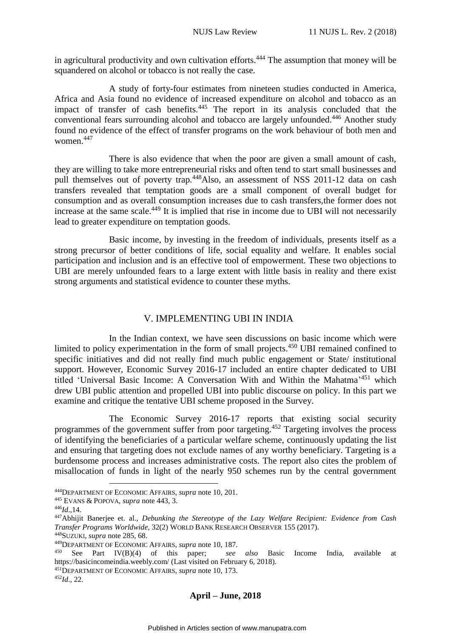in agricultural productivity and own cultivation efforts.<sup>444</sup> The assumption that money will be squandered on alcohol or tobacco is not really the case.

A study of forty-four estimates from nineteen studies conducted in America, Africa and Asia found no evidence of increased expenditure on alcohol and tobacco as an impact of transfer of cash benefits.<sup>445</sup> The report in its analysis concluded that the conventional fears surrounding alcohol and tobacco are largely unfounded.<sup>446</sup> Another study found no evidence of the effect of transfer programs on the work behaviour of both men and women.<sup>447</sup>

There is also evidence that when the poor are given a small amount of cash, they are willing to take more entrepreneurial risks and often tend to start small businesses and pull themselves out of poverty trap.<sup>448</sup>Also, an assessment of NSS 2011-12 data on cash transfers revealed that temptation goods are a small component of overall budget for consumption and as overall consumption increases due to cash transfers,the former does not increase at the same scale.<sup>449</sup> It is implied that rise in income due to UBI will not necessarily lead to greater expenditure on temptation goods.

Basic income, by investing in the freedom of individuals, presents itself as a strong precursor of better conditions of life, social equality and welfare. It enables social participation and inclusion and is an effective tool of empowerment. These two objections to UBI are merely unfounded fears to a large extent with little basis in reality and there exist strong arguments and statistical evidence to counter these myths.

### V. IMPLEMENTING UBI IN INDIA

<span id="page-44-0"></span>In the Indian context, we have seen discussions on basic income which were limited to policy experimentation in the form of small projects. <sup>450</sup> UBI remained confined to specific initiatives and did not really find much public engagement or State/ institutional support. However, Economic Survey 2016-17 included an entire chapter dedicated to UBI titled 'Universal Basic Income: A Conversation With and Within the Mahatma' <sup>451</sup> which drew UBI public attention and propelled UBI into public discourse on policy. In this part we examine and critique the tentative UBI scheme proposed in the Survey.

The Economic Survey 2016-17 reports that existing social security programmes of the government suffer from poor targeting.<sup>452</sup> Targeting involves the process of identifying the beneficiaries of a particular welfare scheme, continuously updating the list and ensuring that targeting does not exclude names of any worthy beneficiary. Targeting is a burdensome process and increases administrative costs. The report also cites the problem of misallocation of funds in light of the nearly 950 schemes run by the central government

<u>.</u>

<sup>451</sup>DEPARTMENT OF ECONOMIC AFFAIRS, *supra* note 10, 173.

<sup>452</sup>*Id*., 22.

<sup>444</sup>DEPARTMENT OF ECONOMIC AFFAIRS, *supra* note 10, 201.

<sup>445</sup> EVANS & POPOVA, *supra* note 443, 3.

<sup>446</sup>*Id*.,14.

<sup>447</sup>Abhijit Banerjee et. al., *Debunking the Stereotype of the Lazy Welfare Recipient: Evidence from Cash Transfer Programs Worldwide*, 32(2) WORLD BANK RESEARCH OBSERVER 155 (2017).

<sup>448</sup>SUZUKI, *supra* note 285, 68.

<sup>449</sup>DEPARTMENT OF ECONOMIC AFFAIRS, *supra* note 10, 187.

<sup>450</sup> See Part IV(B)(4) of this paper; *see also* Basic Income India, available at https://basicincomeindia.weebly.com/ (Last visited on February 6, 2018).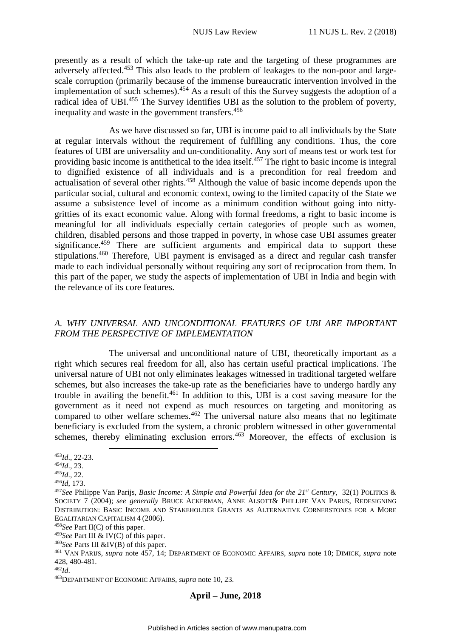presently as a result of which the take-up rate and the targeting of these programmes are adversely affected.<sup>453</sup> This also leads to the problem of leakages to the non-poor and largescale corruption (primarily because of the immense bureaucratic intervention involved in the implementation of such schemes).<sup>454</sup> As a result of this the Survey suggests the adoption of a radical idea of UBI.<sup>455</sup> The Survey identifies UBI as the solution to the problem of poverty, inequality and waste in the government transfers.<sup>456</sup>

As we have discussed so far, UBI is income paid to all individuals by the State at regular intervals without the requirement of fulfilling any conditions. Thus, the core features of UBI are universality and un-conditionality. Any sort of means test or work test for providing basic income is antithetical to the idea itself.<sup>457</sup> The right to basic income is integral to dignified existence of all individuals and is a precondition for real freedom and actualisation of several other rights.<sup>458</sup> Although the value of basic income depends upon the particular social, cultural and economic context, owing to the limited capacity of the State we assume a subsistence level of income as a minimum condition without going into nittygritties of its exact economic value. Along with formal freedoms, a right to basic income is meaningful for all individuals especially certain categories of people such as women, children, disabled persons and those trapped in poverty, in whose case UBI assumes greater significance.<sup>459</sup> There are sufficient arguments and empirical data to support these stipulations.<sup>460</sup> Therefore, UBI payment is envisaged as a direct and regular cash transfer made to each individual personally without requiring any sort of reciprocation from them. In this part of the paper, we study the aspects of implementation of UBI in India and begin with the relevance of its core features.

# <span id="page-45-0"></span>*A. WHY UNIVERSAL AND UNCONDITIONAL FEATURES OF UBI ARE IMPORTANT FROM THE PERSPECTIVE OF IMPLEMENTATION*

The universal and unconditional nature of UBI, theoretically important as a right which secures real freedom for all, also has certain useful practical implications. The universal nature of UBI not only eliminates leakages witnessed in traditional targeted welfare schemes, but also increases the take-up rate as the beneficiaries have to undergo hardly any trouble in availing the benefit.<sup>461</sup> In addition to this, UBI is a cost saving measure for the government as it need not expend as much resources on targeting and monitoring as compared to other welfare schemes.<sup>462</sup> The universal nature also means that no legitimate beneficiary is excluded from the system, a chronic problem witnessed in other governmental schemes, thereby eliminating exclusion errors.<sup>463</sup> Moreover, the effects of exclusion is

<u>.</u>

<sup>453</sup>*Id*., 22-23.

<sup>454</sup>*Id*., 23.

<sup>455</sup>*Id*., 22.

<sup>456</sup>*Id*, 173.

<sup>457</sup>*See* Philippe Van Parijs, *Basic Income: A Simple and Powerful Idea for the 21st Century*, 32(1) POLITICS & SOCIETY 7 (2004); *see generally* BRUCE ACKERMAN, ANNE ALSOTT& PHILLIPE VAN PARIJS, REDESIGNING DISTRIBUTION: BASIC INCOME AND STAKEHOLDER GRANTS AS ALTERNATIVE CORNERSTONES FOR A MORE EGALITARIAN CAPITALISM 4 (2006).

<sup>458</sup>*See* Part II(C) of this paper.

<sup>459</sup>*See* Part III & IV(C) of this paper.

<sup>460</sup>*See* Parts III &IV(B) of this paper.

<sup>461</sup> VAN PARIJS, *supra* note 457, 14; DEPARTMENT OF ECONOMIC AFFAIRS, *supra* note 10; DIMICK, *supra* note 428, 480-481.

<sup>462</sup>*Id*.

<sup>463</sup>DEPARTMENT OF ECONOMIC AFFAIRS, *supra* note 10, 23.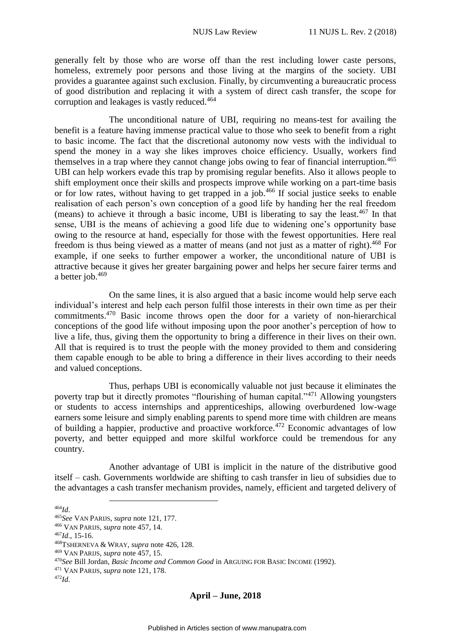generally felt by those who are worse off than the rest including lower caste persons, homeless, extremely poor persons and those living at the margins of the society. UBI provides a guarantee against such exclusion. Finally, by circumventing a bureaucratic process of good distribution and replacing it with a system of direct cash transfer, the scope for corruption and leakages is vastly reduced.<sup>464</sup>

The unconditional nature of UBI, requiring no means-test for availing the benefit is a feature having immense practical value to those who seek to benefit from a right to basic income. The fact that the discretional autonomy now vests with the individual to spend the money in a way she likes improves choice efficiency. Usually, workers find themselves in a trap where they cannot change jobs owing to fear of financial interruption.<sup>465</sup> UBI can help workers evade this trap by promising regular benefits. Also it allows people to shift employment once their skills and prospects improve while working on a part-time basis or for low rates, without having to get trapped in a job.<sup>466</sup> If social justice seeks to enable realisation of each person's own conception of a good life by handing her the real freedom (means) to achieve it through a basic income, UBI is liberating to say the least. $467$  In that sense, UBI is the means of achieving a good life due to widening one's opportunity base owing to the resource at hand, especially for those with the fewest opportunities. Here real freedom is thus being viewed as a matter of means (and not just as a matter of right).<sup>468</sup> For example, if one seeks to further empower a worker, the unconditional nature of UBI is attractive because it gives her greater bargaining power and helps her secure fairer terms and a better job.<sup>469</sup>

On the same lines, it is also argued that a basic income would help serve each individual's interest and help each person fulfil those interests in their own time as per their commitments. <sup>470</sup> Basic income throws open the door for a variety of non-hierarchical conceptions of the good life without imposing upon the poor another's perception of how to live a life, thus, giving them the opportunity to bring a difference in their lives on their own. All that is required is to trust the people with the money provided to them and considering them capable enough to be able to bring a difference in their lives according to their needs and valued conceptions.

Thus, perhaps UBI is economically valuable not just because it eliminates the poverty trap but it directly promotes "flourishing of human capital."<sup>471</sup> Allowing youngsters or students to access internships and apprenticeships, allowing overburdened low-wage earners some leisure and simply enabling parents to spend more time with children are means of building a happier, productive and proactive workforce.<sup>472</sup> Economic advantages of low poverty, and better equipped and more skilful workforce could be tremendous for any country.

Another advantage of UBI is implicit in the nature of the distributive good itself – cash. Governments worldwide are shifting to cash transfer in lieu of subsidies due to the advantages a cash transfer mechanism provides, namely, efficient and targeted delivery of

<sup>464</sup>*Id*.

<u>.</u>

<sup>465</sup>*See* VAN PARIJS, *supra* note 121, 177.

<sup>466</sup> VAN PARIJS, *supra* note 457, 14.

<sup>467</sup>*Id*., 15-16.

<sup>468</sup>TSHERNEVA & WRAY, *supra* note 426, 128.

<sup>469</sup> VAN PARIJS, *supra* note 457, 15.

<sup>470</sup>*See* Bill Jordan, *Basic Income and Common Good* in ARGUING FOR BASIC INCOME (1992).

<sup>471</sup> VAN PARIJS, *supra* note 121, 178.

<sup>472</sup>*Id*.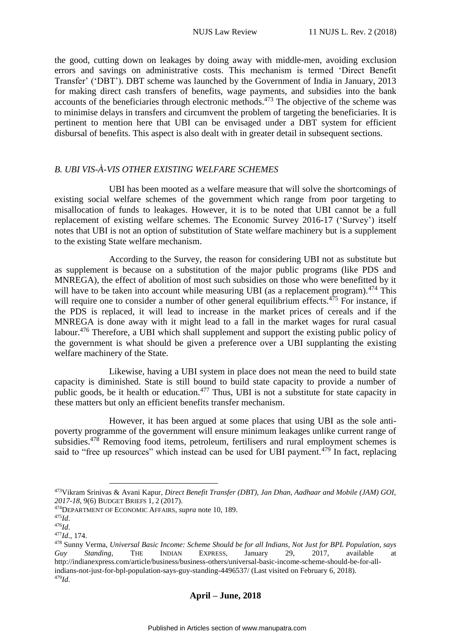the good, cutting down on leakages by doing away with middle-men, avoiding exclusion errors and savings on administrative costs. This mechanism is termed 'Direct Benefit Transfer' ('DBT'). DBT scheme was launched by the Government of India in January, 2013 for making direct cash transfers of benefits, wage payments, and subsidies into the bank accounts of the beneficiaries through electronic methods.<sup>473</sup> The objective of the scheme was to minimise delays in transfers and circumvent the problem of targeting the beneficiaries. It is pertinent to mention here that UBI can be envisaged under a DBT system for efficient disbursal of benefits. This aspect is also dealt with in greater detail in subsequent sections.

# <span id="page-47-0"></span>*B. UBI VIS-À-VIS OTHER EXISTING WELFARE SCHEMES*

UBI has been mooted as a welfare measure that will solve the shortcomings of existing social welfare schemes of the government which range from poor targeting to misallocation of funds to leakages. However, it is to be noted that UBI cannot be a full replacement of existing welfare schemes. The Economic Survey 2016-17 ('Survey') itself notes that UBI is not an option of substitution of State welfare machinery but is a supplement to the existing State welfare mechanism.

According to the Survey, the reason for considering UBI not as substitute but as supplement is because on a substitution of the major public programs (like PDS and MNREGA), the effect of abolition of most such subsidies on those who were benefitted by it will have to be taken into account while measuring UBI (as a replacement program).<sup>474</sup> This will require one to consider a number of other general equilibrium effects.<sup>475</sup> For instance, if the PDS is replaced, it will lead to increase in the market prices of cereals and if the MNREGA is done away with it might lead to a fall in the market wages for rural casual labour.<sup>476</sup> Therefore, a UBI which shall supplement and support the existing public policy of the government is what should be given a preference over a UBI supplanting the existing welfare machinery of the State.

Likewise, having a UBI system in place does not mean the need to build state capacity is diminished. State is still bound to build state capacity to provide a number of public goods, be it health or education.<sup>477</sup> Thus, UBI is not a substitute for state capacity in these matters but only an efficient benefits transfer mechanism.

However, it has been argued at some places that using UBI as the sole antipoverty programme of the government will ensure minimum leakages unlike current range of subsidies.<sup>478</sup> Removing food items, petroleum, fertilisers and rural employment schemes is said to "free up resources" which instead can be used for UBI payment.<sup>479</sup> In fact, replacing

<u>.</u>

<sup>473</sup>Vikram Srinivas & Avani Kapur, *Direct Benefit Transfer (DBT), Jan Dhan, Aadhaar and Mobile (JAM) GOI, 2017-18*, 9(6) BUDGET BRIEFS 1, 2 (2017).

<sup>474</sup>DEPARTMENT OF ECONOMIC AFFAIRS, *supra* note 10, 189.

<sup>475</sup>*Id*.

<sup>476</sup>*Id*.

<sup>477</sup>*Id*., 174.

<sup>478</sup> Sunny Verma, *Universal Basic Income: Scheme Should be for all Indians, Not Just for BPL Population, says Guy Standing*, THE INDIAN EXPRESS, January 29, 2017, available at http://indianexpress.com/article/business/business-others/universal-basic-income-scheme-should-be-for-allindians-not-just-for-bpl-population-says-guy-standing-4496537/ (Last visited on February 6, 2018). <sup>479</sup>*Id*.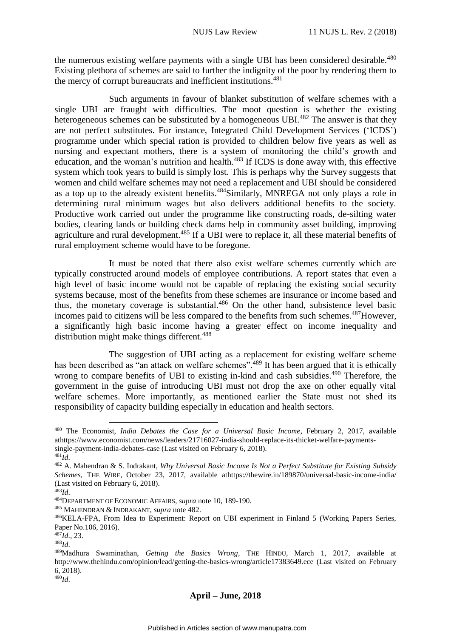the numerous existing welfare payments with a single UBI has been considered desirable.<sup>480</sup> Existing plethora of schemes are said to further the indignity of the poor by rendering them to the mercy of corrupt bureaucrats and inefficient institutions.<sup>481</sup>

Such arguments in favour of blanket substitution of welfare schemes with a single UBI are fraught with difficulties. The moot question is whether the existing heterogeneous schemes can be substituted by a homogeneous UBI.<sup>482</sup> The answer is that they are not perfect substitutes. For instance, Integrated Child Development Services ('ICDS') programme under which special ration is provided to children below five years as well as nursing and expectant mothers, there is a system of monitoring the child's growth and education, and the woman's nutrition and health.<sup>483</sup> If ICDS is done away with, this effective system which took years to build is simply lost. This is perhaps why the Survey suggests that women and child welfare schemes may not need a replacement and UBI should be considered as a top up to the already existent benefits.<sup>484</sup>Similarly, MNREGA not only plays a role in determining rural minimum wages but also delivers additional benefits to the society. Productive work carried out under the programme like constructing roads, de-silting water bodies, clearing lands or building check dams help in community asset building, improving agriculture and rural development.<sup>485</sup> If a UBI were to replace it, all these material benefits of rural employment scheme would have to be foregone.

It must be noted that there also exist welfare schemes currently which are typically constructed around models of employee contributions. A report states that even a high level of basic income would not be capable of replacing the existing social security systems because, most of the benefits from these schemes are insurance or income based and thus, the monetary coverage is substantial.<sup>486</sup> On the other hand, subsistence level basic incomes paid to citizens will be less compared to the benefits from such schemes.<sup>487</sup>However, a significantly high basic income having a greater effect on income inequality and distribution might make things different.<sup>488</sup>

The suggestion of UBI acting as a replacement for existing welfare scheme has been described as "an attack on welfare schemes".<sup>489</sup> It has been argued that it is ethically wrong to compare benefits of UBI to existing in-kind and cash subsidies.<sup>490</sup> Therefore, the government in the guise of introducing UBI must not drop the axe on other equally vital welfare schemes. More importantly, as mentioned earlier the State must not shed its responsibility of capacity building especially in education and health sectors.

<sup>485</sup> MAHENDRAN & INDRAKANT, *supra* note 482.

<u>.</u>

<sup>480</sup> The Economist, *India Debates the Case for a Universal Basic Income*, February 2, 2017, available athttps://www.economist.com/news/leaders/21716027-india-should-replace-its-thicket-welfare-paymentssingle-payment-india-debates-case (Last visited on February 6, 2018).

<sup>481</sup>*Id*.

<sup>482</sup> A. Mahendran & S. Indrakant, *Why Universal Basic Income Is Not a Perfect Substitute for Existing Subsidy Schemes*, THE WIRE, October 23, 2017, available athttps://thewire.in/189870/universal-basic-income-india/ (Last visited on February 6, 2018).

<sup>483</sup>*Id*.

<sup>484</sup>DEPARTMENT OF ECONOMIC AFFAIRS, *supra* note 10, 189-190.

<sup>486</sup>KELA-FPA, From Idea to Experiment: Report on UBI experiment in Finland 5 (Working Papers Series, Paper No.106, 2016).

<sup>487</sup>*Id*., 23.

<sup>488</sup>*Id*.

<sup>489</sup>Madhura Swaminathan, *Getting the Basics Wrong*, THE HINDU, March 1, 2017, available at http://www.thehindu.com/opinion/lead/getting-the-basics-wrong/article17383649.ece (Last visited on February 6, 2018).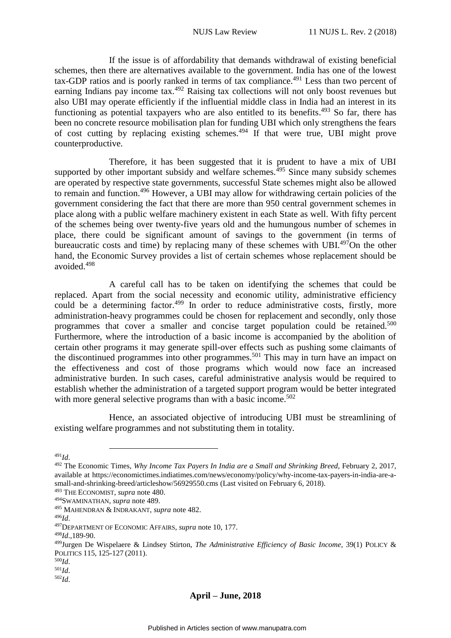If the issue is of affordability that demands withdrawal of existing beneficial schemes, then there are alternatives available to the government. India has one of the lowest tax-GDP ratios and is poorly ranked in terms of tax compliance.<sup>491</sup> Less than two percent of earning Indians pay income tax.<sup>492</sup> Raising tax collections will not only boost revenues but also UBI may operate efficiently if the influential middle class in India had an interest in its functioning as potential taxpayers who are also entitled to its benefits.<sup>493</sup> So far, there has been no concrete resource mobilisation plan for funding UBI which only strengthens the fears of cost cutting by replacing existing schemes.<sup>494</sup> If that were true, UBI might prove counterproductive.

Therefore, it has been suggested that it is prudent to have a mix of UBI supported by other important subsidy and welfare schemes.<sup> $495$ </sup> Since many subsidy schemes are operated by respective state governments, successful State schemes might also be allowed to remain and function.<sup>496</sup> However, a UBI may allow for withdrawing certain policies of the government considering the fact that there are more than 950 central government schemes in place along with a public welfare machinery existent in each State as well. With fifty percent of the schemes being over twenty-five years old and the humungous number of schemes in place, there could be significant amount of savings to the government (in terms of bureaucratic costs and time) by replacing many of these schemes with UBI.<sup>497</sup>On the other hand, the Economic Survey provides a list of certain schemes whose replacement should be avoided.<sup>498</sup>

A careful call has to be taken on identifying the schemes that could be replaced. Apart from the social necessity and economic utility, administrative efficiency could be a determining factor.<sup>499</sup> In order to reduce administrative costs, firstly, more administration-heavy programmes could be chosen for replacement and secondly, only those programmes that cover a smaller and concise target population could be retained.<sup>500</sup> Furthermore, where the introduction of a basic income is accompanied by the abolition of certain other programs it may generate spill-over effects such as pushing some claimants of the discontinued programmes into other programmes.<sup>501</sup> This may in turn have an impact on the effectiveness and cost of those programs which would now face an increased administrative burden. In such cases, careful administrative analysis would be required to establish whether the administration of a targeted support program would be better integrated with more general selective programs than with a basic income.<sup>502</sup>

Hence, an associated objective of introducing UBI must be streamlining of existing welfare programmes and not substituting them in totality.

<sup>491</sup>*Id*.

<u>.</u>

<sup>492</sup> The Economic Times, *Why Income Tax Payers In India are a Small and Shrinking Breed*, February 2, 2017, available at https://economictimes.indiatimes.com/news/economy/policy/why-income-tax-payers-in-india-are-asmall-and-shrinking-breed/articleshow/56929550.cms (Last visited on February 6, 2018).

<sup>493</sup> THE ECONOMIST, *supra* note 480.

<sup>494</sup>SWAMINATHAN, *supra* note 489.

<sup>495</sup> MAHENDRAN & INDRAKANT, *supra* note 482.

<sup>496</sup>*Id*.

<sup>497</sup>DEPARTMENT OF ECONOMIC AFFAIRS, *supra* note 10, 177.

<sup>498</sup>*Id*.,189-90.

<sup>499</sup>Jurgen De Wispelaere & Lindsey Stirton, *The Administrative Efficiency of Basic Income*, 39(1) POLICY & POLITICS 115, 125-127 (2011).

<sup>500</sup>*Id*.

<sup>501</sup>*Id*.

<sup>502</sup>*Id*.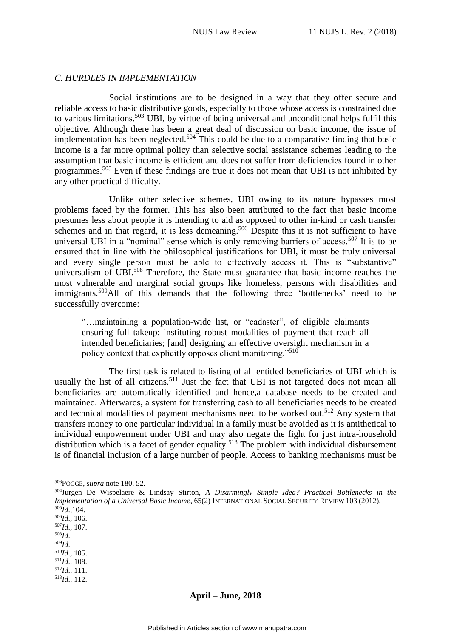### <span id="page-50-0"></span>*C. HURDLES IN IMPLEMENTATION*

Social institutions are to be designed in a way that they offer secure and reliable access to basic distributive goods, especially to those whose access is constrained due to various limitations.<sup>503</sup> UBI, by virtue of being universal and unconditional helps fulfil this objective. Although there has been a great deal of discussion on basic income, the issue of implementation has been neglected.<sup>504</sup> This could be due to a comparative finding that basic income is a far more optimal policy than selective social assistance schemes leading to the assumption that basic income is efficient and does not suffer from deficiencies found in other programmes.<sup>505</sup> Even if these findings are true it does not mean that UBI is not inhibited by any other practical difficulty.

Unlike other selective schemes, UBI owing to its nature bypasses most problems faced by the former. This has also been attributed to the fact that basic income presumes less about people it is intending to aid as opposed to other in-kind or cash transfer schemes and in that regard, it is less demeaning.<sup>506</sup> Despite this it is not sufficient to have universal UBI in a "nominal" sense which is only removing barriers of access.<sup>507</sup> It is to be ensured that in line with the philosophical justifications for UBI, it must be truly universal and every single person must be able to effectively access it. This is "substantive" universalism of UBI.<sup>508</sup> Therefore, the State must guarantee that basic income reaches the most vulnerable and marginal social groups like homeless, persons with disabilities and immigrants.<sup>509</sup>All of this demands that the following three 'bottlenecks' need to be successfully overcome:

"…maintaining a population-wide list, or "cadaster", of eligible claimants ensuring full takeup; instituting robust modalities of payment that reach all intended beneficiaries; [and] designing an effective oversight mechanism in a policy context that explicitly opposes client monitoring."<sup>510</sup>

The first task is related to listing of all entitled beneficiaries of UBI which is usually the list of all citizens.<sup>511</sup> Just the fact that UBI is not targeted does not mean all beneficiaries are automatically identified and hence,a database needs to be created and maintained. Afterwards, a system for transferring cash to all beneficiaries needs to be created and technical modalities of payment mechanisms need to be worked out.<sup>512</sup> Any system that transfers money to one particular individual in a family must be avoided as it is antithetical to individual empowerment under UBI and may also negate the fight for just intra-household distribution which is a facet of gender equality.<sup>513</sup> The problem with individual disbursement is of financial inclusion of a large number of people. Access to banking mechanisms must be

<u>.</u>

<sup>503</sup>POGGE, *supra* note 180, 52.

<sup>504</sup>Jurgen De Wispelaere & Lindsay Stirton, *A Disarmingly Simple Idea? Practical Bottlenecks in the Implementation of a Universal Basic Income*, 65(2) INTERNATIONAL SOCIAL SECURITY REVIEW 103 (2012). <sup>505</sup>*Id*.,104.

<sup>506</sup>*Id*., 106.

<sup>507</sup>*Id*., 107.

<sup>508</sup>*Id*.

<sup>509</sup>*Id*. <sup>510</sup>*Id*., 105.

 $511$ *Id.*, 108.

<sup>512</sup>*Id*., 111.

<sup>513</sup>*Id*., 112.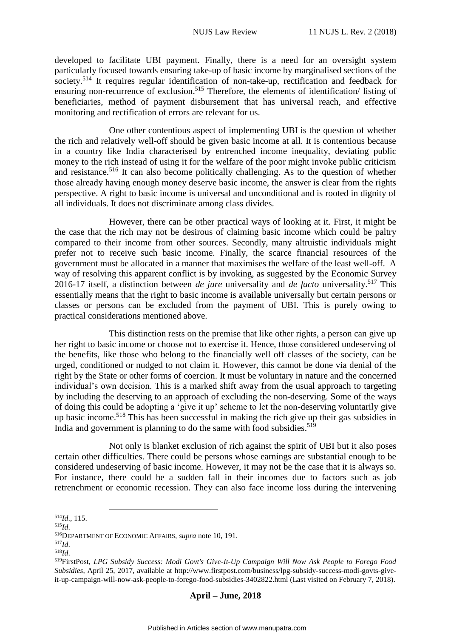developed to facilitate UBI payment. Finally, there is a need for an oversight system particularly focused towards ensuring take-up of basic income by marginalised sections of the society.<sup>514</sup> It requires regular identification of non-take-up, rectification and feedback for ensuring non-recurrence of exclusion.<sup>515</sup> Therefore, the elements of identification/ listing of beneficiaries, method of payment disbursement that has universal reach, and effective monitoring and rectification of errors are relevant for us.

One other contentious aspect of implementing UBI is the question of whether the rich and relatively well-off should be given basic income at all. It is contentious because in a country like India characterised by entrenched income inequality, deviating public money to the rich instead of using it for the welfare of the poor might invoke public criticism and resistance.<sup>516</sup> It can also become politically challenging. As to the question of whether those already having enough money deserve basic income, the answer is clear from the rights perspective. A right to basic income is universal and unconditional and is rooted in dignity of all individuals. It does not discriminate among class divides.

However, there can be other practical ways of looking at it. First, it might be the case that the rich may not be desirous of claiming basic income which could be paltry compared to their income from other sources. Secondly, many altruistic individuals might prefer not to receive such basic income. Finally, the scarce financial resources of the government must be allocated in a manner that maximises the welfare of the least well-off. A way of resolving this apparent conflict is by invoking, as suggested by the Economic Survey 2016-17 itself, a distinction between *de jure* universality and *de facto* universality.<sup>517</sup> This essentially means that the right to basic income is available universally but certain persons or classes or persons can be excluded from the payment of UBI. This is purely owing to practical considerations mentioned above.

This distinction rests on the premise that like other rights, a person can give up her right to basic income or choose not to exercise it. Hence, those considered undeserving of the benefits, like those who belong to the financially well off classes of the society, can be urged, conditioned or nudged to not claim it. However, this cannot be done via denial of the right by the State or other forms of coercion. It must be voluntary in nature and the concerned individual's own decision. This is a marked shift away from the usual approach to targeting by including the deserving to an approach of excluding the non-deserving. Some of the ways of doing this could be adopting a 'give it up' scheme to let the non-deserving voluntarily give up basic income.<sup>518</sup> This has been successful in making the rich give up their gas subsidies in India and government is planning to do the same with food subsidies. 519

Not only is blanket exclusion of rich against the spirit of UBI but it also poses certain other difficulties. There could be persons whose earnings are substantial enough to be considered undeserving of basic income. However, it may not be the case that it is always so. For instance, there could be a sudden fall in their incomes due to factors such as job retrenchment or economic recession. They can also face income loss during the intervening

1

<sup>514</sup>*Id*., 115.

<sup>515</sup>*Id*.

<sup>516</sup>DEPARTMENT OF ECONOMIC AFFAIRS, *supra* note 10, 191.

<sup>517</sup>*Id*.

<sup>518</sup>*Id*.

<sup>519</sup>FirstPost, *LPG Subsidy Success: Modi Govt's Give-It-Up Campaign Will Now Ask People to Forego Food Subsidies*, April 25, 2017, available at http://www.firstpost.com/business/lpg-subsidy-success-modi-govts-giveit-up-campaign-will-now-ask-people-to-forego-food-subsidies-3402822.html (Last visited on February 7, 2018).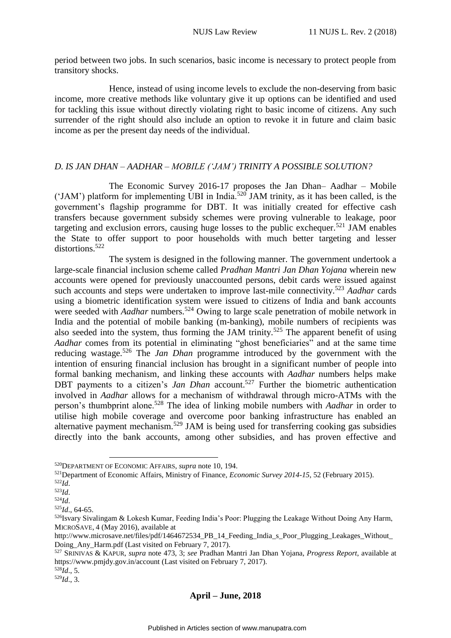period between two jobs. In such scenarios, basic income is necessary to protect people from transitory shocks.

Hence, instead of using income levels to exclude the non-deserving from basic income, more creative methods like voluntary give it up options can be identified and used for tackling this issue without directly violating right to basic income of citizens. Any such surrender of the right should also include an option to revoke it in future and claim basic income as per the present day needs of the individual.

# <span id="page-52-0"></span>*D. IS JAN DHAN – AADHAR – MOBILE ('JAM') TRINITY A POSSIBLE SOLUTION?*

The Economic Survey 2016-17 proposes the Jan Dhan– Aadhar – Mobile ('JAM') platform for implementing UBI in India.<sup>520</sup> JAM trinity, as it has been called, is the government's flagship programme for DBT. It was initially created for effective cash transfers because government subsidy schemes were proving vulnerable to leakage, poor targeting and exclusion errors, causing huge losses to the public exchequer.<sup>521</sup> JAM enables the State to offer support to poor households with much better targeting and lesser distortions.<sup>522</sup>

The system is designed in the following manner. The government undertook a large-scale financial inclusion scheme called *Pradhan Mantri Jan Dhan Yojana* wherein new accounts were opened for previously unaccounted persons, debit cards were issued against such accounts and steps were undertaken to improve last-mile connectivity. <sup>523</sup> *Aadhar* cards using a biometric identification system were issued to citizens of India and bank accounts were seeded with *Aadhar* numbers.<sup>524</sup> Owing to large scale penetration of mobile network in India and the potential of mobile banking (m-banking), mobile numbers of recipients was also seeded into the system, thus forming the JAM trinity.<sup>525</sup> The apparent benefit of using *Aadhar* comes from its potential in eliminating "ghost beneficiaries" and at the same time reducing wastage.<sup>526</sup> The *Jan Dhan* programme introduced by the government with the intention of ensuring financial inclusion has brought in a significant number of people into formal banking mechanism, and linking these accounts with *Aadhar* numbers helps make DBT payments to a citizen's *Jan Dhan* account.<sup>527</sup> Further the biometric authentication involved in *Aadhar* allows for a mechanism of withdrawal through micro-ATMs with the person's thumbprint alone.<sup>528</sup> The idea of linking mobile numbers with *Aadhar* in order to utilise high mobile coverage and overcome poor banking infrastructure has enabled an alternative payment mechanism.<sup>529</sup> JAM is being used for transferring cooking gas subsidies directly into the bank accounts, among other subsidies, and has proven effective and

1

<sup>520</sup>DEPARTMENT OF ECONOMIC AFFAIRS, *supra* note 10, 194.

<sup>521</sup>Department of Economic Affairs, Ministry of Finance, *Economic Survey 2014-15*, 52 (February 2015).

<sup>522</sup>*Id*.

<sup>523</sup>*Id*.

<sup>524</sup>*Id*.

<sup>525</sup>*Id*., 64-65.

<sup>526</sup>Isvary Sivalingam & Lokesh Kumar, Feeding India's Poor: Plugging the Leakage Without Doing Any Harm, MICROSAVE, 4 (May 2016), available at

http://www.microsave.net/files/pdf/1464672534\_PB\_14\_Feeding\_India\_s\_Poor\_Plugging\_Leakages\_Without Doing Any Harm.pdf (Last visited on February 7, 2017).

<sup>527</sup> SRINIVAS & KAPUR, *supra* note 473, 3; *see* Pradhan Mantri Jan Dhan Yojana, *Progress Report*, available at https://www.pmjdy.gov.in/account (Last visited on February 7, 2017).

 $528 \tilde{I}$ *d*., 5.

<sup>529</sup>*Id*., 3.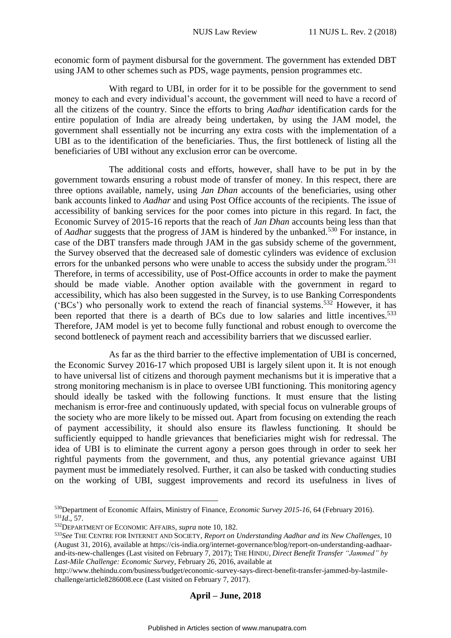economic form of payment disbursal for the government. The government has extended DBT using JAM to other schemes such as PDS, wage payments, pension programmes etc.

With regard to UBI, in order for it to be possible for the government to send money to each and every individual's account, the government will need to have a record of all the citizens of the country. Since the efforts to bring *Aadhar* identification cards for the entire population of India are already being undertaken, by using the JAM model, the government shall essentially not be incurring any extra costs with the implementation of a UBI as to the identification of the beneficiaries. Thus, the first bottleneck of listing all the beneficiaries of UBI without any exclusion error can be overcome.

The additional costs and efforts, however, shall have to be put in by the government towards ensuring a robust mode of transfer of money. In this respect, there are three options available, namely, using *Jan Dhan* accounts of the beneficiaries, using other bank accounts linked to *Aadhar* and using Post Office accounts of the recipients. The issue of accessibility of banking services for the poor comes into picture in this regard. In fact, the Economic Survey of 2015-16 reports that the reach of *Jan Dhan* accounts being less than that of *Aadhar* suggests that the progress of JAM is hindered by the unbanked.<sup>530</sup> For instance, in case of the DBT transfers made through JAM in the gas subsidy scheme of the government, the Survey observed that the decreased sale of domestic cylinders was evidence of exclusion errors for the unbanked persons who were unable to access the subsidy under the program.<sup>531</sup> Therefore, in terms of accessibility, use of Post-Office accounts in order to make the payment should be made viable. Another option available with the government in regard to accessibility, which has also been suggested in the Survey, is to use Banking Correspondents ('BCs') who personally work to extend the reach of financial systems. <sup>532</sup> However, it has been reported that there is a dearth of BCs due to low salaries and little incentives.<sup>533</sup> Therefore, JAM model is yet to become fully functional and robust enough to overcome the second bottleneck of payment reach and accessibility barriers that we discussed earlier.

As far as the third barrier to the effective implementation of UBI is concerned, the Economic Survey 2016-17 which proposed UBI is largely silent upon it. It is not enough to have universal list of citizens and thorough payment mechanisms but it is imperative that a strong monitoring mechanism is in place to oversee UBI functioning. This monitoring agency should ideally be tasked with the following functions. It must ensure that the listing mechanism is error-free and continuously updated, with special focus on vulnerable groups of the society who are more likely to be missed out. Apart from focusing on extending the reach of payment accessibility, it should also ensure its flawless functioning. It should be sufficiently equipped to handle grievances that beneficiaries might wish for redressal. The idea of UBI is to eliminate the current agony a person goes through in order to seek her rightful payments from the government, and thus, any potential grievance against UBI payment must be immediately resolved. Further, it can also be tasked with conducting studies on the working of UBI, suggest improvements and record its usefulness in lives of

<u>.</u>

<sup>530</sup>Department of Economic Affairs, Ministry of Finance, *Economic Survey 2015-16*, 64 (February 2016). <sup>531</sup>*Id*., 57.

<sup>532</sup>DEPARTMENT OF ECONOMIC AFFAIRS, *supra* note 10, 182.

<sup>533</sup>*See* THE CENTRE FOR INTERNET AND SOCIETY, *Report on Understanding Aadhar and its New Challenges*, 10 (August 31, 2016), available at https://cis-india.org/internet-governance/blog/report-on-understanding-aadhaarand-its-new-challenges (Last visited on February 7, 2017); THE HINDU, *Direct Benefit Transfer "Jammed" by Last-Mile Challenge: Economic Survey*, February 26, 2016, available at

http://www.thehindu.com/business/budget/economic-survey-says-direct-benefit-transfer-jammed-by-lastmilechallenge/article8286008.ece (Last visited on February 7, 2017).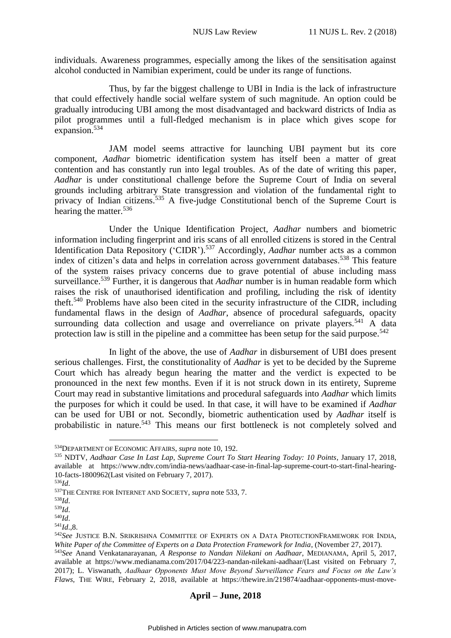individuals. Awareness programmes, especially among the likes of the sensitisation against alcohol conducted in Namibian experiment, could be under its range of functions.

Thus, by far the biggest challenge to UBI in India is the lack of infrastructure that could effectively handle social welfare system of such magnitude. An option could be gradually introducing UBI among the most disadvantaged and backward districts of India as pilot programmes until a full-fledged mechanism is in place which gives scope for expansion.<sup>534</sup>

JAM model seems attractive for launching UBI payment but its core component, *Aadhar* biometric identification system has itself been a matter of great contention and has constantly run into legal troubles. As of the date of writing this paper, *Aadhar* is under constitutional challenge before the Supreme Court of India on several grounds including arbitrary State transgression and violation of the fundamental right to privacy of Indian citizens.<sup>535</sup> A five-judge Constitutional bench of the Supreme Court is hearing the matter.<sup>536</sup>

Under the Unique Identification Project, *Aadhar* numbers and biometric information including fingerprint and iris scans of all enrolled citizens is stored in the Central Identification Data Repository ('CIDR').<sup>537</sup> Accordingly, *Aadhar* number acts as a common index of citizen's data and helps in correlation across government databases.<sup>538</sup> This feature of the system raises privacy concerns due to grave potential of abuse including mass surveillance. <sup>539</sup> Further, it is dangerous that *Aadhar* number is in human readable form which raises the risk of unauthorised identification and profiling, including the risk of identity theft.<sup>540</sup> Problems have also been cited in the security infrastructure of the CIDR, including fundamental flaws in the design of *Aadhar*, absence of procedural safeguards, opacity surrounding data collection and usage and overreliance on private players.<sup>541</sup> A data protection law is still in the pipeline and a committee has been setup for the said purpose.<sup>542</sup>

In light of the above, the use of *Aadhar* in disbursement of UBI does present serious challenges. First, the constitutionality of *Aadhar* is yet to be decided by the Supreme Court which has already begun hearing the matter and the verdict is expected to be pronounced in the next few months. Even if it is not struck down in its entirety, Supreme Court may read in substantive limitations and procedural safeguards into *Aadhar* which limits the purposes for which it could be used. In that case, it will have to be examined if *Aadhar* can be used for UBI or not. Secondly, biometric authentication used by *Aadhar* itself is probabilistic in nature.<sup>543</sup> This means our first bottleneck is not completely solved and

1

<sup>534</sup>DEPARTMENT OF ECONOMIC AFFAIRS, *supra* note 10, 192.

<sup>535</sup> NDTV, *Aadhaar Case In Last Lap, Supreme Court To Start Hearing Today: 10 Points*, January 17, 2018, available at https://www.ndtv.com/india-news/aadhaar-case-in-final-lap-supreme-court-to-start-final-hearing-10-facts-1800962(Last visited on February 7, 2017).

<sup>536</sup>*Id*.

<sup>537</sup>THE CENTRE FOR INTERNET AND SOCIETY, *supra* note 533, 7.

<sup>538</sup>*Id*.

<sup>539</sup>*Id*.

<sup>540</sup>*Id*.

<sup>541</sup>*Id*.,8.

<sup>542</sup>*See* JUSTICE B.N. SRIKRISHNA COMMITTEE OF EXPERTS ON A DATA PROTECTIONFRAMEWORK FOR INDIA, *White Paper of the Committee of Experts on a Data Protection Framework for India*, (November 27, 2017).

<sup>543</sup>*See* Anand Venkatanarayanan, *A Response to Nandan Nilekani on Aadhaar*, MEDIANAMA, April 5, 2017, available at https://www.medianama.com/2017/04/223-nandan-nilekani-aadhaar/(Last visited on February 7, 2017); L. Viswanath, *Aadhaar Opponents Must Move Beyond Surveillance Fears and Focus on the Law's Flaws*, THE WIRE, February 2, 2018, available at https://thewire.in/219874/aadhaar-opponents-must-move-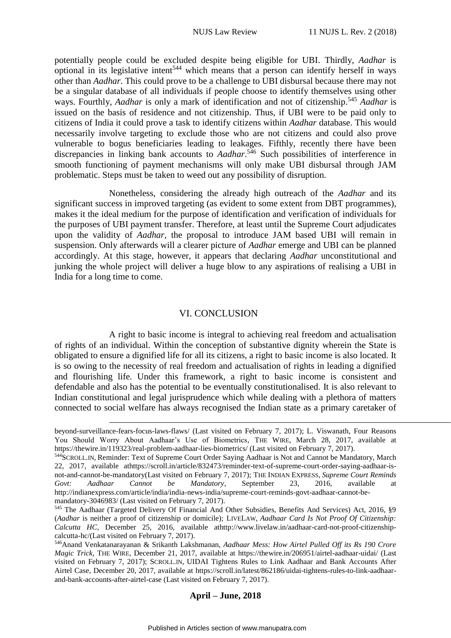potentially people could be excluded despite being eligible for UBI. Thirdly, *Aadhar* is optional in its legislative intent<sup>544</sup> which means that a person can identify herself in ways other than *Aadhar*. This could prove to be a challenge to UBI disbursal because there may not be a singular database of all individuals if people choose to identify themselves using other ways. Fourthly, *Aadhar* is only a mark of identification and not of citizenship.<sup>545</sup> *Aadhar* is issued on the basis of residence and not citizenship. Thus, if UBI were to be paid only to citizens of India it could prove a task to identify citizens within *Aadhar* database. This would necessarily involve targeting to exclude those who are not citizens and could also prove vulnerable to bogus beneficiaries leading to leakages. Fifthly, recently there have been discrepancies in linking bank accounts to *Aadhar*. <sup>546</sup> Such possibilities of interference in smooth functioning of payment mechanisms will only make UBI disbursal through JAM problematic. Steps must be taken to weed out any possibility of disruption.

Nonetheless, considering the already high outreach of the *Aadhar* and its significant success in improved targeting (as evident to some extent from DBT programmes), makes it the ideal medium for the purpose of identification and verification of individuals for the purposes of UBI payment transfer. Therefore, at least until the Supreme Court adjudicates upon the validity of *Aadhar*, the proposal to introduce JAM based UBI will remain in suspension. Only afterwards will a clearer picture of *Aadhar* emerge and UBI can be planned accordingly. At this stage, however, it appears that declaring *Aadhar* unconstitutional and junking the whole project will deliver a huge blow to any aspirations of realising a UBI in India for a long time to come.

### VI. CONCLUSION

<span id="page-55-0"></span>A right to basic income is integral to achieving real freedom and actualisation of rights of an individual. Within the conception of substantive dignity wherein the State is obligated to ensure a dignified life for all its citizens, a right to basic income is also located. It is so owing to the necessity of real freedom and actualisation of rights in leading a dignified and flourishing life. Under this framework, a right to basic income is consistent and defendable and also has the potential to be eventually constitutionalised. It is also relevant to Indian constitutional and legal jurisprudence which while dealing with a plethora of matters connected to social welfare has always recognised the Indian state as a primary caretaker of

<u>.</u>

beyond-surveillance-fears-focus-laws-flaws/ (Last visited on February 7, 2017); L. Viswanath, Four Reasons You Should Worry About Aadhaar's Use of Biometrics, THE WIRE, March 28, 2017, available at https://thewire.in/119323/real-problem-aadhaar-lies-biometrics/ (Last visited on February 7, 2017).

<sup>544</sup>SCROLL.IN, Reminder: Text of Supreme Court Order Saying Aadhaar is Not and Cannot be Mandatory, March 22, 2017, available athttps://scroll.in/article/832473/reminder-text-of-supreme-court-order-saying-aadhaar-isnot-and-cannot-be-mandatory(Last visited on February 7, 2017); THE INDIAN EXPRESS, *Supreme Court Reminds Govt: Aadhaar Cannot be Mandatory*, September 23, 2016, available at http://indianexpress.com/article/india/india-news-india/supreme-court-reminds-govt-aadhaar-cannot-bemandatory-3046983/ (Last visited on February 7, 2017).

<sup>545</sup> The Aadhaar (Targeted Delivery Of Financial And Other Subsidies, Benefits And Services) Act, 2016, §9 (*Aadhar* is neither a proof of citizenship or domicile); LIVELAW, *Aadhaar Card Is Not Proof Of Citizenship: Calcutta HC*, December 25, 2016, available athttp://www.livelaw.in/aadhaar-card-not-proof-citizenshipcalcutta-hc/(Last visited on February 7, 2017).

<sup>546</sup>Anand Venkatanarayanan & Srikanth Lakshmanan, *Aadhaar Mess: How Airtel Pulled Off its Rs 190 Crore Magic Trick*, THE WIRE, December 21, 2017, available at https://thewire.in/206951/airtel-aadhaar-uidai/ (Last visited on February 7, 2017); SCROLL.IN, UIDAI Tightens Rules to Link Aadhaar and Bank Accounts After Airtel Case, December 20, 2017, available at https://scroll.in/latest/862186/uidai-tightens-rules-to-link-aadhaarand-bank-accounts-after-airtel-case (Last visited on February 7, 2017).